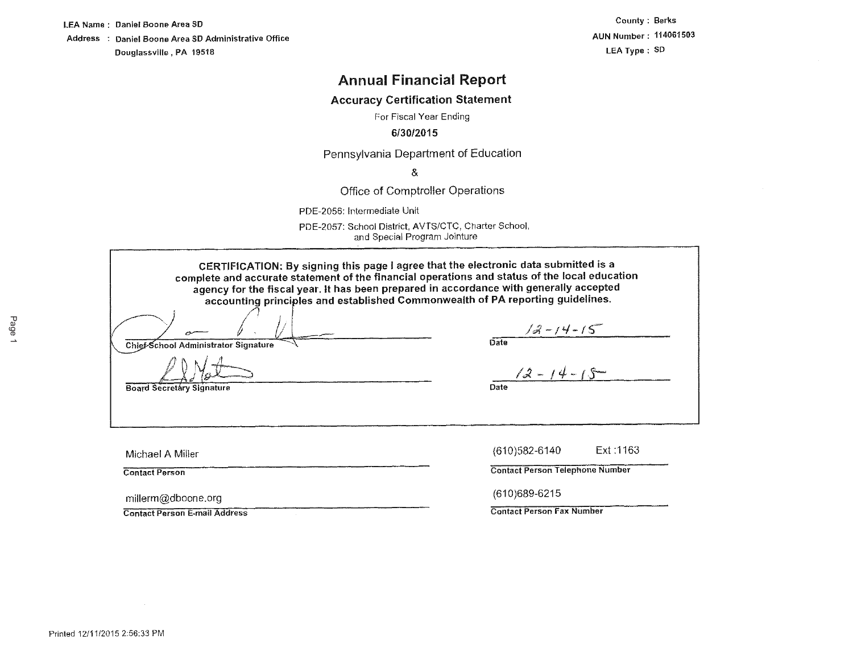LEA Name : Daniel Boone Area SD Address : Daniel Boone Area SD Administrative Office Douglassville, PA 19518

**County** : **Berks AUN Number: 114061503 LEA Type: SD** 

# **Annual Financial Report**

# **Accuracy Certification Statement**

For Fiscal Year Ending

## **6/30/2015**

Pennsylvania Department of Education

&

Office of Comptroller Operations

PDE-2056: Intermediate Unit

PDE-2057: School District, AVTS/CTC, Charter School, and Special Program Jointure

**CERTIFICATION: By signing this page** I **agree that the electronic data submitted is a complete and accurate statement of the financial operations and status of the local education agency for the fiscal year. It has been prepared in accordance with generally accepted**  accounting principles and established Commonwealth **of PA** reporting guidelines.

*I:* <sup>I</sup>, I fl . /; l.----- ,,,.--- /J:l-1 '-1- IS- Chief-School Administrator Signature

**Date** 

 $12 - 14 - 15$ 

Date

millerm@dboone.org (610)689-6215

**Board Secretary Signature** 

Michael A Miller {610)582-6140 Ext :1163

Contact Person Contact Person Telephone Number

Contact Person E-mail Address Contact Person Fax Number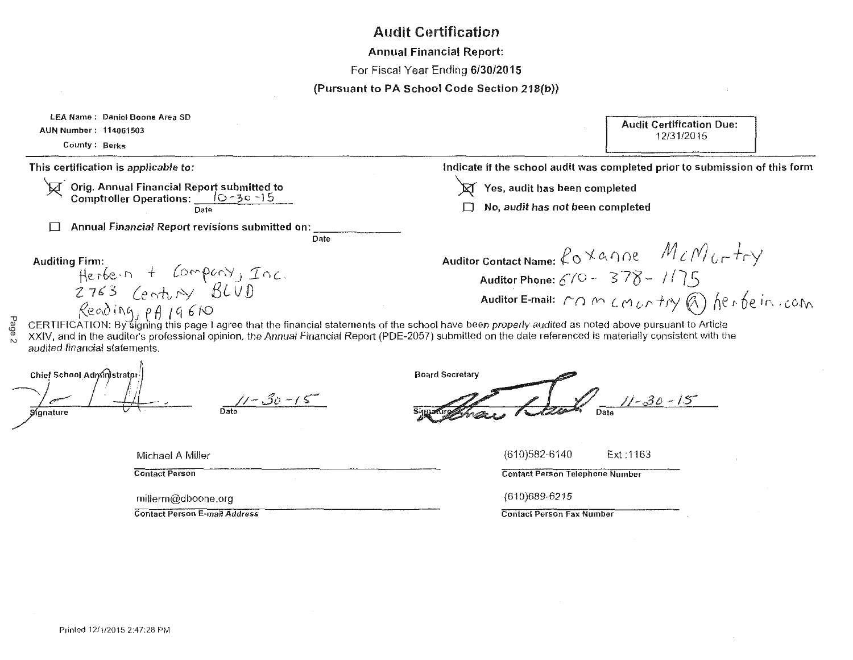# Audit Certification

Annual Financial Report:

For Fiscal Year Ending 6/30/2015

(Pursuant to PA School Code Section 218(b))

| LEA Name: Daniel Boone Area SD<br>AUN Number: 114061503<br>County: Berks                                                                                                                                                                                                                                                                             | <b>Audit Certification Due:</b><br>12/31/2015                                                                                                  |
|------------------------------------------------------------------------------------------------------------------------------------------------------------------------------------------------------------------------------------------------------------------------------------------------------------------------------------------------------|------------------------------------------------------------------------------------------------------------------------------------------------|
| This certification is applicable to:                                                                                                                                                                                                                                                                                                                 | Indicate if the school audit was completed prior to submission of this form                                                                    |
| Orig. Annual Financial Report submitted to<br>Comptroller Operations: <u>(0.130.15)</u><br>Date                                                                                                                                                                                                                                                      | Yes, audit has been completed<br>No, audit has not been completed                                                                              |
| Annual Financial Report revisions submitted on:<br>Date                                                                                                                                                                                                                                                                                              |                                                                                                                                                |
| <b>Auditing Firm:</b><br>Herbern + Company, Inc.<br>$\beta$ eading, p $\beta$ 19610                                                                                                                                                                                                                                                                  | Auditor Contact Name: $\ell_0 \times a \cap e$ $M$ $\ell_1 M$<br>Auditor Phone: $670 - 378 - 115$<br>Auditor E-mail: MOMCMONTRY @) herbein.com |
| CERTIFICATION: By signing this page I agree that the financial statements of the school have been properly audited as noted above pursuant to Article<br>XXIV, and in the auditor's professional opinion, the Annual Financial Report (PDE-2057) submitted on the date referenced is materially consistent with the<br>audited financial statements. |                                                                                                                                                |
| Chief School Administrator<br>$11 - 30 - 15$<br>Sionature                                                                                                                                                                                                                                                                                            | <b>Board Secretary</b><br>$11 - 30 - 15$                                                                                                       |
| Michael A Miller                                                                                                                                                                                                                                                                                                                                     | $(610)582 - 6140$<br>Ext:1163                                                                                                                  |
| <b>Contact Person</b>                                                                                                                                                                                                                                                                                                                                | <b>Contact Person Telephone Number</b>                                                                                                         |
| millerm@dboone.org                                                                                                                                                                                                                                                                                                                                   | $(610)689-6215$                                                                                                                                |
| <b>Contact Person E-mail Address</b>                                                                                                                                                                                                                                                                                                                 | <b>Contact Person Fax Number</b>                                                                                                               |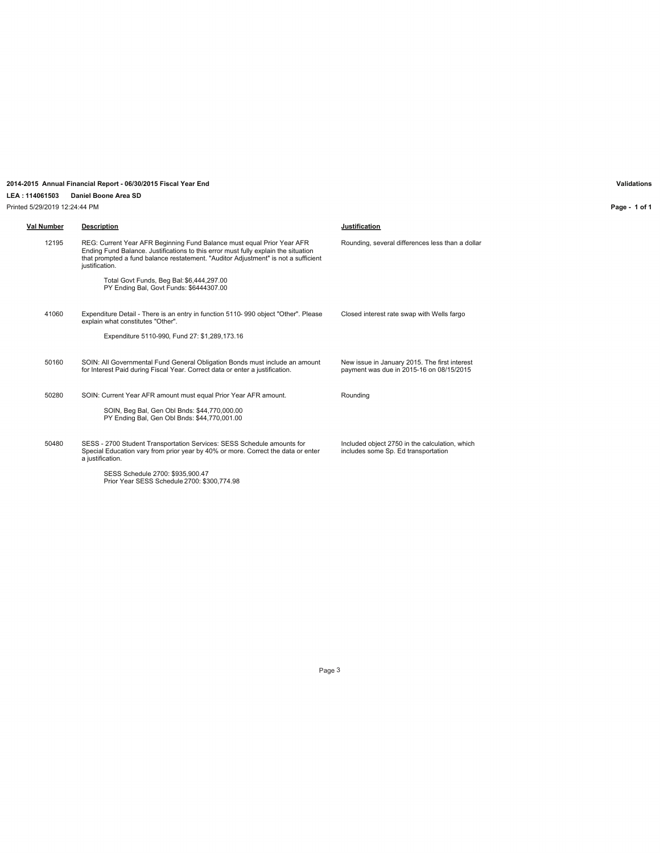### **2014-2015 Annual Financial Report - 06/30/2015 Fiscal Year End Validations**

### **LEA : 114061503 Daniel Boone Area SD**

Printed 5/29/2019 12:24:44 PM

**Val Number Description Justification** 12195 REG: Current Year AFR Beginning Fund Balance must equal Prior Year AFR Ending Fund Balance. Justifications to this error must fully explain the situation that prompted a fund balance restatement. "Auditor Adjustment" is not a sufficient justification. Total Govt Funds, Beg Bal: \$6,444,297.00 PY Ending Bal, Govt Funds: \$6444307.00 Rounding, several differences less than a dollar 41060 Expenditure Detail - There is an entry in function 5110- 990 object "Other". Please explain what constitutes "Other". Expenditure 5110-990, Fund 27: \$1,289,173.16 Closed interest rate swap with Wells fargo 50160 SOIN: All Governmental Fund General Obligation Bonds must include an amount for Interest Paid during Fiscal Year. Correct data or enter a justification. New issue in January 2015. The first interest payment was due in 2015-16 on 08/15/2015 50280 SOIN: Current Year AFR amount must equal Prior Year AFR amount. SOIN, Beg Bal, Gen Obl Bnds: \$44,770,000.00 PY Ending Bal, Gen Obl Bnds: \$44,770,001.00 Rounding 50480 SESS - 2700 Student Transportation Services: SESS Schedule amounts for Special Education vary from prior year by 40% or more. Correct the data or enter a justification. SESS Schedule 2700: \$935,900.47 Prior Year SESS Schedule 2700: \$300,774.98 Included object 2750 in the calculation, which includes some Sp. Ed transportation

**Page - 1 of 1**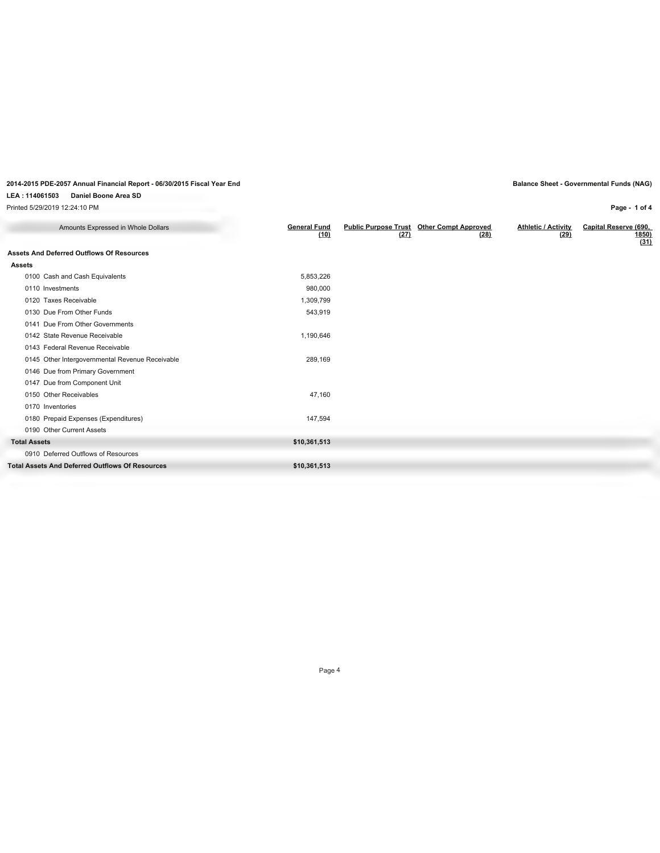### **LEA : 114061503 Daniel Boone Area SD**

Printed 5/29/2019 12:24:10 PM

**Page - 1 of 4**

| Amounts Expressed in Whole Dollars                     | <b>General Fund</b><br>(10) | (27) | Public Purpose Trust Other Compt Approved<br>(28) | <b>Athletic / Activity</b><br>(29) | Capital Reserve (690,<br>1850)<br>(31) |
|--------------------------------------------------------|-----------------------------|------|---------------------------------------------------|------------------------------------|----------------------------------------|
| <b>Assets And Deferred Outflows Of Resources</b>       |                             |      |                                                   |                                    |                                        |
| Assets                                                 |                             |      |                                                   |                                    |                                        |
| 0100 Cash and Cash Equivalents                         | 5,853,226                   |      |                                                   |                                    |                                        |
| 0110 Investments                                       | 980,000                     |      |                                                   |                                    |                                        |
| 0120 Taxes Receivable                                  | 1,309,799                   |      |                                                   |                                    |                                        |
| 0130 Due From Other Funds                              | 543,919                     |      |                                                   |                                    |                                        |
| 0141 Due From Other Governments                        |                             |      |                                                   |                                    |                                        |
| 0142 State Revenue Receivable                          | 1,190,646                   |      |                                                   |                                    |                                        |
| 0143 Federal Revenue Receivable                        |                             |      |                                                   |                                    |                                        |
| 0145 Other Intergovernmental Revenue Receivable        | 289,169                     |      |                                                   |                                    |                                        |
| 0146 Due from Primary Government                       |                             |      |                                                   |                                    |                                        |
| 0147 Due from Component Unit                           |                             |      |                                                   |                                    |                                        |
| 0150 Other Receivables                                 | 47.160                      |      |                                                   |                                    |                                        |
| 0170 Inventories                                       |                             |      |                                                   |                                    |                                        |
| 0180 Prepaid Expenses (Expenditures)                   | 147,594                     |      |                                                   |                                    |                                        |
| 0190 Other Current Assets                              |                             |      |                                                   |                                    |                                        |
| <b>Total Assets</b>                                    | \$10,361,513                |      |                                                   |                                    |                                        |
| 0910 Deferred Outflows of Resources                    |                             |      |                                                   |                                    |                                        |
| <b>Total Assets And Deferred Outflows Of Resources</b> | \$10,361,513                |      |                                                   |                                    |                                        |
|                                                        |                             |      |                                                   |                                    |                                        |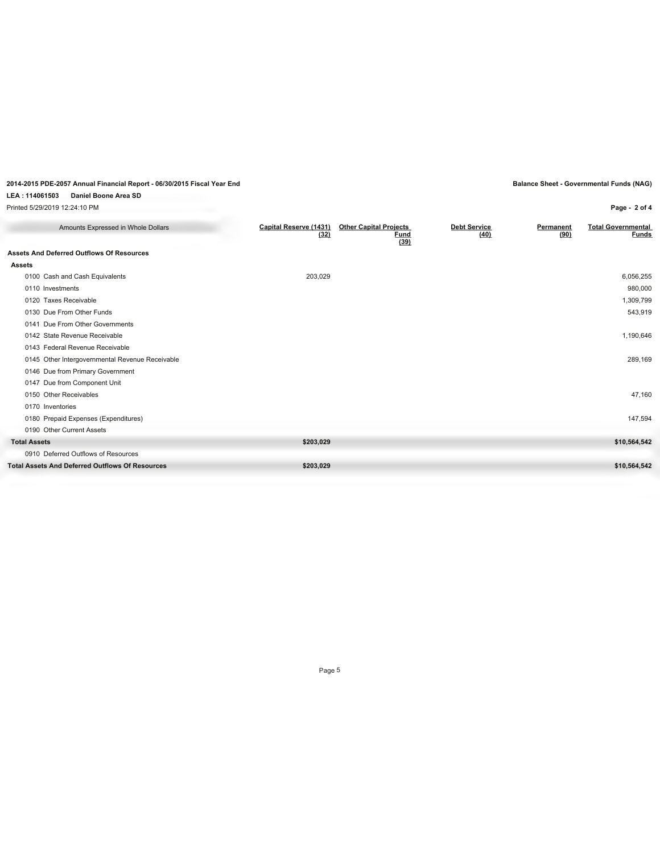### **LEA : 114061503 Daniel Boone Area SD**

Printed 5/29/2019 12:24:10 PM

## **Page - 2 of 4**

| Amounts Expressed in Whole Dollars                     | Capital Reserve (1431)<br>(32) | <b>Other Capital Projects</b><br>Fund<br>(39) | <b>Debt Service</b><br>(40) | Permanent<br>(90) | <b>Total Governmental</b><br><b>Funds</b> |
|--------------------------------------------------------|--------------------------------|-----------------------------------------------|-----------------------------|-------------------|-------------------------------------------|
| <b>Assets And Deferred Outflows Of Resources</b>       |                                |                                               |                             |                   |                                           |
| <b>Assets</b>                                          |                                |                                               |                             |                   |                                           |
| 0100 Cash and Cash Equivalents                         | 203,029                        |                                               |                             |                   | 6,056,255                                 |
| 0110 Investments                                       |                                |                                               |                             |                   | 980,000                                   |
| 0120 Taxes Receivable                                  |                                |                                               |                             |                   | 1,309,799                                 |
| 0130 Due From Other Funds                              |                                |                                               |                             |                   | 543,919                                   |
| 0141 Due From Other Governments                        |                                |                                               |                             |                   |                                           |
| 0142 State Revenue Receivable                          |                                |                                               |                             |                   | 1,190,646                                 |
| 0143 Federal Revenue Receivable                        |                                |                                               |                             |                   |                                           |
| 0145 Other Intergovernmental Revenue Receivable        |                                |                                               |                             |                   | 289,169                                   |
| 0146 Due from Primary Government                       |                                |                                               |                             |                   |                                           |
| 0147 Due from Component Unit                           |                                |                                               |                             |                   |                                           |
| 0150 Other Receivables                                 |                                |                                               |                             |                   | 47,160                                    |
| 0170 Inventories                                       |                                |                                               |                             |                   |                                           |
| 0180 Prepaid Expenses (Expenditures)                   |                                |                                               |                             |                   | 147,594                                   |
| 0190 Other Current Assets                              |                                |                                               |                             |                   |                                           |
| <b>Total Assets</b>                                    | \$203,029                      |                                               |                             |                   | \$10,564,542                              |
| 0910 Deferred Outflows of Resources                    |                                |                                               |                             |                   |                                           |
| <b>Total Assets And Deferred Outflows Of Resources</b> | \$203,029                      |                                               |                             |                   | \$10,564,542                              |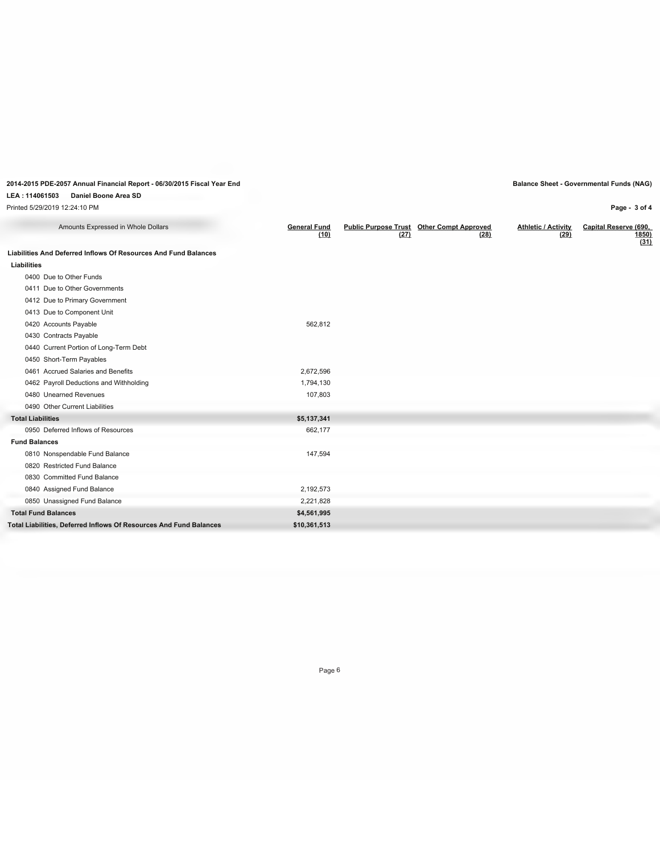### **LEA : 114061503 Daniel Boone Area SD**

Printed 5/29/2019 12:24:10 PM

**Page - 3 of 4**

| Amounts Expressed in Whole Dollars                                 | <b>General Fund</b><br>(10) | (27) | <b>Public Purpose Trust Other Compt Approved</b><br>(28) | <b>Athletic / Activity</b><br>(29) | Capital Reserve (690,<br>1850)<br>(31) |
|--------------------------------------------------------------------|-----------------------------|------|----------------------------------------------------------|------------------------------------|----------------------------------------|
| Liabilities And Deferred Inflows Of Resources And Fund Balances    |                             |      |                                                          |                                    |                                        |
| Liabilities                                                        |                             |      |                                                          |                                    |                                        |
| 0400 Due to Other Funds                                            |                             |      |                                                          |                                    |                                        |
| 0411 Due to Other Governments                                      |                             |      |                                                          |                                    |                                        |
| 0412 Due to Primary Government                                     |                             |      |                                                          |                                    |                                        |
| 0413 Due to Component Unit                                         |                             |      |                                                          |                                    |                                        |
| 0420 Accounts Payable                                              | 562,812                     |      |                                                          |                                    |                                        |
| 0430 Contracts Payable                                             |                             |      |                                                          |                                    |                                        |
| 0440 Current Portion of Long-Term Debt                             |                             |      |                                                          |                                    |                                        |
| 0450 Short-Term Payables                                           |                             |      |                                                          |                                    |                                        |
| 0461 Accrued Salaries and Benefits                                 | 2,672,596                   |      |                                                          |                                    |                                        |
| 0462 Payroll Deductions and Withholding                            | 1,794,130                   |      |                                                          |                                    |                                        |
| 0480 Unearned Revenues                                             | 107,803                     |      |                                                          |                                    |                                        |
| 0490 Other Current Liabilities                                     |                             |      |                                                          |                                    |                                        |
| <b>Total Liabilities</b>                                           | \$5,137,341                 |      |                                                          |                                    |                                        |
| 0950 Deferred Inflows of Resources                                 | 662,177                     |      |                                                          |                                    |                                        |
| <b>Fund Balances</b>                                               |                             |      |                                                          |                                    |                                        |
| 0810 Nonspendable Fund Balance                                     | 147,594                     |      |                                                          |                                    |                                        |
| 0820 Restricted Fund Balance                                       |                             |      |                                                          |                                    |                                        |
| 0830 Committed Fund Balance                                        |                             |      |                                                          |                                    |                                        |
| 0840 Assigned Fund Balance                                         | 2,192,573                   |      |                                                          |                                    |                                        |
| 0850 Unassigned Fund Balance                                       | 2,221,828                   |      |                                                          |                                    |                                        |
| <b>Total Fund Balances</b>                                         | \$4,561,995                 |      |                                                          |                                    |                                        |
| Total Liabilities, Deferred Inflows Of Resources And Fund Balances | \$10,361,513                |      |                                                          |                                    |                                        |
|                                                                    |                             |      |                                                          |                                    |                                        |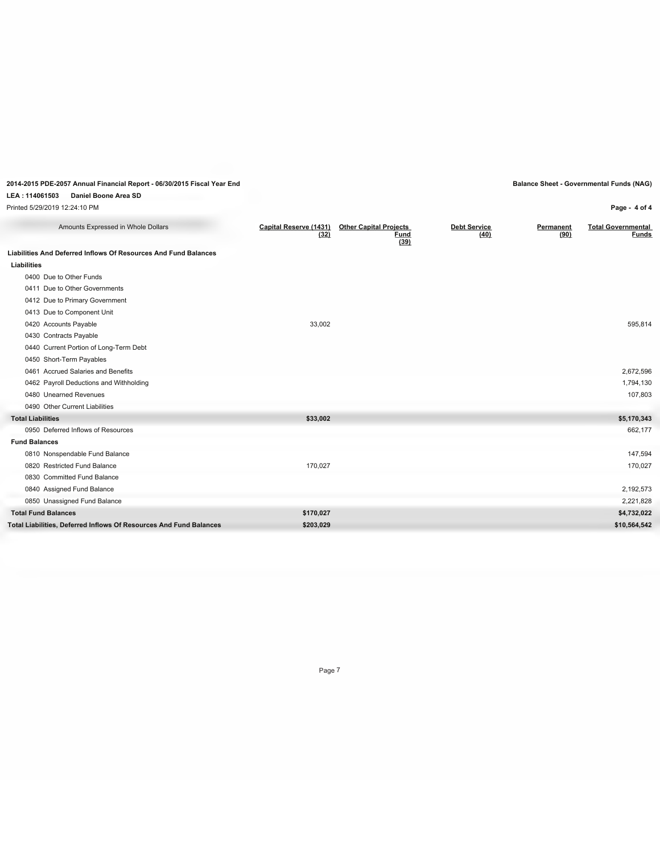### **LEA : 114061503 Daniel Boone Area SD**

Printed 5/29/2019 12:24:10 PM

| Amounts Expressed in Whole Dollars                                 | Capital Reserve (1431)<br>(32) | <b>Other Capital Projects</b><br><b>Fund</b><br>(39) | <b>Debt Service</b><br>(40) | Permanent<br>(90) | <b>Total Governmental</b><br>Funds |
|--------------------------------------------------------------------|--------------------------------|------------------------------------------------------|-----------------------------|-------------------|------------------------------------|
| Liabilities And Deferred Inflows Of Resources And Fund Balances    |                                |                                                      |                             |                   |                                    |
| Liabilities                                                        |                                |                                                      |                             |                   |                                    |
| 0400 Due to Other Funds                                            |                                |                                                      |                             |                   |                                    |
| 0411 Due to Other Governments                                      |                                |                                                      |                             |                   |                                    |
| 0412 Due to Primary Government                                     |                                |                                                      |                             |                   |                                    |
| 0413 Due to Component Unit                                         |                                |                                                      |                             |                   |                                    |
| 0420 Accounts Payable                                              | 33,002                         |                                                      |                             |                   | 595,814                            |
| 0430 Contracts Payable                                             |                                |                                                      |                             |                   |                                    |
| 0440 Current Portion of Long-Term Debt                             |                                |                                                      |                             |                   |                                    |
| 0450 Short-Term Payables                                           |                                |                                                      |                             |                   |                                    |
| 0461 Accrued Salaries and Benefits                                 |                                |                                                      |                             |                   | 2,672,596                          |
| 0462 Payroll Deductions and Withholding                            |                                |                                                      |                             |                   | 1,794,130                          |
| 0480 Unearned Revenues                                             |                                |                                                      |                             |                   | 107,803                            |
| 0490 Other Current Liabilities                                     |                                |                                                      |                             |                   |                                    |
| <b>Total Liabilities</b>                                           | \$33,002                       |                                                      |                             |                   | \$5,170,343                        |
| 0950 Deferred Inflows of Resources                                 |                                |                                                      |                             |                   | 662,177                            |
| <b>Fund Balances</b>                                               |                                |                                                      |                             |                   |                                    |
| 0810 Nonspendable Fund Balance                                     |                                |                                                      |                             |                   | 147,594                            |
| 0820 Restricted Fund Balance                                       | 170,027                        |                                                      |                             |                   | 170,027                            |
| 0830 Committed Fund Balance                                        |                                |                                                      |                             |                   |                                    |
| 0840 Assigned Fund Balance                                         |                                |                                                      |                             |                   | 2,192,573                          |
| 0850 Unassigned Fund Balance                                       |                                |                                                      |                             |                   | 2,221,828                          |
| <b>Total Fund Balances</b>                                         | \$170,027                      |                                                      |                             |                   | \$4,732,022                        |
| Total Liabilities, Deferred Inflows Of Resources And Fund Balances | \$203,029                      |                                                      |                             |                   | \$10,564,542                       |

**Page - 4 of 4**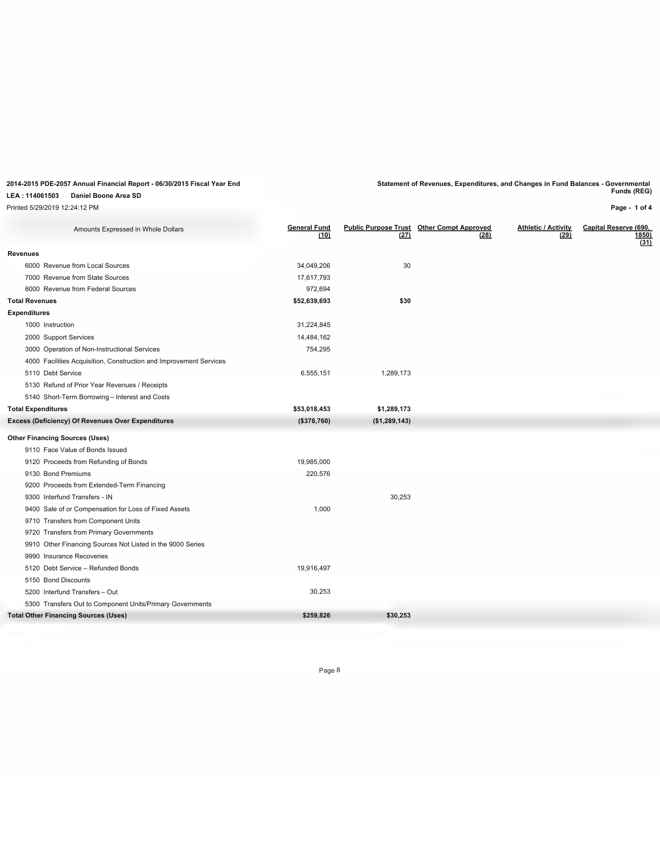**LEA : 114061503 Daniel Boone Area SD**

Printed 5/29/2019 12:24:12 PM

**2014-2015 PDE-2057 Annual Financial Report - 06/30/2015 Fiscal Year End Statement of Revenues, Expenditures, and Changes in Fund Balances - Governmental Funds (REG)**

**Page - 1 of 4**

| <b>General Fund</b><br>(10) | (27)          | (28) | <b>Athletic / Activity</b><br>(29)               | Capital Reserve (690,<br>1850)<br>(31) |
|-----------------------------|---------------|------|--------------------------------------------------|----------------------------------------|
|                             |               |      |                                                  |                                        |
| 34,049,206                  | 30            |      |                                                  |                                        |
| 17,617,793                  |               |      |                                                  |                                        |
| 972,694                     |               |      |                                                  |                                        |
| \$52,639,693                | \$30          |      |                                                  |                                        |
|                             |               |      |                                                  |                                        |
| 31,224,845                  |               |      |                                                  |                                        |
| 14,484,162                  |               |      |                                                  |                                        |
| 754,295                     |               |      |                                                  |                                        |
|                             |               |      |                                                  |                                        |
| 6,555,151                   | 1,289,173     |      |                                                  |                                        |
|                             |               |      |                                                  |                                        |
|                             |               |      |                                                  |                                        |
| \$53,018,453                | \$1,289,173   |      |                                                  |                                        |
| (\$378,760)                 | (\$1,289,143) |      |                                                  |                                        |
|                             |               |      |                                                  |                                        |
|                             |               |      |                                                  |                                        |
| 19,985,000                  |               |      |                                                  |                                        |
| 220,576                     |               |      |                                                  |                                        |
|                             |               |      |                                                  |                                        |
|                             | 30,253        |      |                                                  |                                        |
| 1,000                       |               |      |                                                  |                                        |
|                             |               |      |                                                  |                                        |
|                             |               |      |                                                  |                                        |
|                             |               |      |                                                  |                                        |
|                             |               |      |                                                  |                                        |
| 19,916,497                  |               |      |                                                  |                                        |
|                             |               |      |                                                  |                                        |
| 30,253                      |               |      |                                                  |                                        |
|                             |               |      |                                                  |                                        |
| \$259,826                   | \$30,253      |      |                                                  |                                        |
|                             |               |      |                                                  |                                        |
|                             |               |      | <b>Public Purpose Trust Other Compt Approved</b> |                                        |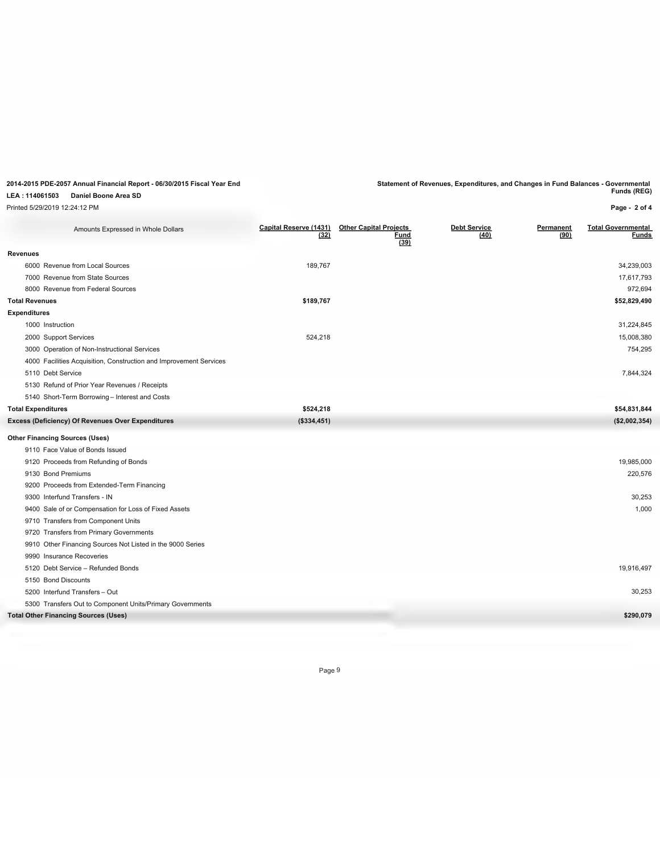**2014-2015 PDE-2057 Annual Financial Report - 06/30/2015 Fiscal Year End Statement of Revenues, Expenditures, and Changes in Fund Balances - Governmental Funds (REG)**

**LEA : 114061503 Daniel Boone Area SD** Printed 5/29/2019 12:24:12 PM

**Page - 2 of 4**

| Amounts Expressed in Whole Dollars                                 | Capital Reserve (1431)<br>(32) | <b>Other Capital Projects</b><br><u>Fund</u><br>(39) | <b>Debt Service</b><br>(40) | Permanent<br>(90) | <b>Total Governmental</b><br><b>Funds</b> |
|--------------------------------------------------------------------|--------------------------------|------------------------------------------------------|-----------------------------|-------------------|-------------------------------------------|
| <b>Revenues</b>                                                    |                                |                                                      |                             |                   |                                           |
| 6000 Revenue from Local Sources                                    | 189,767                        |                                                      |                             |                   | 34,239,003                                |
| 7000 Revenue from State Sources                                    |                                |                                                      |                             |                   | 17,617,793                                |
| 8000 Revenue from Federal Sources                                  |                                |                                                      |                             |                   | 972,694                                   |
| <b>Total Revenues</b>                                              | \$189,767                      |                                                      |                             |                   | \$52,829,490                              |
| <b>Expenditures</b>                                                |                                |                                                      |                             |                   |                                           |
| 1000 Instruction                                                   |                                |                                                      |                             |                   | 31,224,845                                |
| 2000 Support Services                                              | 524,218                        |                                                      |                             |                   | 15,008,380                                |
| 3000 Operation of Non-Instructional Services                       |                                |                                                      |                             |                   | 754,295                                   |
| 4000 Facilities Acquisition, Construction and Improvement Services |                                |                                                      |                             |                   |                                           |
| 5110 Debt Service                                                  |                                |                                                      |                             |                   | 7,844,324                                 |
| 5130 Refund of Prior Year Revenues / Receipts                      |                                |                                                      |                             |                   |                                           |
| 5140 Short-Term Borrowing - Interest and Costs                     |                                |                                                      |                             |                   |                                           |
| <b>Total Expenditures</b>                                          | \$524,218                      |                                                      |                             |                   | \$54,831,844                              |
| Excess (Deficiency) Of Revenues Over Expenditures                  | (\$334,451)                    |                                                      |                             |                   | (\$2,002,354)                             |
| <b>Other Financing Sources (Uses)</b>                              |                                |                                                      |                             |                   |                                           |
| 9110 Face Value of Bonds Issued                                    |                                |                                                      |                             |                   |                                           |
| 9120 Proceeds from Refunding of Bonds                              |                                |                                                      |                             |                   | 19,985,000                                |
| 9130 Bond Premiums                                                 |                                |                                                      |                             |                   | 220,576                                   |
| 9200 Proceeds from Extended-Term Financing                         |                                |                                                      |                             |                   |                                           |
| 9300 Interfund Transfers - IN                                      |                                |                                                      |                             |                   | 30,253                                    |
| 9400 Sale of or Compensation for Loss of Fixed Assets              |                                |                                                      |                             |                   | 1,000                                     |
| 9710 Transfers from Component Units                                |                                |                                                      |                             |                   |                                           |
| 9720 Transfers from Primary Governments                            |                                |                                                      |                             |                   |                                           |
| 9910 Other Financing Sources Not Listed in the 9000 Series         |                                |                                                      |                             |                   |                                           |
| 9990 Insurance Recoveries                                          |                                |                                                      |                             |                   |                                           |
| 5120 Debt Service - Refunded Bonds                                 |                                |                                                      |                             |                   | 19,916,497                                |
| 5150 Bond Discounts                                                |                                |                                                      |                             |                   |                                           |
| 5200 Interfund Transfers - Out                                     |                                |                                                      |                             |                   | 30,253                                    |
| 5300 Transfers Out to Component Units/Primary Governments          |                                |                                                      |                             |                   |                                           |
| <b>Total Other Financing Sources (Uses)</b>                        |                                |                                                      |                             |                   | \$290,079                                 |
|                                                                    |                                |                                                      |                             |                   |                                           |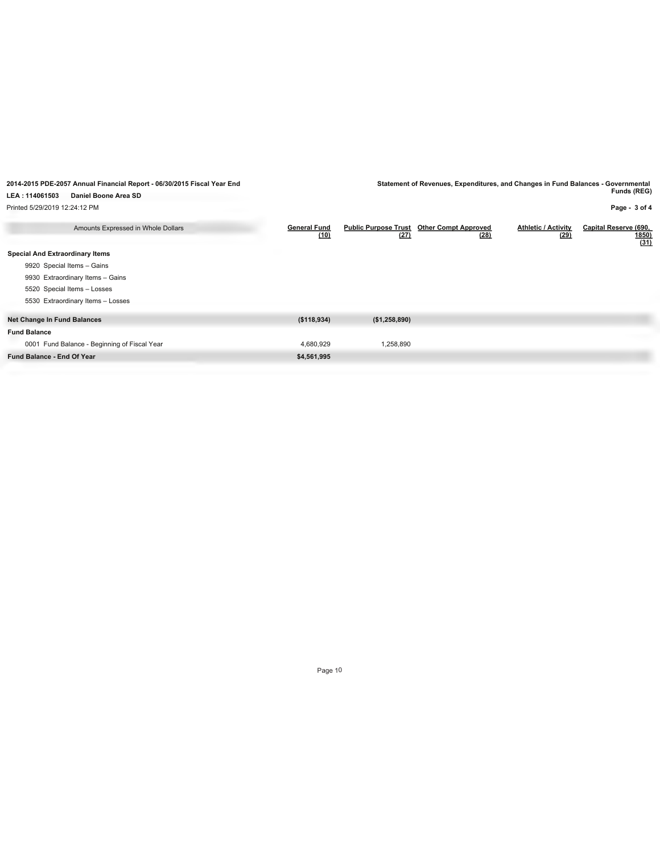**2014-2015 PDE-2057 Annual Financial Report - 06/30/2015 Fiscal Year End Statement of Revenues, Expenditures, and Changes in Fund Balances - Governmental Funds (REG)**

**Page - 3 of 4**

**LEA : 114061503 Daniel Boone Area SD**

Printed 5/29/2019 12:24:12 PM

| Amounts Expressed in Whole Dollars           | <b>General Fund</b><br>(10) | <b>Public Purpose Trust</b><br>(27) | <b>Other Compt Approved</b><br>(28) | <b>Athletic / Activity</b><br>(29) | Capital Reserve (690,<br><b>1850</b><br>(31) |
|----------------------------------------------|-----------------------------|-------------------------------------|-------------------------------------|------------------------------------|----------------------------------------------|
| <b>Special And Extraordinary Items</b>       |                             |                                     |                                     |                                    |                                              |
| 9920 Special Items - Gains                   |                             |                                     |                                     |                                    |                                              |
| 9930 Extraordinary Items - Gains             |                             |                                     |                                     |                                    |                                              |
| 5520 Special Items - Losses                  |                             |                                     |                                     |                                    |                                              |
| 5530 Extraordinary Items - Losses            |                             |                                     |                                     |                                    |                                              |
| <b>Net Change In Fund Balances</b>           | (\$118,934)                 | (\$1,258,890)                       |                                     |                                    |                                              |
| <b>Fund Balance</b>                          |                             |                                     |                                     |                                    |                                              |
| 0001 Fund Balance - Beginning of Fiscal Year | 4,680,929                   | 1,258,890                           |                                     |                                    |                                              |
| <b>Fund Balance - End Of Year</b>            | \$4,561,995                 |                                     |                                     |                                    |                                              |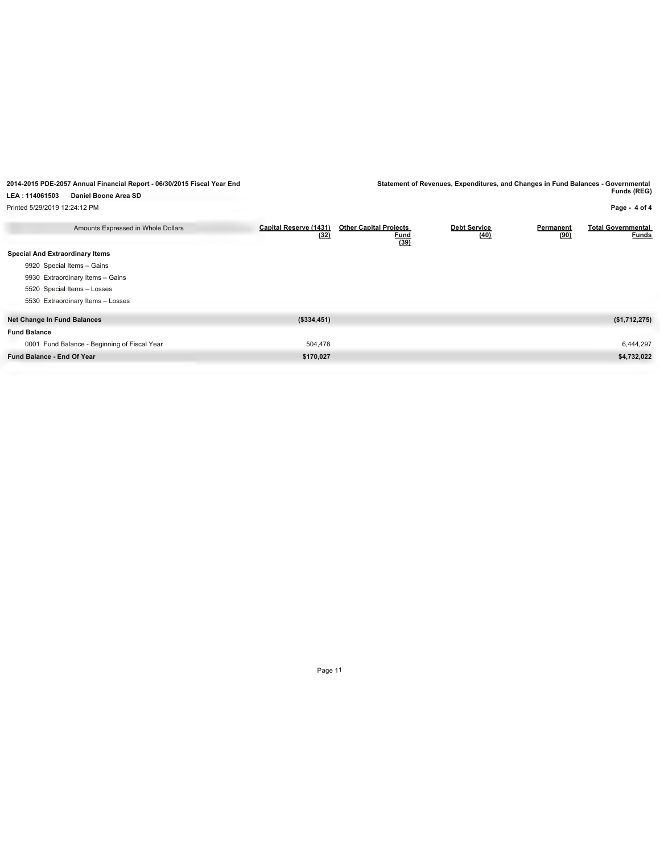**2014-2015 PDE-2057 Annual Financial Report - 06/30/2015 Fiscal Year End Statement of Revenues, Expenditures, and Changes in Fund Balances - Governmental Funds (REG)**

**Page - 4 of 4**

**LEA : 114061503 Daniel Boone Area SD**

Printed 5/29/2019 12:24:12 PM

| Amounts Expressed in Whole Dollars           | Capital Reserve (1431)<br>(32) | <b>Other Capital Projects</b><br><u>Fund</u><br>(39) | <b>Debt Service</b><br>(40) | Permanent<br>(90) | <b>Total Governmental</b><br><b>Funds</b> |
|----------------------------------------------|--------------------------------|------------------------------------------------------|-----------------------------|-------------------|-------------------------------------------|
| <b>Special And Extraordinary Items</b>       |                                |                                                      |                             |                   |                                           |
| 9920 Special Items - Gains                   |                                |                                                      |                             |                   |                                           |
| 9930 Extraordinary Items - Gains             |                                |                                                      |                             |                   |                                           |
| 5520 Special Items - Losses                  |                                |                                                      |                             |                   |                                           |
| 5530 Extraordinary Items - Losses            |                                |                                                      |                             |                   |                                           |
| <b>Net Change In Fund Balances</b>           | (\$334,451)                    |                                                      |                             |                   | (\$1,712,275)                             |
| <b>Fund Balance</b>                          |                                |                                                      |                             |                   |                                           |
| 0001 Fund Balance - Beginning of Fiscal Year | 504,478                        |                                                      |                             |                   | 6,444,297                                 |
| Fund Balance - End Of Year                   | \$170,027                      |                                                      |                             |                   | \$4,732,022                               |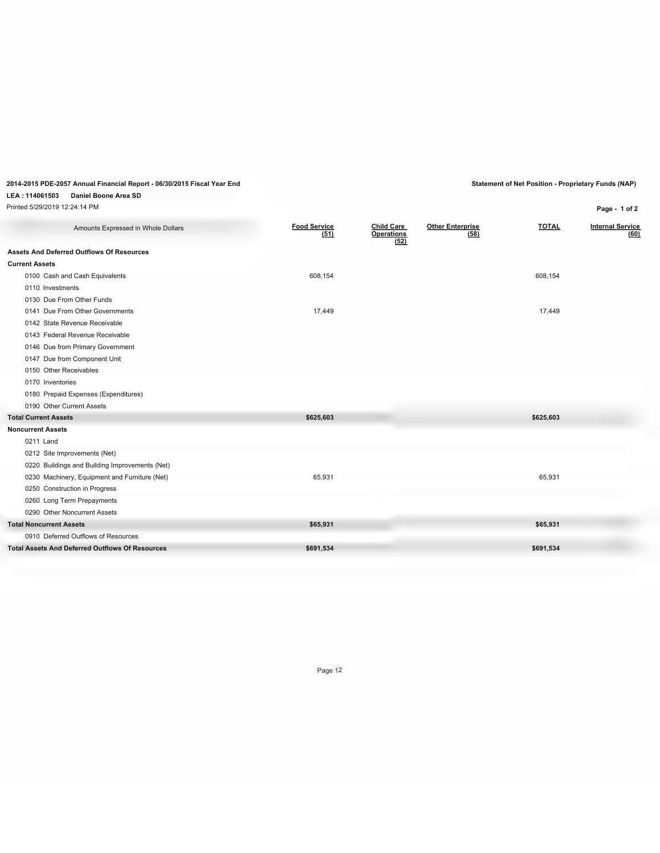## **LEA : 114061503 Daniel Boone Area SD**

| Printed 5/29/2019 12:24:14 PM                          |                             |                                                |                                 |              | Page - 1 of 2                   |
|--------------------------------------------------------|-----------------------------|------------------------------------------------|---------------------------------|--------------|---------------------------------|
| Amounts Expressed in Whole Dollars                     | <b>Food Service</b><br>(51) | <b>Child Care</b><br><b>Operations</b><br>(52) | <b>Other Enterprise</b><br>(58) | <b>TOTAL</b> | <b>Internal Service</b><br>(60) |
| <b>Assets And Deferred Outflows Of Resources</b>       |                             |                                                |                                 |              |                                 |
| <b>Current Assets</b>                                  |                             |                                                |                                 |              |                                 |
| 0100 Cash and Cash Equivalents                         | 608,154                     |                                                |                                 | 608,154      |                                 |
| 0110 Investments                                       |                             |                                                |                                 |              |                                 |
| 0130 Due From Other Funds                              |                             |                                                |                                 |              |                                 |
| 0141 Due From Other Governments                        | 17,449                      |                                                |                                 | 17,449       |                                 |
| 0142 State Revenue Receivable                          |                             |                                                |                                 |              |                                 |
| 0143 Federal Revenue Receivable                        |                             |                                                |                                 |              |                                 |
| 0146 Due from Primary Government                       |                             |                                                |                                 |              |                                 |
| 0147 Due from Component Unit                           |                             |                                                |                                 |              |                                 |
| 0150 Other Receivables                                 |                             |                                                |                                 |              |                                 |
| 0170 Inventories                                       |                             |                                                |                                 |              |                                 |
| 0180 Prepaid Expenses (Expenditures)                   |                             |                                                |                                 |              |                                 |
| 0190 Other Current Assets                              |                             |                                                |                                 |              |                                 |
| <b>Total Current Assets</b>                            | \$625,603                   |                                                |                                 | \$625,603    |                                 |
| <b>Noncurrent Assets</b>                               |                             |                                                |                                 |              |                                 |
| 0211 Land                                              |                             |                                                |                                 |              |                                 |
| 0212 Site Improvements (Net)                           |                             |                                                |                                 |              |                                 |
| 0220 Buildings and Building Improvements (Net)         |                             |                                                |                                 |              |                                 |
| 0230 Machinery, Equipment and Furniture (Net)          | 65,931                      |                                                |                                 | 65,931       |                                 |
| 0250 Construction in Progress                          |                             |                                                |                                 |              |                                 |
| 0260 Long Term Prepayments                             |                             |                                                |                                 |              |                                 |
| 0290 Other Noncurrent Assets                           |                             |                                                |                                 |              |                                 |
| <b>Total Noncurrent Assets</b>                         | \$65,931                    |                                                |                                 | \$65,931     |                                 |
| 0910 Deferred Outflows of Resources                    |                             |                                                |                                 |              |                                 |
| <b>Total Assets And Deferred Outflows Of Resources</b> | \$691,534                   |                                                |                                 | \$691,534    |                                 |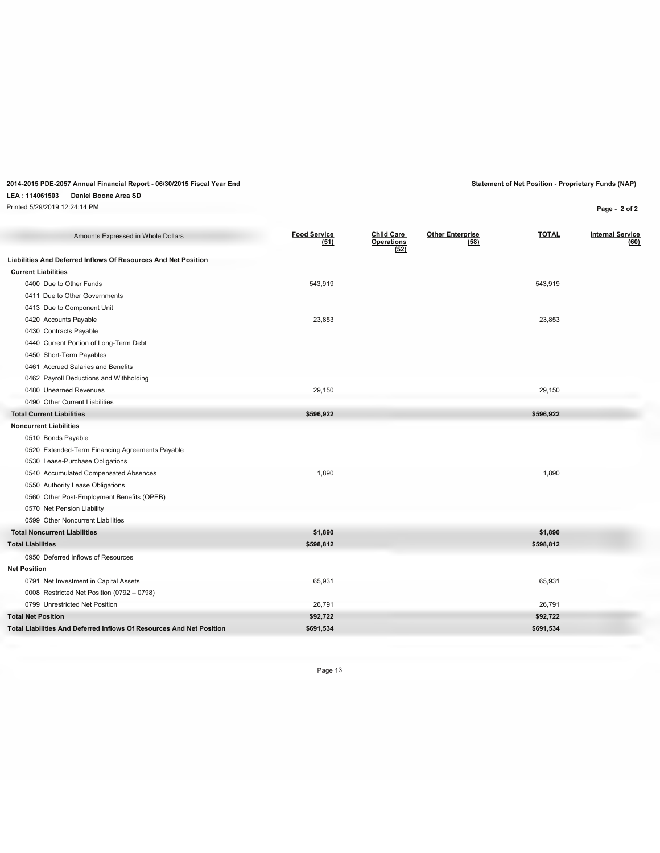### **LEA : 114061503 Daniel Boone Area SD**

Printed 5/29/2019 12:24:14 PM **Page - 2 of 2**

| Amounts Expressed in Whole Dollars                                   | <b>Food Service</b> | <b>Child Care</b>         | <b>Other Enterprise</b> | <b>TOTAL</b> | <b>Internal Service</b> |
|----------------------------------------------------------------------|---------------------|---------------------------|-------------------------|--------------|-------------------------|
|                                                                      | (51)                | <b>Operations</b><br>(52) | (58)                    |              | (60)                    |
| Liabilities And Deferred Inflows Of Resources And Net Position       |                     |                           |                         |              |                         |
| <b>Current Liabilities</b>                                           |                     |                           |                         |              |                         |
| 0400 Due to Other Funds                                              | 543,919             |                           |                         | 543,919      |                         |
| 0411 Due to Other Governments                                        |                     |                           |                         |              |                         |
| 0413 Due to Component Unit                                           |                     |                           |                         |              |                         |
| 0420 Accounts Payable                                                | 23,853              |                           |                         | 23,853       |                         |
| 0430 Contracts Payable                                               |                     |                           |                         |              |                         |
| 0440 Current Portion of Long-Term Debt                               |                     |                           |                         |              |                         |
| 0450 Short-Term Payables                                             |                     |                           |                         |              |                         |
| 0461 Accrued Salaries and Benefits                                   |                     |                           |                         |              |                         |
| 0462 Payroll Deductions and Withholding                              |                     |                           |                         |              |                         |
| 0480 Unearned Revenues                                               | 29,150              |                           |                         | 29,150       |                         |
| 0490 Other Current Liabilities                                       |                     |                           |                         |              |                         |
| <b>Total Current Liabilities</b>                                     | \$596,922           |                           |                         | \$596,922    |                         |
| <b>Noncurrent Liabilities</b>                                        |                     |                           |                         |              |                         |
| 0510 Bonds Payable                                                   |                     |                           |                         |              |                         |
| 0520 Extended-Term Financing Agreements Payable                      |                     |                           |                         |              |                         |
| 0530 Lease-Purchase Obligations                                      |                     |                           |                         |              |                         |
| 0540 Accumulated Compensated Absences                                | 1,890               |                           |                         | 1,890        |                         |
| 0550 Authority Lease Obligations                                     |                     |                           |                         |              |                         |
| 0560 Other Post-Employment Benefits (OPEB)                           |                     |                           |                         |              |                         |
| 0570 Net Pension Liability                                           |                     |                           |                         |              |                         |
| 0599 Other Noncurrent Liabilities                                    |                     |                           |                         |              |                         |
| <b>Total Noncurrent Liabilities</b>                                  | \$1,890             |                           |                         | \$1,890      |                         |
| <b>Total Liabilities</b>                                             | \$598,812           |                           |                         | \$598,812    |                         |
| 0950 Deferred Inflows of Resources                                   |                     |                           |                         |              |                         |
| <b>Net Position</b>                                                  |                     |                           |                         |              |                         |
| 0791 Net Investment in Capital Assets                                | 65,931              |                           |                         | 65,931       |                         |
| 0008 Restricted Net Position (0792 - 0798)                           |                     |                           |                         |              |                         |
| 0799 Unrestricted Net Position                                       | 26,791              |                           |                         | 26,791       |                         |
| <b>Total Net Position</b>                                            | \$92,722            |                           |                         | \$92,722     |                         |
| Total Liabilities And Deferred Inflows Of Resources And Net Position | \$691,534           |                           |                         | \$691,534    |                         |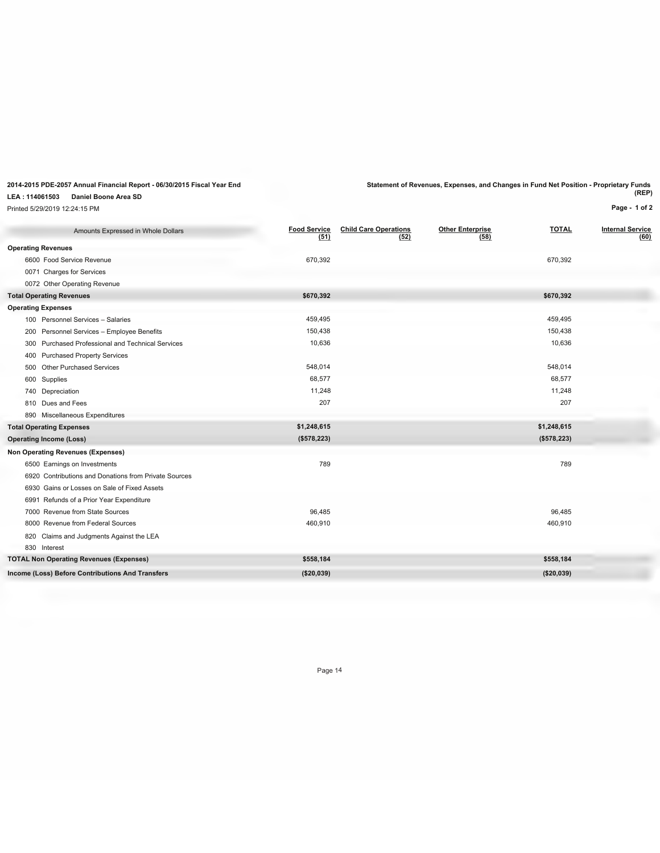### **LEA : 114061503 Daniel Boone Area SD**

Printed 5/29/2019 12:24:15 PM

**2014-2015 PDE-2057 Annual Financial Report - 06/30/2015 Fiscal Year End Statement of Revenues, Expenses, and Changes in Fund Net Position - Proprietary Funds (REP)**

**Page - 1 of 2**

| Amounts Expressed in Whole Dollars                          | <b>Food Service</b><br>(51) | <b>Child Care Operations</b><br>(52) | <b>Other Enterprise</b><br>(58) | <b>TOTAL</b> | <b>Internal Service</b><br>(60) |
|-------------------------------------------------------------|-----------------------------|--------------------------------------|---------------------------------|--------------|---------------------------------|
| <b>Operating Revenues</b>                                   |                             |                                      |                                 |              |                                 |
| 6600 Food Service Revenue                                   | 670,392                     |                                      |                                 | 670,392      |                                 |
| 0071 Charges for Services                                   |                             |                                      |                                 |              |                                 |
| 0072 Other Operating Revenue                                |                             |                                      |                                 |              |                                 |
| <b>Total Operating Revenues</b>                             | \$670,392                   |                                      |                                 | \$670,392    |                                 |
| <b>Operating Expenses</b>                                   |                             |                                      |                                 |              |                                 |
| 100 Personnel Services - Salaries                           | 459,495                     |                                      |                                 | 459,495      |                                 |
| 200 Personnel Services - Employee Benefits                  | 150,438                     |                                      |                                 | 150,438      |                                 |
| <b>Purchased Professional and Technical Services</b><br>300 | 10,636                      |                                      |                                 | 10,636       |                                 |
| 400 Purchased Property Services                             |                             |                                      |                                 |              |                                 |
| 500 Other Purchased Services                                | 548,014                     |                                      |                                 | 548,014      |                                 |
| 600 Supplies                                                | 68,577                      |                                      |                                 | 68,577       |                                 |
| 740 Depreciation                                            | 11,248                      |                                      |                                 | 11,248       |                                 |
| 810 Dues and Fees                                           | 207                         |                                      |                                 | 207          |                                 |
| 890 Miscellaneous Expenditures                              |                             |                                      |                                 |              |                                 |
| <b>Total Operating Expenses</b>                             | \$1,248,615                 |                                      |                                 | \$1,248,615  |                                 |
| <b>Operating Income (Loss)</b>                              | (\$578,223)                 |                                      |                                 | (\$578,223)  |                                 |
| <b>Non Operating Revenues (Expenses)</b>                    |                             |                                      |                                 |              |                                 |
| 6500 Earnings on Investments                                | 789                         |                                      |                                 | 789          |                                 |
| 6920 Contributions and Donations from Private Sources       |                             |                                      |                                 |              |                                 |
| 6930 Gains or Losses on Sale of Fixed Assets                |                             |                                      |                                 |              |                                 |
| 6991 Refunds of a Prior Year Expenditure                    |                             |                                      |                                 |              |                                 |
| 7000 Revenue from State Sources                             | 96,485                      |                                      |                                 | 96,485       |                                 |
| 8000 Revenue from Federal Sources                           | 460,910                     |                                      |                                 | 460,910      |                                 |
| 820 Claims and Judgments Against the LEA                    |                             |                                      |                                 |              |                                 |
| 830 Interest                                                |                             |                                      |                                 |              |                                 |
| <b>TOTAL Non Operating Revenues (Expenses)</b>              | \$558,184                   |                                      |                                 | \$558,184    |                                 |
| Income (Loss) Before Contributions And Transfers            | (\$20,039)                  |                                      |                                 | (\$20,039)   |                                 |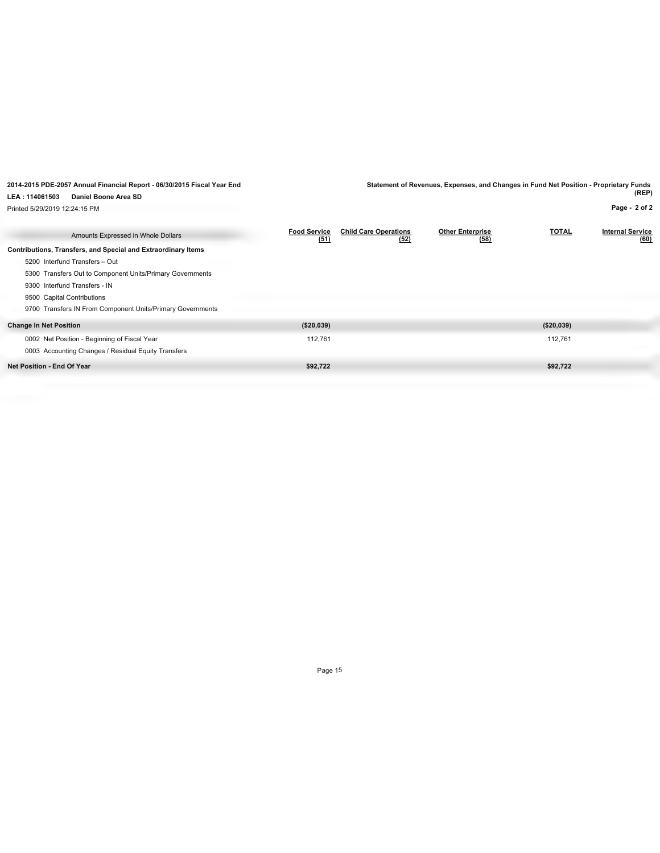|                                   | 2014-2015 PDE-2057 Annual Financial Report - 06/30/2015 Fiscal Year End |                             |                                      | Statement of Revenues, Expenses, and Changes in Fund Net Position - Proprietary Funds |              | (REP)                           |
|-----------------------------------|-------------------------------------------------------------------------|-----------------------------|--------------------------------------|---------------------------------------------------------------------------------------|--------------|---------------------------------|
| LEA: 114061503                    | Daniel Boone Area SD                                                    |                             |                                      |                                                                                       |              |                                 |
| Printed 5/29/2019 12:24:15 PM     |                                                                         |                             |                                      |                                                                                       |              | Page - 2 of 2                   |
|                                   | Amounts Expressed in Whole Dollars                                      | <b>Food Service</b><br>(51) | <b>Child Care Operations</b><br>(52) | <b>Other Enterprise</b><br>(58)                                                       | <b>TOTAL</b> | <b>Internal Service</b><br>(60) |
|                                   | Contributions, Transfers, and Special and Extraordinary Items           |                             |                                      |                                                                                       |              |                                 |
| 5200 Interfund Transfers - Out    |                                                                         |                             |                                      |                                                                                       |              |                                 |
|                                   | 5300 Transfers Out to Component Units/Primary Governments               |                             |                                      |                                                                                       |              |                                 |
| 9300 Interfund Transfers - IN     |                                                                         |                             |                                      |                                                                                       |              |                                 |
| 9500 Capital Contributions        |                                                                         |                             |                                      |                                                                                       |              |                                 |
|                                   | 9700 Transfers IN From Component Units/Primary Governments              |                             |                                      |                                                                                       |              |                                 |
| <b>Change In Net Position</b>     |                                                                         | (\$20,039)                  |                                      |                                                                                       | ( \$20,039)  |                                 |
|                                   | 0002 Net Position - Beginning of Fiscal Year                            | 112,761                     |                                      |                                                                                       | 112,761      |                                 |
|                                   | 0003 Accounting Changes / Residual Equity Transfers                     |                             |                                      |                                                                                       |              |                                 |
| <b>Net Position - End Of Year</b> |                                                                         | \$92,722                    |                                      |                                                                                       | \$92,722     |                                 |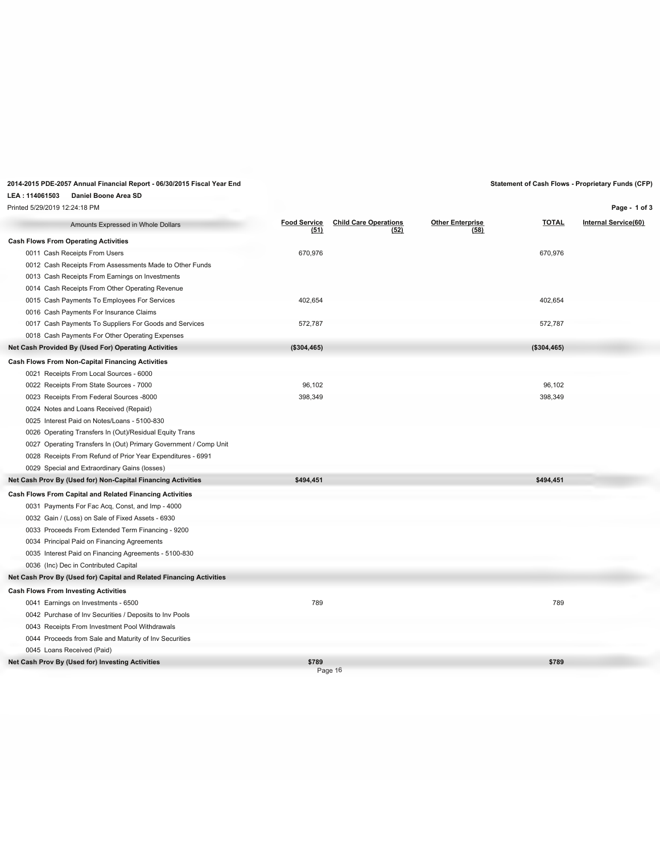## **2014-2015 PDE-2057 Annual Financial Report - 06/30/2015 Fiscal Year End Statement of Cash Flows - Proprietary Funds (CFP)**

### **LEA : 114061503 Daniel Boone Area SD**

Printed 5/29/2019 12:24:18 PM

**Page - 1 of 3**

| Amounts Expressed in Whole Dollars                                   | <b>Food Service</b><br>(51) | <b>Child Care Operations</b><br>(52) | <b>Other Enterprise</b><br>(58) | <b>TOTAL</b> | <b>Internal Service(60)</b> |
|----------------------------------------------------------------------|-----------------------------|--------------------------------------|---------------------------------|--------------|-----------------------------|
| <b>Cash Flows From Operating Activities</b>                          |                             |                                      |                                 |              |                             |
| 0011 Cash Receipts From Users                                        | 670,976                     |                                      |                                 | 670,976      |                             |
| 0012 Cash Receipts From Assessments Made to Other Funds              |                             |                                      |                                 |              |                             |
| 0013 Cash Receipts From Earnings on Investments                      |                             |                                      |                                 |              |                             |
| 0014 Cash Receipts From Other Operating Revenue                      |                             |                                      |                                 |              |                             |
| 0015 Cash Payments To Employees For Services                         | 402,654                     |                                      |                                 | 402,654      |                             |
| 0016 Cash Payments For Insurance Claims                              |                             |                                      |                                 |              |                             |
| 0017 Cash Payments To Suppliers For Goods and Services               | 572,787                     |                                      |                                 | 572,787      |                             |
| 0018 Cash Payments For Other Operating Expenses                      |                             |                                      |                                 |              |                             |
| Net Cash Provided By (Used For) Operating Activities                 | (\$304,465)                 |                                      |                                 | (\$304,465)  |                             |
| Cash Flows From Non-Capital Financing Activities                     |                             |                                      |                                 |              |                             |
| 0021 Receipts From Local Sources - 6000                              |                             |                                      |                                 |              |                             |
| 0022 Receipts From State Sources - 7000                              | 96,102                      |                                      |                                 | 96.102       |                             |
| 0023 Receipts From Federal Sources -8000                             | 398,349                     |                                      |                                 | 398,349      |                             |
| 0024 Notes and Loans Received (Repaid)                               |                             |                                      |                                 |              |                             |
| 0025 Interest Paid on Notes/Loans - 5100-830                         |                             |                                      |                                 |              |                             |
| 0026 Operating Transfers In (Out)/Residual Equity Trans              |                             |                                      |                                 |              |                             |
| 0027 Operating Transfers In (Out) Primary Government / Comp Unit     |                             |                                      |                                 |              |                             |
| 0028 Receipts From Refund of Prior Year Expenditures - 6991          |                             |                                      |                                 |              |                             |
| 0029 Special and Extraordinary Gains (losses)                        |                             |                                      |                                 |              |                             |
| Net Cash Prov By (Used for) Non-Capital Financing Activities         | \$494,451                   |                                      |                                 | \$494,451    |                             |
| Cash Flows From Capital and Related Financing Activities             |                             |                                      |                                 |              |                             |
| 0031 Payments For Fac Acq, Const, and Imp - 4000                     |                             |                                      |                                 |              |                             |
| 0032 Gain / (Loss) on Sale of Fixed Assets - 6930                    |                             |                                      |                                 |              |                             |
| 0033 Proceeds From Extended Term Financing - 9200                    |                             |                                      |                                 |              |                             |
| 0034 Principal Paid on Financing Agreements                          |                             |                                      |                                 |              |                             |
| 0035 Interest Paid on Financing Agreements - 5100-830                |                             |                                      |                                 |              |                             |
| 0036 (Inc) Dec in Contributed Capital                                |                             |                                      |                                 |              |                             |
| Net Cash Prov By (Used for) Capital and Related Financing Activities |                             |                                      |                                 |              |                             |
| <b>Cash Flows From Investing Activities</b>                          |                             |                                      |                                 |              |                             |
| 0041 Earnings on Investments - 6500                                  | 789                         |                                      |                                 | 789          |                             |
| 0042 Purchase of Inv Securities / Deposits to Inv Pools              |                             |                                      |                                 |              |                             |
| 0043 Receipts From Investment Pool Withdrawals                       |                             |                                      |                                 |              |                             |
| 0044 Proceeds from Sale and Maturity of Inv Securities               |                             |                                      |                                 |              |                             |
| 0045 Loans Received (Paid)                                           |                             |                                      |                                 |              |                             |
| Net Cash Prov By (Used for) Investing Activities                     | \$789                       | Page 16                              |                                 | \$789        |                             |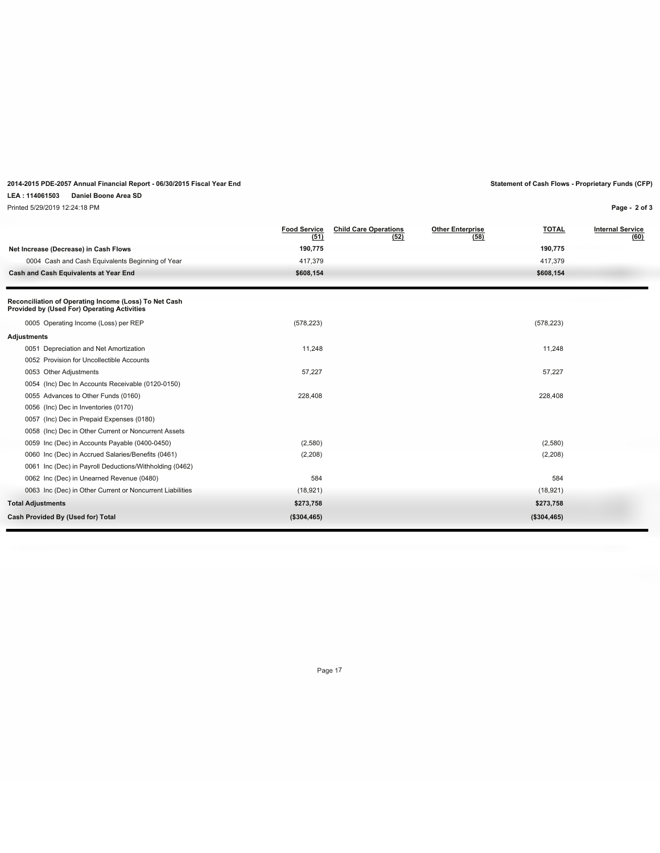## **2014-2015 PDE-2057 Annual Financial Report - 06/30/2015 Fiscal Year End Statement of Cash Flows - Proprietary Funds (CFP)**

### **LEA : 114061503 Daniel Boone Area SD**

Printed 5/29/2019 12:24:18 PM

**Page - 2 of 3**

|                                                                                                      | <b>Food Service</b><br>(51) | <b>Child Care Operations</b><br>(52) | <b>Other Enterprise</b><br>(58) | <b>TOTAL</b> | <b>Internal Service</b><br>(60) |
|------------------------------------------------------------------------------------------------------|-----------------------------|--------------------------------------|---------------------------------|--------------|---------------------------------|
| Net Increase (Decrease) in Cash Flows                                                                | 190,775                     |                                      |                                 | 190,775      |                                 |
| 0004 Cash and Cash Equivalents Beginning of Year                                                     | 417,379                     |                                      |                                 | 417,379      |                                 |
| Cash and Cash Equivalents at Year End                                                                | \$608,154                   |                                      |                                 | \$608,154    |                                 |
| Reconciliation of Operating Income (Loss) To Net Cash<br>Provided by (Used For) Operating Activities |                             |                                      |                                 |              |                                 |
| 0005 Operating Income (Loss) per REP                                                                 | (578, 223)                  |                                      |                                 | (578, 223)   |                                 |
| Adjustments                                                                                          |                             |                                      |                                 |              |                                 |
| 0051 Depreciation and Net Amortization                                                               | 11,248                      |                                      |                                 | 11,248       |                                 |
| 0052 Provision for Uncollectible Accounts                                                            |                             |                                      |                                 |              |                                 |
| 0053 Other Adjustments                                                                               | 57,227                      |                                      |                                 | 57,227       |                                 |
| 0054 (Inc) Dec In Accounts Receivable (0120-0150)                                                    |                             |                                      |                                 |              |                                 |
| 0055 Advances to Other Funds (0160)                                                                  | 228,408                     |                                      |                                 | 228,408      |                                 |
| 0056 (Inc) Dec in Inventories (0170)                                                                 |                             |                                      |                                 |              |                                 |
| 0057 (Inc) Dec in Prepaid Expenses (0180)                                                            |                             |                                      |                                 |              |                                 |
| 0058 (Inc) Dec in Other Current or Noncurrent Assets                                                 |                             |                                      |                                 |              |                                 |
| 0059 Inc (Dec) in Accounts Payable (0400-0450)                                                       | (2,580)                     |                                      |                                 | (2,580)      |                                 |
| 0060 Inc (Dec) in Accrued Salaries/Benefits (0461)                                                   | (2,208)                     |                                      |                                 | (2,208)      |                                 |
| 0061 Inc (Dec) in Payroll Deductions/Withholding (0462)                                              |                             |                                      |                                 |              |                                 |
| 0062 Inc (Dec) in Unearned Revenue (0480)                                                            | 584                         |                                      |                                 | 584          |                                 |
| 0063 Inc (Dec) in Other Current or Noncurrent Liabilities                                            | (18, 921)                   |                                      |                                 | (18, 921)    |                                 |
| <b>Total Adjustments</b>                                                                             | \$273,758                   |                                      |                                 | \$273,758    |                                 |
| Cash Provided By (Used for) Total                                                                    | (\$304,465)                 |                                      |                                 | (\$304,465)  |                                 |
|                                                                                                      |                             |                                      |                                 |              |                                 |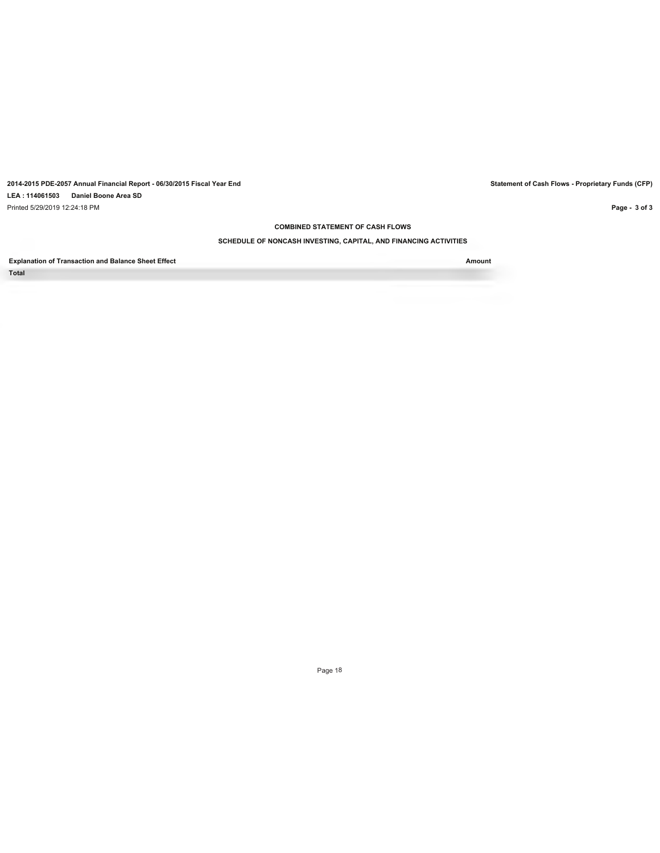**2014-2015 PDE-2057 Annual Financial Report - 06/30/2015 Fiscal Year End Statement of Cash Flows - Proprietary Funds (CFP) LEA : 114061503 Daniel Boone Area SD** Printed 5/29/2019 12:24:18 PM

**COMBINED STATEMENT OF CASH FLOWS**

### **SCHEDULE OF NONCASH INVESTING, CAPITAL, AND FINANCING ACTIVITIES**

**Explanation of Transaction and Balance Sheet Effect Amount Total**

Page 18

**Page - 3 of 3**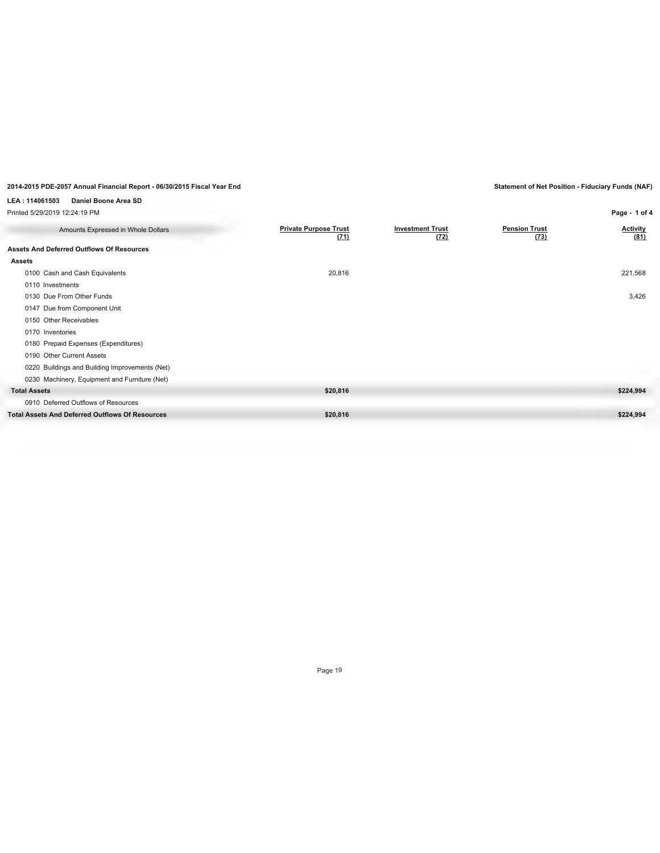## **LEA : 114061503 Daniel Boone Area SD**

| Printed 5/29/2019 12:24:19 PM                          |                                      |                                 |                              | Page - 1 of 4           |
|--------------------------------------------------------|--------------------------------------|---------------------------------|------------------------------|-------------------------|
| Amounts Expressed in Whole Dollars                     | <b>Private Purpose Trust</b><br>(71) | <b>Investment Trust</b><br>(72) | <b>Pension Trust</b><br>(73) | <b>Activity</b><br>(81) |
| <b>Assets And Deferred Outflows Of Resources</b>       |                                      |                                 |                              |                         |
| <b>Assets</b>                                          |                                      |                                 |                              |                         |
| 0100 Cash and Cash Equivalents                         | 20,816                               |                                 |                              | 221,568                 |
| 0110 Investments                                       |                                      |                                 |                              |                         |
| 0130 Due From Other Funds                              |                                      |                                 |                              | 3,426                   |
| 0147 Due from Component Unit                           |                                      |                                 |                              |                         |
| 0150 Other Receivables                                 |                                      |                                 |                              |                         |
| 0170 Inventories                                       |                                      |                                 |                              |                         |
| 0180 Prepaid Expenses (Expenditures)                   |                                      |                                 |                              |                         |
| 0190 Other Current Assets                              |                                      |                                 |                              |                         |
| 0220 Buildings and Building Improvements (Net)         |                                      |                                 |                              |                         |
| 0230 Machinery, Equipment and Furniture (Net)          |                                      |                                 |                              |                         |
| <b>Total Assets</b>                                    | \$20,816                             |                                 |                              | \$224,994               |
| 0910 Deferred Outflows of Resources                    |                                      |                                 |                              |                         |
| <b>Total Assets And Deferred Outflows Of Resources</b> | \$20,816                             |                                 |                              | \$224,994               |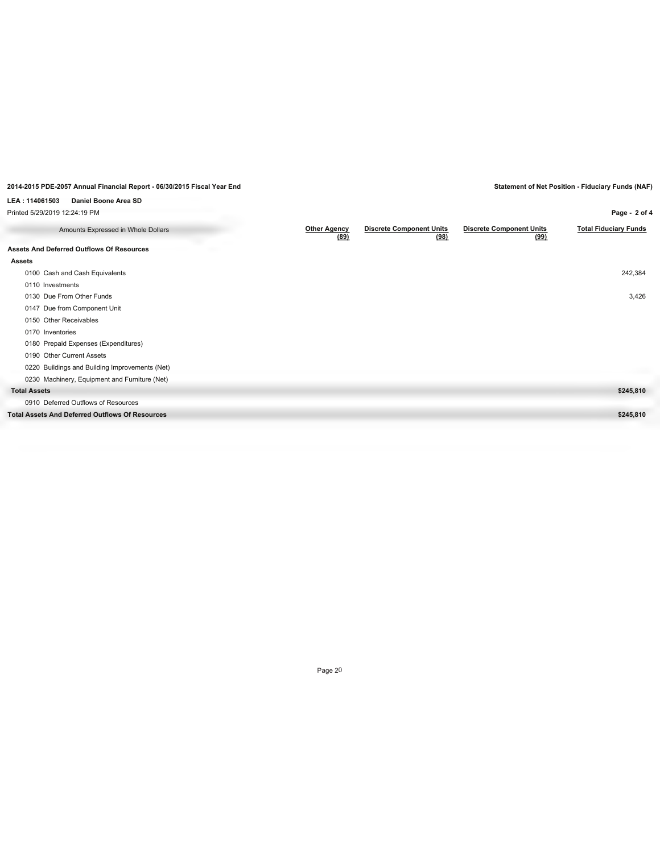**Page - 2 of 4**

| LEA: 114061503<br>Daniel Boone Area SD                 |                             |                                         |                                         |
|--------------------------------------------------------|-----------------------------|-----------------------------------------|-----------------------------------------|
| Printed 5/29/2019 12:24:19 PM                          |                             |                                         |                                         |
| Amounts Expressed in Whole Dollars                     | <b>Other Agency</b><br>(89) | <b>Discrete Component Units</b><br>(98) | <b>Discrete Component Units</b><br>(99) |
| <b>Assets And Deferred Outflows Of Resources</b>       |                             |                                         |                                         |
| <b>Assets</b>                                          |                             |                                         |                                         |
| 0100 Cash and Cash Equivalents                         |                             |                                         |                                         |
| 0110 Investments                                       |                             |                                         |                                         |
| 0130 Due From Other Funds                              |                             |                                         |                                         |
| 0147 Due from Component Unit                           |                             |                                         |                                         |
| 0150 Other Receivables                                 |                             |                                         |                                         |
| 0170 Inventories                                       |                             |                                         |                                         |
| 0180 Prepaid Expenses (Expenditures)                   |                             |                                         |                                         |
| 0190 Other Current Assets                              |                             |                                         |                                         |
| 0220 Buildings and Building Improvements (Net)         |                             |                                         |                                         |
| 0230 Machinery, Equipment and Furniture (Net)          |                             |                                         |                                         |
| <b>Total Assets</b>                                    |                             |                                         |                                         |
| 0910 Deferred Outflows of Resources                    |                             |                                         |                                         |
| <b>Total Assets And Deferred Outflows Of Resources</b> |                             |                                         |                                         |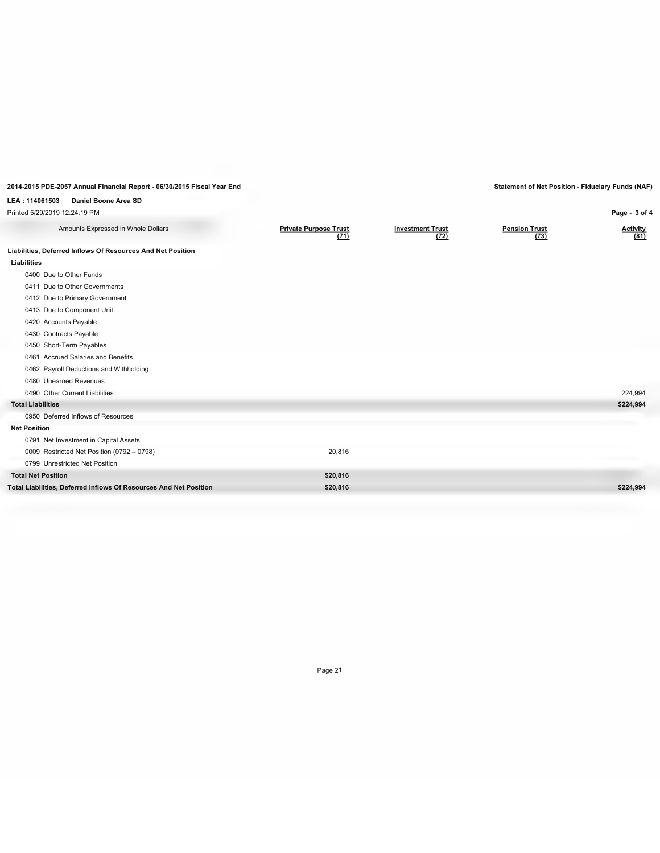**Page - 3 of 4**

## **LEA : 114061503 Daniel Boone Area SD**

Printed 5/29/2019 12:24:19 PM

| Amounts Expressed in Whole Dollars                                | <b>Private Purpose Trust</b><br>(71) | <b>Investment Trust</b><br>(72) | <b>Pension Trust</b><br>(73) | <b>Activity</b><br>(81) |
|-------------------------------------------------------------------|--------------------------------------|---------------------------------|------------------------------|-------------------------|
| Liabilities, Deferred Inflows Of Resources And Net Position       |                                      |                                 |                              |                         |
| Liabilities                                                       |                                      |                                 |                              |                         |
| 0400 Due to Other Funds                                           |                                      |                                 |                              |                         |
| 0411 Due to Other Governments                                     |                                      |                                 |                              |                         |
| 0412 Due to Primary Government                                    |                                      |                                 |                              |                         |
| 0413 Due to Component Unit                                        |                                      |                                 |                              |                         |
| 0420 Accounts Payable                                             |                                      |                                 |                              |                         |
| 0430 Contracts Payable                                            |                                      |                                 |                              |                         |
| 0450 Short-Term Payables                                          |                                      |                                 |                              |                         |
| 0461 Accrued Salaries and Benefits                                |                                      |                                 |                              |                         |
| 0462 Payroll Deductions and Withholding                           |                                      |                                 |                              |                         |
| 0480 Unearned Revenues                                            |                                      |                                 |                              |                         |
| 0490 Other Current Liabilities                                    |                                      |                                 |                              | 224,994                 |
| <b>Total Liabilities</b>                                          |                                      |                                 |                              | \$224,994               |
| 0950 Deferred Inflows of Resources                                |                                      |                                 |                              |                         |
| <b>Net Position</b>                                               |                                      |                                 |                              |                         |
| 0791 Net Investment in Capital Assets                             |                                      |                                 |                              |                         |
| 0009 Restricted Net Position (0792 - 0798)                        | 20,816                               |                                 |                              |                         |
| 0799 Unrestricted Net Position                                    |                                      |                                 |                              |                         |
| <b>Total Net Position</b>                                         | \$20,816                             |                                 |                              |                         |
| Total Liabilities, Deferred Inflows Of Resources And Net Position | \$20,816                             |                                 |                              | \$224,994               |
|                                                                   |                                      |                                 |                              |                         |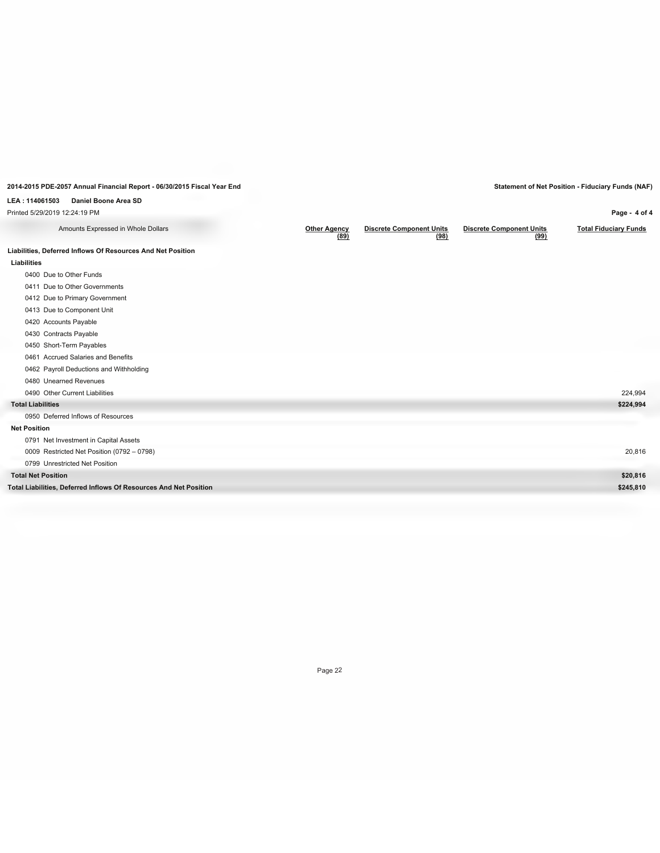**Page - 4 of 4**

## **LEA : 114061503 Daniel Boone Area SD**

Printed 5/29/2019 12:24:19 PM

| Amounts Expressed in Whole Dollars                                | <b>Other Agency</b><br>(89) | <b>Discrete Component Units</b><br>(98) | <b>Discrete Component Units</b><br>(99) | <b>Total Fiduciary Funds</b> |
|-------------------------------------------------------------------|-----------------------------|-----------------------------------------|-----------------------------------------|------------------------------|
| Liabilities, Deferred Inflows Of Resources And Net Position       |                             |                                         |                                         |                              |
| Liabilities                                                       |                             |                                         |                                         |                              |
| 0400 Due to Other Funds                                           |                             |                                         |                                         |                              |
| 0411 Due to Other Governments                                     |                             |                                         |                                         |                              |
| 0412 Due to Primary Government                                    |                             |                                         |                                         |                              |
| 0413 Due to Component Unit                                        |                             |                                         |                                         |                              |
| 0420 Accounts Payable                                             |                             |                                         |                                         |                              |
| 0430 Contracts Payable                                            |                             |                                         |                                         |                              |
| 0450 Short-Term Payables                                          |                             |                                         |                                         |                              |
| 0461 Accrued Salaries and Benefits                                |                             |                                         |                                         |                              |
| 0462 Payroll Deductions and Withholding                           |                             |                                         |                                         |                              |
| 0480 Unearned Revenues                                            |                             |                                         |                                         |                              |
| 0490 Other Current Liabilities                                    |                             |                                         |                                         | 224,994                      |
| <b>Total Liabilities</b>                                          |                             |                                         |                                         | \$224,994                    |
| 0950 Deferred Inflows of Resources                                |                             |                                         |                                         |                              |
| <b>Net Position</b>                                               |                             |                                         |                                         |                              |
| 0791 Net Investment in Capital Assets                             |                             |                                         |                                         |                              |
| 0009 Restricted Net Position (0792 - 0798)                        |                             |                                         |                                         | 20,816                       |
| 0799 Unrestricted Net Position                                    |                             |                                         |                                         |                              |
| <b>Total Net Position</b>                                         |                             |                                         |                                         | \$20,816                     |
| Total Liabilities, Deferred Inflows Of Resources And Net Position |                             |                                         |                                         | \$245,810                    |
|                                                                   |                             |                                         |                                         |                              |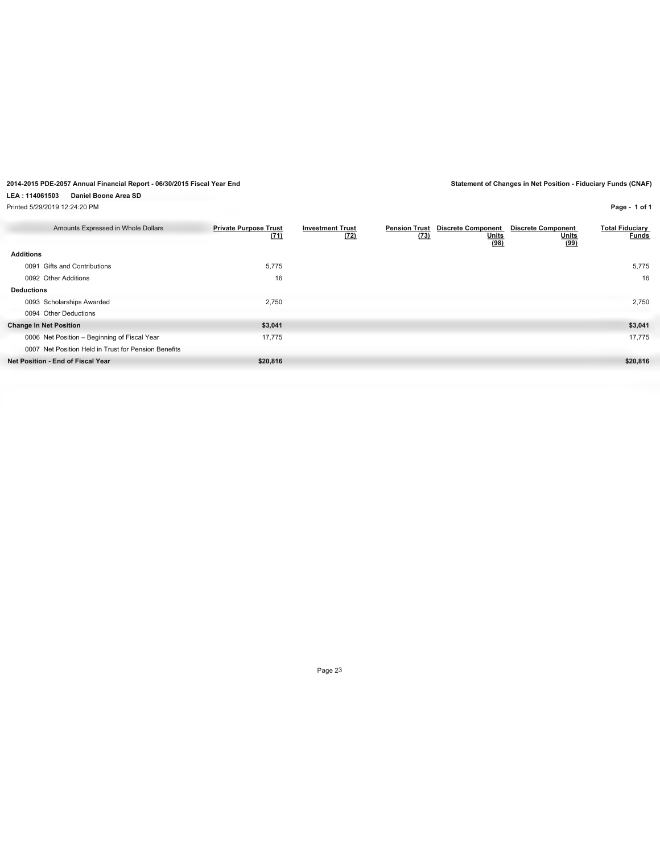## **LEA : 114061503 Daniel Boone Area SD**

Printed 5/29/2019 12:24:20 PM

**Page - 1 of 1**

| Amounts Expressed in Whole Dollars                   | <b>Private Purpose Trust</b><br>(71) | <b>Investment Trust</b><br>(72) | <b>Pension Trust</b><br>(73) | <b>Discrete Component</b><br><b>Units</b><br>(98) | <b>Discrete Component</b><br><b>Units</b><br>(99) | <b>Total Fiduciary</b><br><b>Funds</b> |
|------------------------------------------------------|--------------------------------------|---------------------------------|------------------------------|---------------------------------------------------|---------------------------------------------------|----------------------------------------|
| <b>Additions</b>                                     |                                      |                                 |                              |                                                   |                                                   |                                        |
| 0091 Gifts and Contributions                         | 5,775                                |                                 |                              |                                                   |                                                   | 5,775                                  |
| 0092 Other Additions                                 | 16                                   |                                 |                              |                                                   |                                                   | 16                                     |
| <b>Deductions</b>                                    |                                      |                                 |                              |                                                   |                                                   |                                        |
| 0093 Scholarships Awarded                            | 2,750                                |                                 |                              |                                                   |                                                   | 2,750                                  |
| 0094 Other Deductions                                |                                      |                                 |                              |                                                   |                                                   |                                        |
| <b>Change In Net Position</b>                        | \$3,041                              |                                 |                              |                                                   |                                                   | \$3,041                                |
| 0006 Net Position - Beginning of Fiscal Year         | 17,775                               |                                 |                              |                                                   |                                                   | 17,775                                 |
| 0007 Net Position Held in Trust for Pension Benefits |                                      |                                 |                              |                                                   |                                                   |                                        |
| Net Position - End of Fiscal Year                    | \$20,816                             |                                 |                              |                                                   |                                                   | \$20,816                               |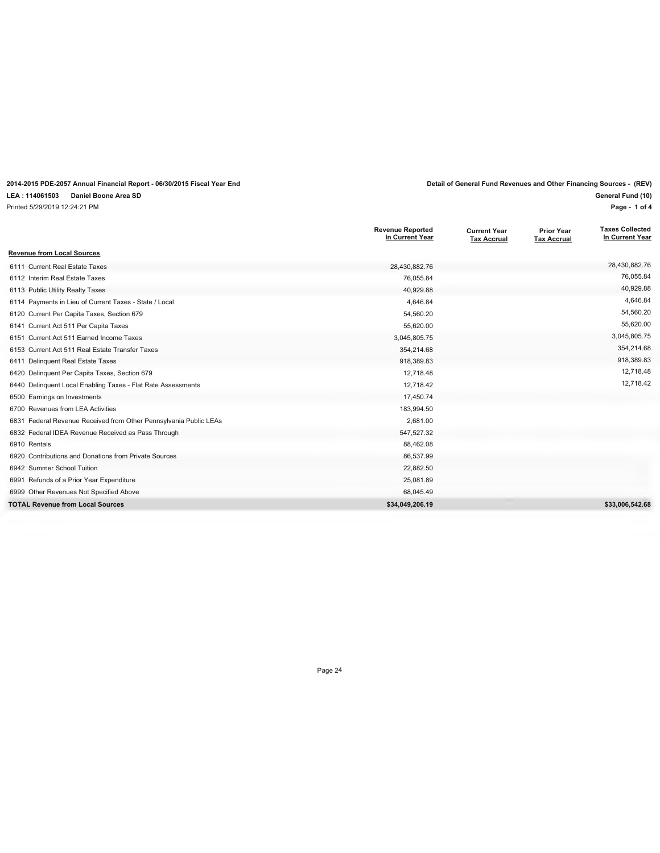## **2014-2015 PDE-2057 Annual Financial Report - 06/30/2015 Fiscal Year End Detail of General Fund Revenues and Other Financing Sources - (REV)**

## **LEA : 114061503 Daniel Boone Area SD**

Printed 5/29/2019 12:24:21 PM

| General Fund (10) |  |
|-------------------|--|
| Page - 1 of 4     |  |

|                                                                   | <b>Revenue Reported</b><br>In Current Year | <b>Current Year</b><br><b>Tax Accrual</b> | <b>Prior Year</b><br><b>Tax Accrual</b> | <b>Taxes Collected</b><br>In Current Year |
|-------------------------------------------------------------------|--------------------------------------------|-------------------------------------------|-----------------------------------------|-------------------------------------------|
| <b>Revenue from Local Sources</b>                                 |                                            |                                           |                                         |                                           |
| 6111 Current Real Estate Taxes                                    | 28,430,882.76                              |                                           |                                         | 28,430,882.76                             |
| 6112 Interim Real Estate Taxes                                    | 76,055.84                                  |                                           |                                         | 76,055.84                                 |
| 6113 Public Utility Realty Taxes                                  | 40,929.88                                  |                                           |                                         | 40.929.88                                 |
| 6114 Payments in Lieu of Current Taxes - State / Local            | 4,646.84                                   |                                           |                                         | 4,646.84                                  |
| 6120 Current Per Capita Taxes, Section 679                        | 54,560.20                                  |                                           |                                         | 54,560.20                                 |
| 6141 Current Act 511 Per Capita Taxes                             | 55,620.00                                  |                                           |                                         | 55,620.00                                 |
| 6151 Current Act 511 Earned Income Taxes                          | 3,045,805.75                               |                                           |                                         | 3,045,805.75                              |
| 6153 Current Act 511 Real Estate Transfer Taxes                   | 354,214.68                                 |                                           |                                         | 354,214.68                                |
| 6411 Delinquent Real Estate Taxes                                 | 918,389.83                                 |                                           |                                         | 918,389.83                                |
| 6420 Delinquent Per Capita Taxes, Section 679                     | 12,718.48                                  |                                           |                                         | 12,718.48                                 |
| 6440 Delinquent Local Enabling Taxes - Flat Rate Assessments      | 12,718.42                                  |                                           |                                         | 12,718.42                                 |
| 6500 Earnings on Investments                                      | 17,450.74                                  |                                           |                                         |                                           |
| 6700 Revenues from LEA Activities                                 | 183,994.50                                 |                                           |                                         |                                           |
| 6831 Federal Revenue Received from Other Pennsylvania Public LEAs | 2,681.00                                   |                                           |                                         |                                           |
| 6832 Federal IDEA Revenue Received as Pass Through                | 547,527.32                                 |                                           |                                         |                                           |
| 6910 Rentals                                                      | 88,462.08                                  |                                           |                                         |                                           |
| 6920 Contributions and Donations from Private Sources             | 86,537.99                                  |                                           |                                         |                                           |
| 6942 Summer School Tuition                                        | 22,882.50                                  |                                           |                                         |                                           |
| 6991 Refunds of a Prior Year Expenditure                          | 25,081.89                                  |                                           |                                         |                                           |
| 6999 Other Revenues Not Specified Above                           | 68,045.49                                  |                                           |                                         |                                           |
| <b>TOTAL Revenue from Local Sources</b>                           | \$34,049,206.19                            |                                           |                                         | \$33,006,542.68                           |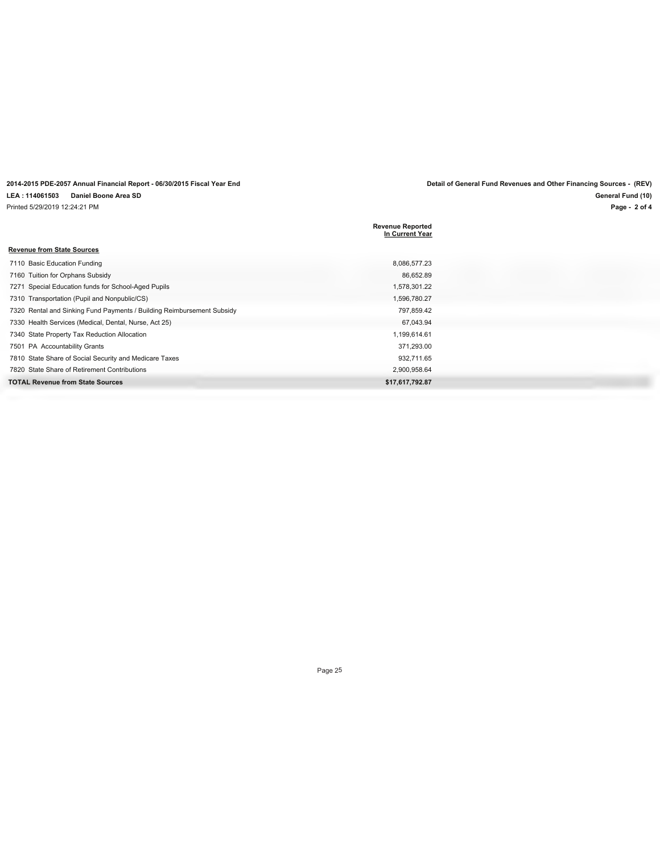**2014-2015 PDE-2057 Annual Financial Report - 06/30/2015 Fiscal Year End Detail of General Fund Revenues and Other Financing Sources - (REV) LEA : 114061503 Daniel Boone Area SD** Printed 5/29/2019 12:24:21 PM

**Page - 2 of 4 General Fund (10)**

|                                                                        | <b>Revenue Reported</b><br>In Current Year |
|------------------------------------------------------------------------|--------------------------------------------|
| <b>Revenue from State Sources</b>                                      |                                            |
| 7110 Basic Education Funding                                           | 8,086,577.23                               |
| 7160 Tuition for Orphans Subsidy                                       | 86,652.89                                  |
| 7271 Special Education funds for School-Aged Pupils                    | 1,578,301.22                               |
| 7310 Transportation (Pupil and Nonpublic/CS)                           | 1,596,780.27                               |
| 7320 Rental and Sinking Fund Payments / Building Reimbursement Subsidy | 797,859.42                                 |
| 7330 Health Services (Medical, Dental, Nurse, Act 25)                  | 67,043.94                                  |
| 7340 State Property Tax Reduction Allocation                           | 1,199,614.61                               |
| 7501 PA Accountability Grants                                          | 371,293.00                                 |
| 7810 State Share of Social Security and Medicare Taxes                 | 932,711.65                                 |
| 7820 State Share of Retirement Contributions                           | 2,900,958.64                               |
| <b>TOTAL Revenue from State Sources</b>                                | \$17,617,792.87                            |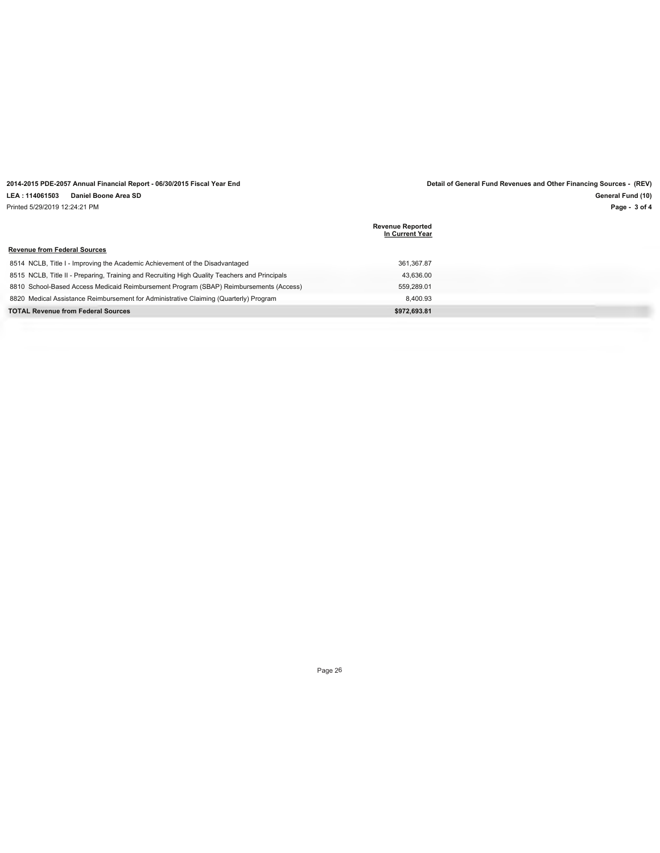## **2014-2015 PDE-2057 Annual Financial Report - 06/30/2015 Fiscal Year End Detail of General Fund Revenues and Other Financing Sources - (REV)**

**LEA : 114061503 Daniel Boone Area SD**

Printed 5/29/2019 12:24:21 PM

**Page - 3 of 4 General Fund (10)**

|                                                                                               | <b>Revenue Reported</b><br>In Current Year |
|-----------------------------------------------------------------------------------------------|--------------------------------------------|
| <b>Revenue from Federal Sources</b>                                                           |                                            |
| 8514 NCLB, Title I - Improving the Academic Achievement of the Disadvantaged                  | 361.367.87                                 |
| 8515 NCLB, Title II - Preparing, Training and Recruiting High Quality Teachers and Principals | 43.636.00                                  |
| 8810 School-Based Access Medicaid Reimbursement Program (SBAP) Reimbursements (Access)        | 559.289.01                                 |
| 8820 Medical Assistance Reimbursement for Administrative Claiming (Quarterly) Program         | 8.400.93                                   |
| <b>TOTAL Revenue from Federal Sources</b>                                                     | \$972.693.81                               |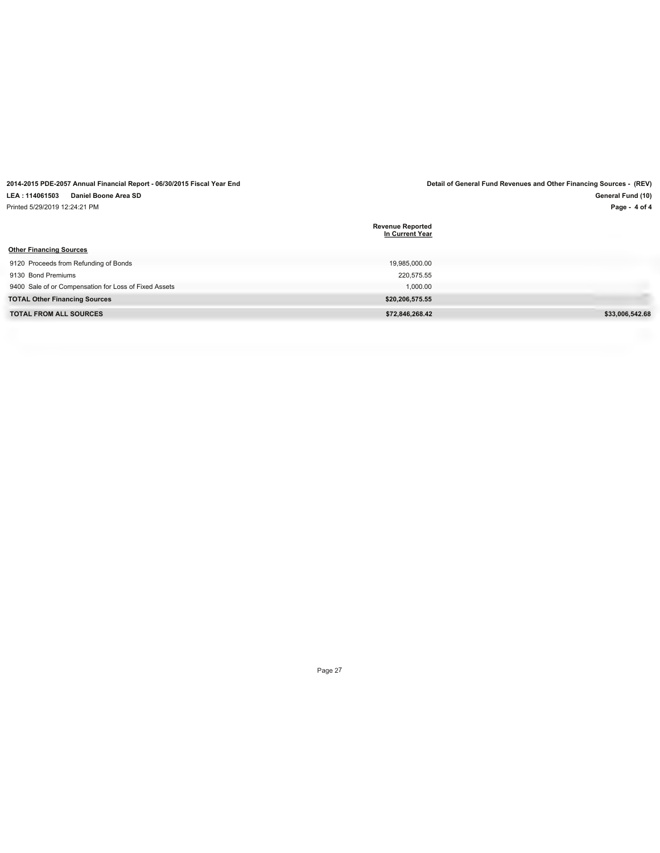| 2014-2015 PDE-2057 Annual Financial Report - 06/30/2015 Fiscal Year End |                                            | Detail of General Fund Revenues and Other Financing Sources - (REV) |
|-------------------------------------------------------------------------|--------------------------------------------|---------------------------------------------------------------------|
| LEA: 114061503<br>Daniel Boone Area SD                                  |                                            | General Fund (10)                                                   |
| Printed 5/29/2019 12:24:21 PM                                           |                                            | Page - 4 of 4                                                       |
|                                                                         | <b>Revenue Reported</b><br>In Current Year |                                                                     |
| <b>Other Financing Sources</b>                                          |                                            |                                                                     |
| 9120 Proceeds from Refunding of Bonds                                   | 19.985.000.00                              |                                                                     |
| 9130 Bond Premiums                                                      | 220.575.55                                 |                                                                     |
| 9400 Sale of or Compensation for Loss of Fixed Assets                   | 1.000.00                                   |                                                                     |
| <b>TOTAL Other Financing Sources</b>                                    | \$20,206,575.55                            |                                                                     |
| <b>TOTAL FROM ALL SOURCES</b>                                           | \$72.846.268.42                            | \$33,006.542.68                                                     |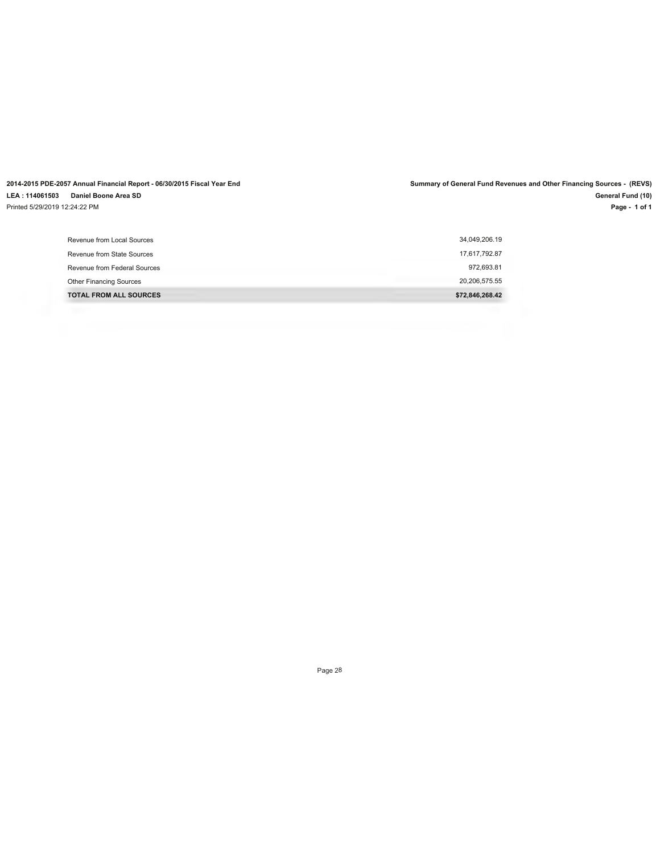**2014-2015 PDE-2057 Annual Financial Report - 06/30/2015 Fiscal Year End Summary of General Fund Revenues and Other Financing Sources - (REVS) LEA : 114061503 Daniel Boone Area SD** Printed 5/29/2019 12:24:22 PM

**Page - 1 of 1 General Fund (10)**

| Revenue from Local Sources     | 34,049,206.19   |
|--------------------------------|-----------------|
| Revenue from State Sources     | 17,617,792.87   |
| Revenue from Federal Sources   | 972,693.81      |
| <b>Other Financing Sources</b> | 20,206,575.55   |
| <b>TOTAL FROM ALL SOURCES</b>  | \$72,846,268.42 |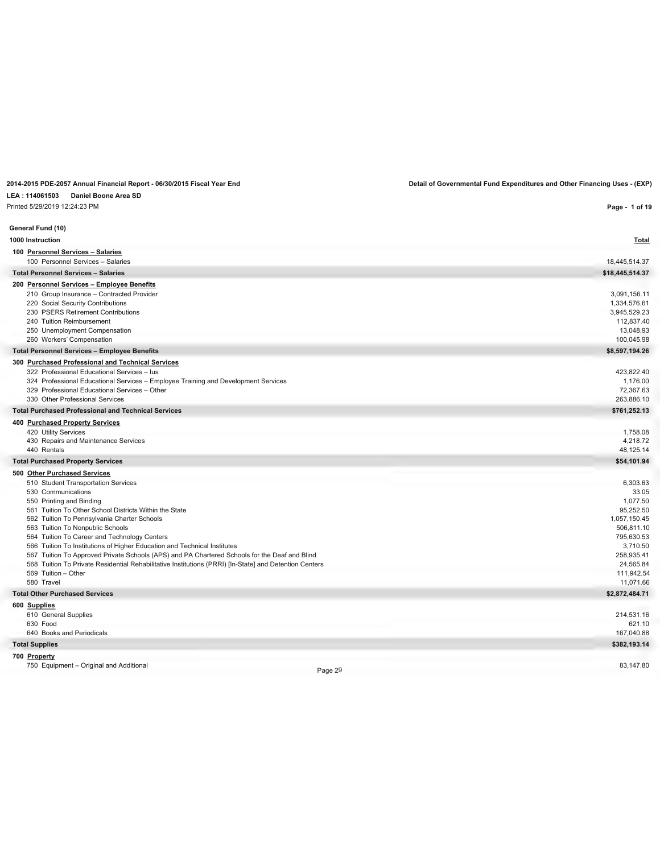## **LEA : 114061503 Daniel Boone Area SD**

Printed 5/29/2019 12:24:23 PM

**2014-2015 PDE-2057 Annual Financial Report - 06/30/2015 Fiscal Year End Detail of Governmental Fund Expenditures and Other Financing Uses - (EXP)**

| Printed 5/29/2019 12:24:23 PM                                                                                                       | Page - 1 of 19          |
|-------------------------------------------------------------------------------------------------------------------------------------|-------------------------|
| General Fund (10)                                                                                                                   |                         |
| 1000 Instruction                                                                                                                    | <b>Total</b>            |
| 100 Personnel Services - Salaries                                                                                                   |                         |
| 100 Personnel Services - Salaries                                                                                                   | 18,445,514.37           |
| <b>Total Personnel Services - Salaries</b>                                                                                          | \$18,445,514.37         |
| 200 Personnel Services - Employee Benefits                                                                                          |                         |
| 210 Group Insurance - Contracted Provider                                                                                           | 3.091.156.11            |
| 220 Social Security Contributions                                                                                                   | 1,334,576.61            |
| 230 PSERS Retirement Contributions                                                                                                  | 3,945,529.23            |
| 240 Tuition Reimbursement                                                                                                           | 112,837.40              |
| 250 Unemployment Compensation                                                                                                       | 13,048.93               |
| 260 Workers' Compensation                                                                                                           | 100,045.98              |
| <b>Total Personnel Services - Employee Benefits</b>                                                                                 | \$8,597,194.26          |
| 300 Purchased Professional and Technical Services                                                                                   |                         |
| 322 Professional Educational Services - lus                                                                                         | 423,822.40              |
| 324 Professional Educational Services - Employee Training and Development Services<br>329 Professional Educational Services - Other | 1,176.00<br>72,367.63   |
| 330 Other Professional Services                                                                                                     | 263,886.10              |
| <b>Total Purchased Professional and Technical Services</b>                                                                          | \$761,252.13            |
|                                                                                                                                     |                         |
| 400 Purchased Property Services<br>420 Utility Services                                                                             | 1,758.08                |
| 430 Repairs and Maintenance Services                                                                                                | 4.218.72                |
| 440 Rentals                                                                                                                         | 48,125.14               |
| <b>Total Purchased Property Services</b>                                                                                            | \$54,101.94             |
| 500 Other Purchased Services                                                                                                        |                         |
| 510 Student Transportation Services                                                                                                 | 6,303.63                |
| 530 Communications                                                                                                                  | 33.05                   |
| 550 Printing and Binding                                                                                                            | 1.077.50                |
| 561 Tuition To Other School Districts Within the State                                                                              | 95,252.50               |
| 562 Tuition To Pennsylvania Charter Schools                                                                                         | 1,057,150.45            |
| 563 Tuition To Nonpublic Schools                                                                                                    | 506,811.10              |
| 564 Tuition To Career and Technology Centers                                                                                        | 795.630.53              |
| 566 Tuition To Institutions of Higher Education and Technical Institutes                                                            | 3,710.50                |
| 567 Tuition To Approved Private Schools (APS) and PA Chartered Schools for the Deaf and Blind                                       | 258,935.41              |
| 568 Tuition To Private Residential Rehabilitative Institutions (PRRI) [In-State] and Detention Centers                              | 24,565.84               |
| 569 Tuition - Other<br>580 Travel                                                                                                   | 111,942.54<br>11,071.66 |
| <b>Total Other Purchased Services</b>                                                                                               | \$2,872,484.71          |
|                                                                                                                                     |                         |
| 600 Supplies                                                                                                                        |                         |
| 610 General Supplies<br>630 Food                                                                                                    | 214,531.16<br>621.10    |
| 640 Books and Periodicals                                                                                                           | 167,040.88              |
| <b>Total Supplies</b>                                                                                                               | \$382,193.14            |
| 700 Property                                                                                                                        |                         |
| 750 Equipment - Original and Additional                                                                                             | 83,147.80               |
| Page 29                                                                                                                             |                         |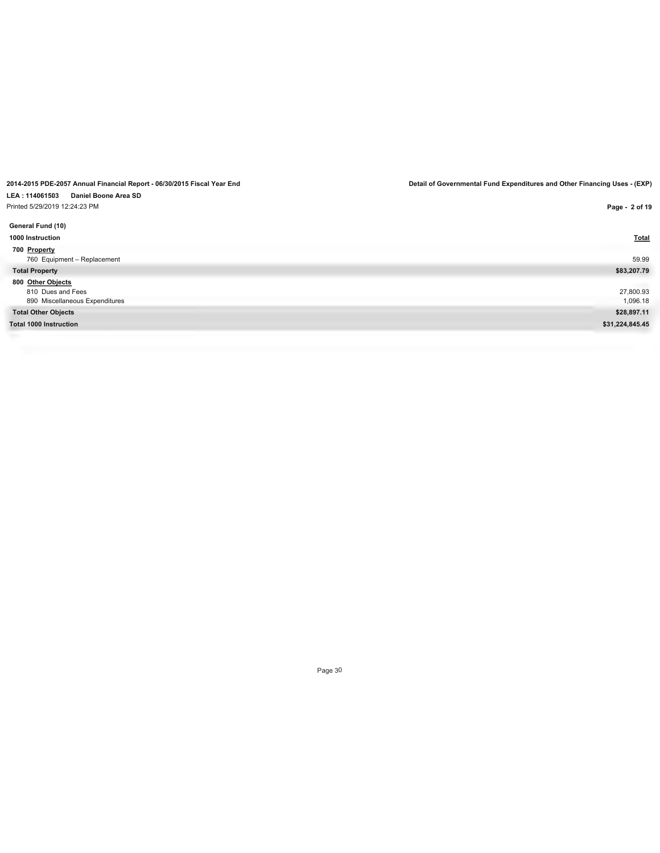# **LEA : 114061503 Daniel Boone Area SD**

Printed 5/29/2019 12:24:23 PM

**General Fund (10) 1000 Instruction Total 700 Property** 760 Equipment – Replacement 59.99 **Total Property \$83,207.79 800 Other Objects** 810 Dues and Fees 27,800.93 890 Miscellaneous Expenditures 1,096.18 **Total Other Objects \$28,897.11 Total 1000 Instruction \$31,224,845.45**

Page 30

**Page - 2 of 19**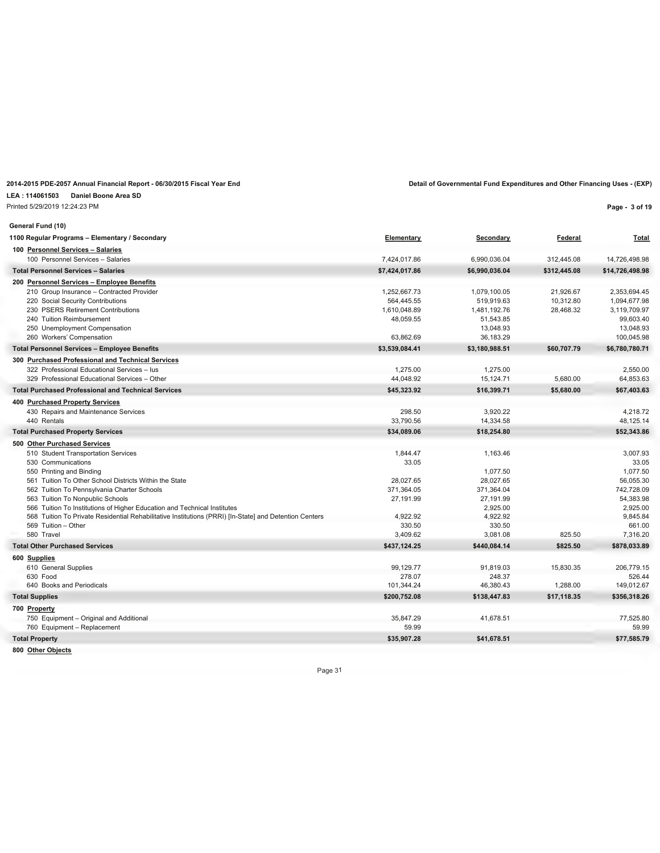**LEA : 114061503 Daniel Boone Area SD**

Printed 5/29/2019 12:24:23 PM

**Page - 3 of 19**

| General Fund (10)                                                                                      |                |                |              |                 |
|--------------------------------------------------------------------------------------------------------|----------------|----------------|--------------|-----------------|
| 1100 Regular Programs - Elementary / Secondary                                                         | Elementary     | Secondary      | Federal      | <u>Total</u>    |
| 100 Personnel Services - Salaries                                                                      |                |                |              |                 |
| 100 Personnel Services - Salaries                                                                      | 7,424,017.86   | 6,990,036.04   | 312,445.08   | 14,726,498.98   |
| <b>Total Personnel Services - Salaries</b>                                                             | \$7,424,017.86 | \$6,990,036.04 | \$312,445.08 | \$14,726,498.98 |
| 200 Personnel Services - Employee Benefits                                                             |                |                |              |                 |
| 210 Group Insurance - Contracted Provider                                                              | 1,252,667.73   | 1,079,100.05   | 21,926.67    | 2,353,694.45    |
| 220 Social Security Contributions                                                                      | 564,445.55     | 519,919.63     | 10,312.80    | 1,094,677.98    |
| 230 PSERS Retirement Contributions                                                                     | 1,610,048.89   | 1,481,192.76   | 28,468.32    | 3.119.709.97    |
| 240 Tuition Reimbursement                                                                              | 48,059.55      | 51,543.85      |              | 99,603.40       |
| 250 Unemployment Compensation                                                                          |                | 13,048.93      |              | 13,048.93       |
| 260 Workers' Compensation                                                                              | 63.862.69      | 36,183.29      |              | 100,045.98      |
| <b>Total Personnel Services - Employee Benefits</b>                                                    | \$3,539,084.41 | \$3,180,988.51 | \$60,707.79  | \$6,780,780.71  |
| 300 Purchased Professional and Technical Services                                                      |                |                |              |                 |
| 322 Professional Educational Services - lus                                                            | 1.275.00       | 1,275.00       |              | 2,550.00        |
| 329 Professional Educational Services - Other                                                          | 44,048.92      | 15,124.71      | 5,680.00     | 64,853.63       |
| <b>Total Purchased Professional and Technical Services</b>                                             | \$45,323.92    | \$16,399.71    | \$5,680.00   | \$67,403.63     |
| 400 Purchased Property Services                                                                        |                |                |              |                 |
| 430 Repairs and Maintenance Services                                                                   | 298.50         | 3,920.22       |              | 4,218.72        |
| 440 Rentals                                                                                            | 33,790.56      | 14,334.58      |              | 48,125.14       |
| <b>Total Purchased Property Services</b>                                                               | \$34,089.06    | \$18,254.80    |              | \$52,343.86     |
| 500 Other Purchased Services                                                                           |                |                |              |                 |
| 510 Student Transportation Services                                                                    | 1,844.47       | 1,163.46       |              | 3,007.93        |
| 530 Communications                                                                                     | 33.05          |                |              | 33.05           |
| 550 Printing and Binding                                                                               |                | 1,077.50       |              | 1.077.50        |
| 561 Tuition To Other School Districts Within the State                                                 | 28,027.65      | 28,027.65      |              | 56,055.30       |
| 562 Tuition To Pennsylvania Charter Schools                                                            | 371,364.05     | 371,364.04     |              | 742,728.09      |
| 563 Tuition To Nonpublic Schools                                                                       | 27,191.99      | 27,191.99      |              | 54.383.98       |
| 566 Tuition To Institutions of Higher Education and Technical Institutes                               |                | 2,925.00       |              | 2,925.00        |
| 568 Tuition To Private Residential Rehabilitative Institutions (PRRI) [In-State] and Detention Centers | 4.922.92       | 4,922.92       |              | 9,845.84        |
| 569 Tuition - Other                                                                                    | 330.50         | 330.50         |              | 661.00          |
| 580 Travel                                                                                             | 3,409.62       | 3,081.08       | 825.50       | 7,316.20        |
| <b>Total Other Purchased Services</b>                                                                  | \$437,124.25   | \$440.084.14   | \$825.50     | \$878,033.89    |
| 600 Supplies                                                                                           |                |                |              |                 |
| 610 General Supplies                                                                                   | 99,129.77      | 91,819.03      | 15,830.35    | 206.779.15      |
| 630 Food                                                                                               | 278.07         | 248.37         |              | 526.44          |
| 640 Books and Periodicals                                                                              | 101,344.24     | 46,380.43      | 1,288.00     | 149.012.67      |
| <b>Total Supplies</b>                                                                                  | \$200,752.08   | \$138,447.83   | \$17,118.35  | \$356,318.26    |
| 700 Property                                                                                           |                |                |              |                 |
| 750 Equipment - Original and Additional                                                                | 35,847.29      | 41,678.51      |              | 77,525.80       |
| 760 Equipment - Replacement                                                                            | 59.99          |                |              | 59.99           |
| <b>Total Property</b>                                                                                  | \$35,907.28    | \$41.678.51    |              | \$77.585.79     |

**800 Other Objects**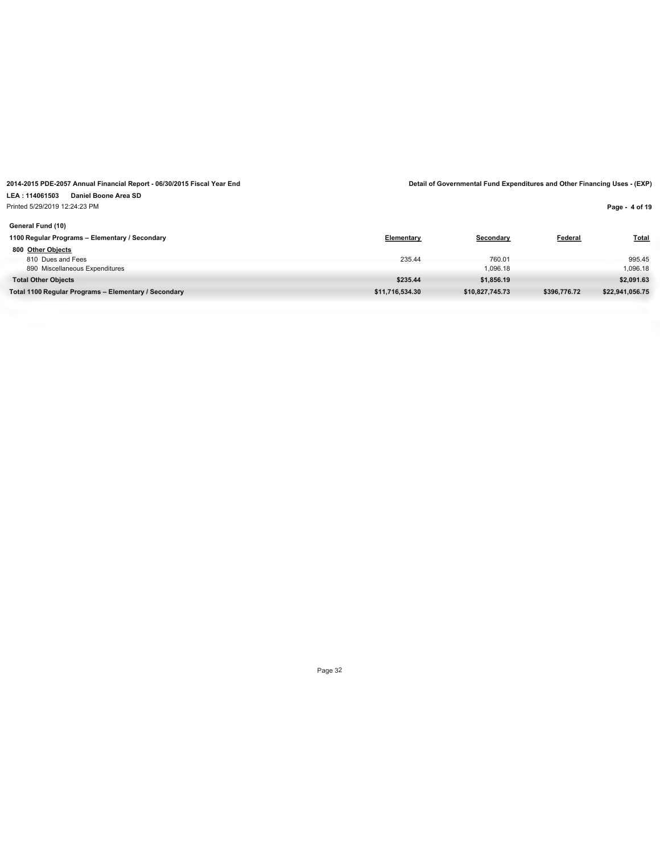### **LEA : 114061503 Daniel Boone Area SD** Printed 5/29/2019 12:24:23 PM

**Page - 4 of 19**

| General Fund (10)                                    |                 |                 |              |                 |
|------------------------------------------------------|-----------------|-----------------|--------------|-----------------|
| 1100 Regular Programs - Elementary / Secondary       | Elementary      | Secondary       | Federal      | <b>Total</b>    |
| 800 Other Objects                                    |                 |                 |              |                 |
| 810 Dues and Fees                                    | 235.44          | 760.01          |              | 995.45          |
| 890 Miscellaneous Expenditures                       |                 | 1,096.18        |              | 1,096.18        |
| <b>Total Other Objects</b>                           | \$235.44        | \$1,856.19      |              | \$2,091.63      |
| Total 1100 Regular Programs - Elementary / Secondary | \$11,716,534.30 | \$10.827.745.73 | \$396,776.72 | \$22,941,056.75 |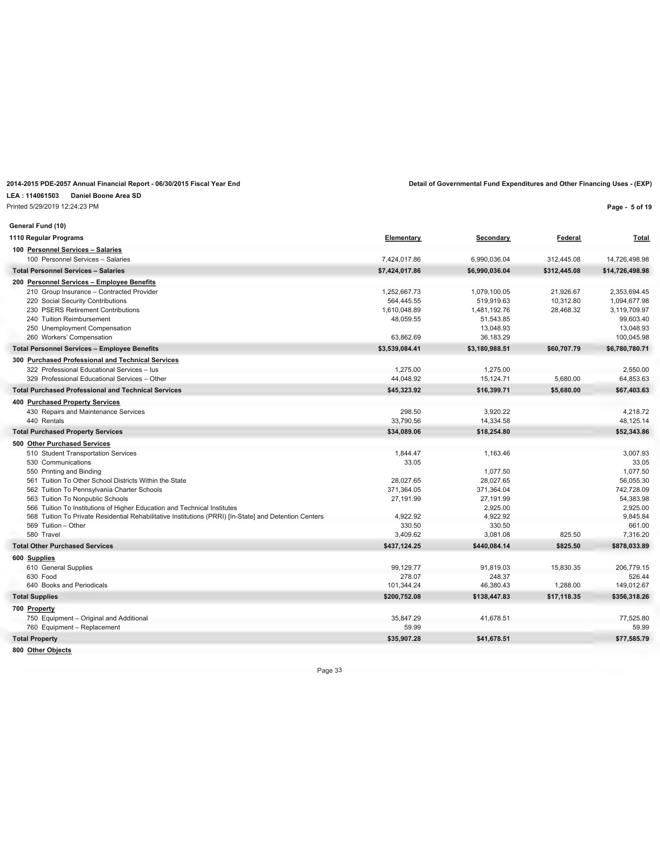### **LEA : 114061503 Daniel Boone Area SD**

Printed 5/29/2019 12:24:23 PM

**Page - 5 of 19**

| General Fund (10)                                                                                      |                     |                     |              |                      |
|--------------------------------------------------------------------------------------------------------|---------------------|---------------------|--------------|----------------------|
| 1110 Regular Programs                                                                                  | Elementary          | Secondary           | Federal      | <b>Total</b>         |
| 100 Personnel Services - Salaries                                                                      |                     |                     |              |                      |
| 100 Personnel Services - Salaries                                                                      | 7,424,017.86        | 6,990,036.04        | 312,445.08   | 14,726,498.98        |
| <b>Total Personnel Services - Salaries</b>                                                             | \$7,424,017.86      | \$6,990,036.04      | \$312,445.08 | \$14,726,498.98      |
| 200 Personnel Services - Employee Benefits                                                             |                     |                     |              |                      |
| 210 Group Insurance - Contracted Provider                                                              | 1,252,667.73        | 1.079.100.05        | 21.926.67    | 2,353,694.45         |
| 220 Social Security Contributions                                                                      | 564,445.55          | 519,919.63          | 10,312.80    | 1.094.677.98         |
| 230 PSERS Retirement Contributions                                                                     | 1,610,048.89        | 1,481,192.76        | 28,468.32    | 3,119,709.97         |
| 240 Tuition Reimbursement                                                                              | 48,059.55           | 51,543.85           |              | 99,603.40            |
| 250 Unemployment Compensation                                                                          |                     | 13,048.93           |              | 13,048.93            |
| 260 Workers' Compensation                                                                              | 63.862.69           | 36,183.29           |              | 100,045.98           |
| <b>Total Personnel Services - Employee Benefits</b>                                                    | \$3,539,084.41      | \$3,180,988.51      | \$60,707.79  | \$6,780,780.71       |
| 300 Purchased Professional and Technical Services                                                      |                     |                     |              |                      |
| 322 Professional Educational Services - lus                                                            | 1,275.00            | 1,275.00            |              | 2,550.00             |
| 329 Professional Educational Services - Other                                                          | 44,048.92           | 15,124.71           | 5,680.00     | 64,853.63            |
| <b>Total Purchased Professional and Technical Services</b>                                             | \$45,323.92         | \$16,399.71         | \$5,680.00   | \$67,403.63          |
| 400 Purchased Property Services                                                                        |                     |                     |              |                      |
| 430 Repairs and Maintenance Services                                                                   | 298.50              | 3,920.22            |              | 4,218.72             |
| 440 Rentals                                                                                            | 33,790.56           | 14,334.58           |              | 48,125.14            |
| <b>Total Purchased Property Services</b>                                                               | \$34,089.06         | \$18,254.80         |              | \$52,343.86          |
| 500 Other Purchased Services                                                                           |                     |                     |              |                      |
| 510 Student Transportation Services                                                                    | 1.844.47            | 1,163.46            |              | 3.007.93             |
| 530 Communications                                                                                     | 33.05               |                     |              | 33.05                |
| 550 Printing and Binding                                                                               |                     | 1,077.50            |              | 1,077.50             |
| 561 Tuition To Other School Districts Within the State                                                 | 28,027.65           | 28,027.65           |              | 56,055.30            |
| 562 Tuition To Pennsylvania Charter Schools                                                            | 371,364.05          | 371,364.04          |              | 742,728.09           |
| 563 Tuition To Nonpublic Schools                                                                       | 27,191.99           | 27,191.99           |              | 54.383.98            |
| 566 Tuition To Institutions of Higher Education and Technical Institutes                               |                     | 2,925.00            |              | 2,925.00             |
| 568 Tuition To Private Residential Rehabilitative Institutions (PRRI) [In-State] and Detention Centers | 4,922.92            | 4,922.92            |              | 9,845.84             |
| 569 Tuition - Other                                                                                    | 330.50              | 330.50              |              | 661.00               |
| 580 Travel                                                                                             | 3,409.62            | 3,081.08            | 825.50       | 7,316.20             |
| <b>Total Other Purchased Services</b>                                                                  | \$437,124.25        | \$440,084.14        | \$825.50     | \$878,033.89         |
| 600 Supplies                                                                                           |                     |                     |              |                      |
| 610 General Supplies<br>630 Food                                                                       | 99,129.77<br>278.07 | 91,819.03<br>248.37 | 15,830.35    | 206,779.15           |
| 640 Books and Periodicals                                                                              | 101,344.24          | 46,380.43           | 1,288.00     | 526.44<br>149.012.67 |
| <b>Total Supplies</b>                                                                                  | \$200,752.08        | \$138,447.83        | \$17,118.35  | \$356,318.26         |
|                                                                                                        |                     |                     |              |                      |
| 700 Property                                                                                           |                     | 41,678.51           |              |                      |
| 750 Equipment - Original and Additional<br>760 Equipment - Replacement                                 | 35,847.29<br>59.99  |                     |              | 77,525.80<br>59.99   |
|                                                                                                        |                     |                     |              |                      |
| <b>Total Property</b>                                                                                  | \$35,907.28         | \$41,678.51         |              | \$77,585.79          |

**800 Other Objects**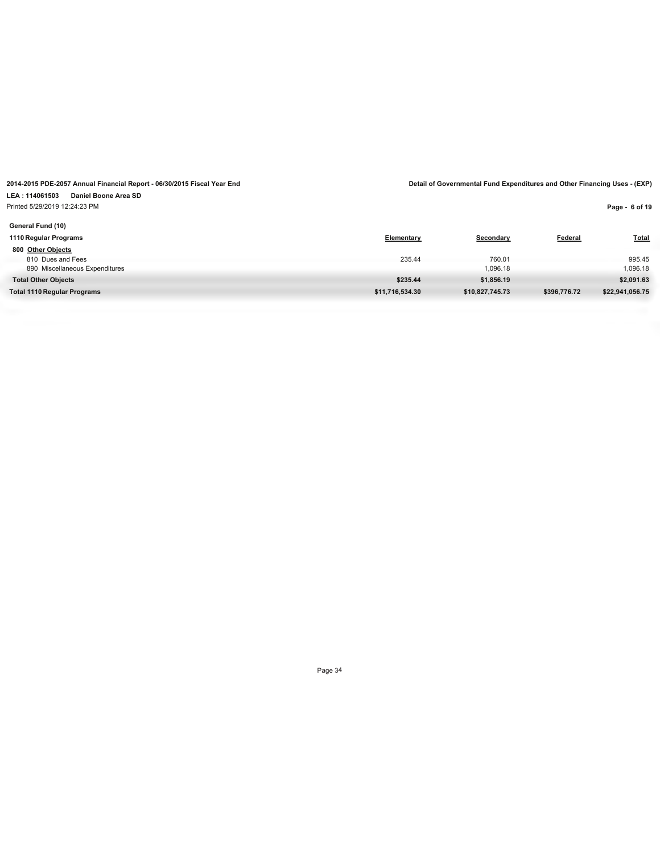### **LEA : 114061503 Daniel Boone Area SD** Printed 5/29/2019 12:24:23 PM

**Page - 6 of 19**

| Elementary      | Secondary       | Federal      | <b>Total</b>    |
|-----------------|-----------------|--------------|-----------------|
|                 |                 |              |                 |
| 235.44          | 760.01          |              | 995.45          |
|                 | 1,096.18        |              | 1,096.18        |
| \$235.44        | \$1,856.19      |              | \$2,091.63      |
| \$11,716,534.30 | \$10,827,745.73 | \$396,776.72 | \$22,941,056.75 |
|                 |                 |              |                 |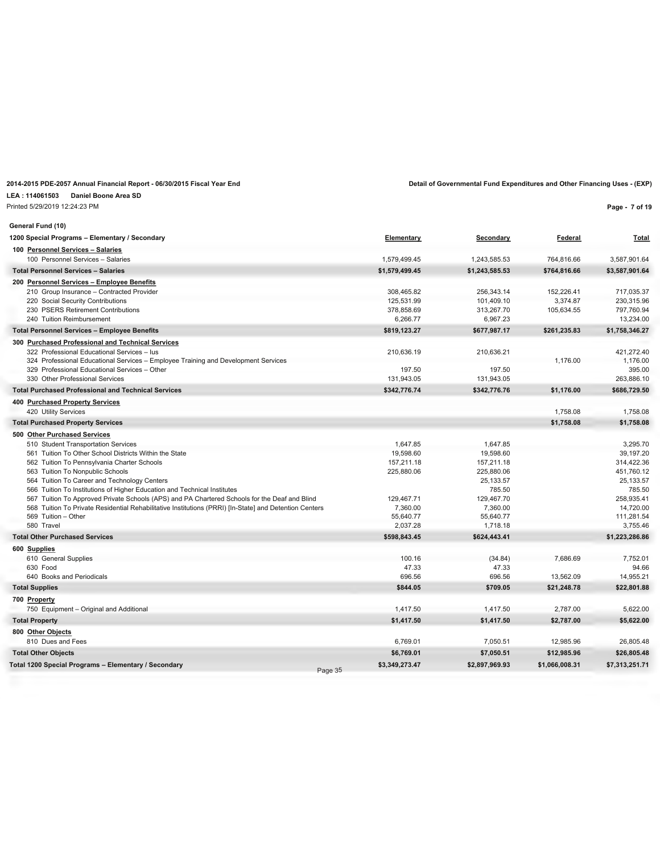**LEA : 114061503 Daniel Boone Area SD**

Printed 5/29/2019 12:24:23 PM

| General Fund (10)                                                                                                        |                |                     |                |                     |
|--------------------------------------------------------------------------------------------------------------------------|----------------|---------------------|----------------|---------------------|
| 1200 Special Programs - Elementary / Secondary                                                                           | Elementary     | Secondary           | Federal        | <b>Total</b>        |
| 100 Personnel Services - Salaries                                                                                        |                |                     |                |                     |
| 100 Personnel Services - Salaries                                                                                        | 1.579.499.45   | 1.243.585.53        | 764.816.66     | 3,587,901.64        |
| <b>Total Personnel Services - Salaries</b>                                                                               | \$1,579,499.45 | \$1,243,585.53      | \$764,816.66   | \$3,587,901.64      |
| 200 Personnel Services - Employee Benefits                                                                               |                |                     |                |                     |
| 210 Group Insurance - Contracted Provider                                                                                | 308.465.82     | 256.343.14          | 152,226.41     | 717.035.37          |
| 220 Social Security Contributions                                                                                        | 125,531.99     | 101,409.10          | 3,374.87       | 230,315.96          |
| 230 PSERS Retirement Contributions                                                                                       | 378,858.69     | 313,267.70          | 105,634.55     | 797,760.94          |
| 240 Tuition Reimbursement                                                                                                | 6,266.77       | 6,967.23            |                | 13,234.00           |
| <b>Total Personnel Services - Employee Benefits</b>                                                                      | \$819,123.27   | \$677,987.17        | \$261,235.83   | \$1,758,346.27      |
| 300 Purchased Professional and Technical Services                                                                        |                |                     |                |                     |
| 322 Professional Educational Services - lus                                                                              | 210,636.19     | 210,636.21          |                | 421,272.40          |
| 324 Professional Educational Services - Employee Training and Development Services                                       |                |                     | 1,176.00       | 1.176.00            |
| 329 Professional Educational Services - Other                                                                            | 197.50         | 197.50              |                | 395.00              |
| 330 Other Professional Services                                                                                          | 131,943.05     | 131,943.05          |                | 263,886.10          |
| <b>Total Purchased Professional and Technical Services</b>                                                               | \$342,776.74   | \$342,776.76        | \$1,176.00     | \$686,729.50        |
| 400 Purchased Property Services                                                                                          |                |                     |                |                     |
| 420 Utility Services                                                                                                     |                |                     | 1,758.08       | 1,758.08            |
| <b>Total Purchased Property Services</b>                                                                                 |                |                     | \$1,758.08     | \$1,758.08          |
| 500 Other Purchased Services                                                                                             |                |                     |                |                     |
| 510 Student Transportation Services                                                                                      | 1,647.85       | 1,647.85            |                | 3,295.70            |
| 561 Tuition To Other School Districts Within the State                                                                   | 19,598.60      | 19,598.60           |                | 39,197.20           |
| 562 Tuition To Pennsylvania Charter Schools                                                                              | 157,211.18     | 157,211.18          |                | 314,422.36          |
| 563 Tuition To Nonpublic Schools                                                                                         | 225,880.06     | 225,880.06          |                | 451,760.12          |
| 564 Tuition To Career and Technology Centers<br>566 Tuition To Institutions of Higher Education and Technical Institutes |                | 25,133.57<br>785.50 |                | 25,133.57<br>785.50 |
| 567 Tuition To Approved Private Schools (APS) and PA Chartered Schools for the Deaf and Blind                            | 129,467.71     | 129,467.70          |                | 258,935.41          |
| 568 Tuition To Private Residential Rehabilitative Institutions (PRRI) [In-State] and Detention Centers                   | 7,360.00       | 7,360.00            |                | 14,720.00           |
| 569 Tuition - Other                                                                                                      | 55,640.77      | 55,640.77           |                | 111,281.54          |
| 580 Travel                                                                                                               | 2,037.28       | 1,718.18            |                | 3,755.46            |
| <b>Total Other Purchased Services</b>                                                                                    | \$598,843.45   | \$624,443.41        |                | \$1,223,286.86      |
| 600 Supplies                                                                                                             |                |                     |                |                     |
| 610 General Supplies                                                                                                     | 100.16         | (34.84)             | 7,686.69       | 7,752.01            |
| 630 Food                                                                                                                 | 47.33          | 47.33               |                | 94.66               |
| 640 Books and Periodicals                                                                                                | 696.56         | 696.56              | 13,562.09      | 14,955.21           |
| <b>Total Supplies</b>                                                                                                    | \$844.05       | \$709.05            | \$21,248.78    | \$22,801.88         |
| 700 Property                                                                                                             |                |                     |                |                     |
| 750 Equipment - Original and Additional                                                                                  | 1,417.50       | 1,417.50            | 2.787.00       | 5,622.00            |
| <b>Total Property</b>                                                                                                    | \$1,417.50     | \$1,417.50          | \$2,787.00     | \$5,622.00          |
| 800 Other Objects                                                                                                        |                |                     |                |                     |
| 810 Dues and Fees                                                                                                        | 6,769.01       | 7,050.51            | 12,985.96      | 26,805.48           |
| <b>Total Other Objects</b>                                                                                               | \$6,769.01     | \$7,050.51          | \$12,985.96    | \$26,805.48         |
| Total 1200 Special Programs - Elementary / Secondary                                                                     | \$3.349.273.47 | \$2.897.969.93      | \$1,066,008.31 | \$7,313,251.71      |

Page 35

**Page - 7 of 19**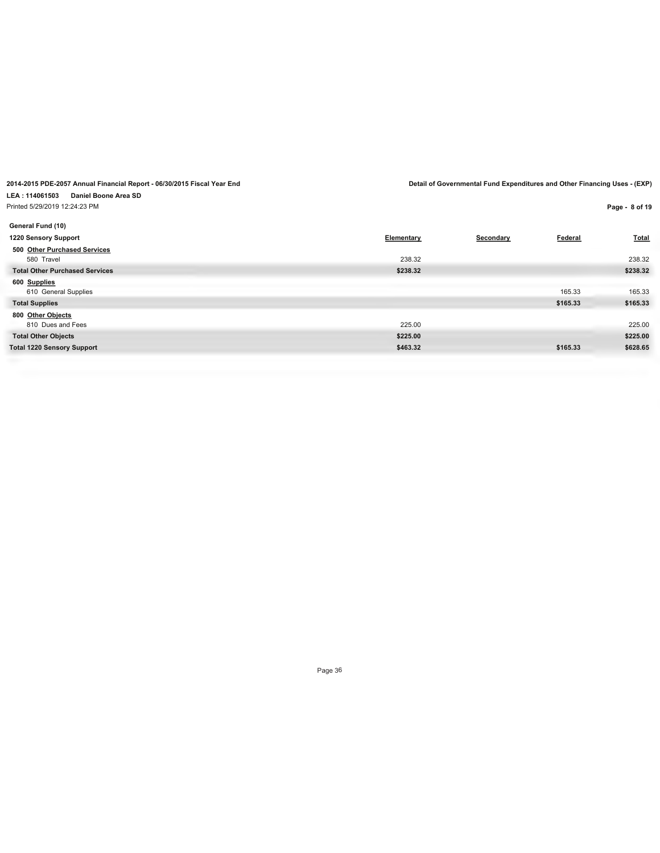**2014-2015 PDE-2057 Annual Financial Report - 06/30/2015 Fiscal Year End Detail of Governmental Fund Expenditures and Other Financing Uses - (EXP) LEA : 114061503 Daniel Boone Area SD**

Printed 5/29/2019 12:24:23 PM

| General Fund (10)                     |            |           |          |          |
|---------------------------------------|------------|-----------|----------|----------|
| 1220 Sensory Support                  | Elementary | Secondary | Federal  | Total    |
| 500 Other Purchased Services          |            |           |          |          |
| 580 Travel                            | 238.32     |           |          | 238.32   |
| <b>Total Other Purchased Services</b> | \$238.32   |           |          | \$238.32 |
| 600 Supplies                          |            |           |          |          |
| 610 General Supplies                  |            |           | 165.33   | 165.33   |
| <b>Total Supplies</b>                 |            |           | \$165.33 | \$165.33 |
| 800 Other Objects                     |            |           |          |          |
| 810 Dues and Fees                     | 225.00     |           |          | 225.00   |
| <b>Total Other Objects</b>            | \$225.00   |           |          | \$225.00 |
| <b>Total 1220 Sensory Support</b>     | \$463.32   |           | \$165.33 | \$628.65 |
|                                       |            |           |          |          |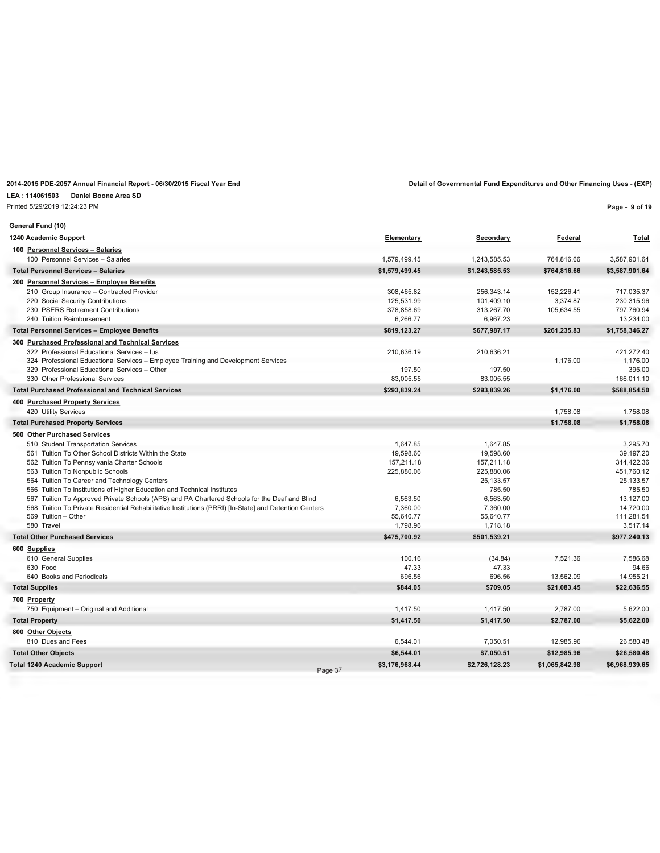### **LEA : 114061503 Daniel Boone Area SD**

Printed 5/29/2019 12:24:23 PM

| Federal | Total        |
|---------|--------------|
|         |              |
| ,816.66 | 3,587,901.64 |

**Page - 9 of 19**

| General Fund (10)                                                                                      |                 |                       |                |                        |
|--------------------------------------------------------------------------------------------------------|-----------------|-----------------------|----------------|------------------------|
| 1240 Academic Support                                                                                  | Elementary      | Secondary             | Federal        | <b>Total</b>           |
| 100 Personnel Services - Salaries                                                                      |                 |                       |                |                        |
| 100 Personnel Services - Salaries                                                                      | 1,579,499.45    | 1,243,585.53          | 764,816.66     | 3,587,901.64           |
| <b>Total Personnel Services - Salaries</b>                                                             | \$1,579,499.45  | \$1,243,585.53        | \$764,816.66   | \$3,587,901.64         |
| 200 Personnel Services - Employee Benefits                                                             |                 |                       |                |                        |
| 210 Group Insurance - Contracted Provider                                                              | 308,465.82      | 256,343.14            | 152,226.41     | 717,035.37             |
| 220 Social Security Contributions                                                                      | 125,531.99      | 101,409.10            | 3.374.87       | 230,315.96             |
| 230 PSERS Retirement Contributions                                                                     | 378,858.69      | 313,267.70            | 105,634.55     | 797,760.94             |
| 240 Tuition Reimbursement                                                                              | 6,266.77        | 6,967.23              |                | 13,234.00              |
| <b>Total Personnel Services - Employee Benefits</b>                                                    | \$819,123.27    | \$677,987.17          | \$261,235.83   | \$1,758,346.27         |
| 300 Purchased Professional and Technical Services                                                      |                 |                       |                |                        |
| 322 Professional Educational Services - lus                                                            | 210,636.19      | 210,636.21            |                | 421,272.40             |
| 324 Professional Educational Services - Employee Training and Development Services                     |                 |                       | 1,176.00       | 1,176.00               |
| 329 Professional Educational Services - Other                                                          | 197.50          | 197.50                |                | 395.00                 |
| 330 Other Professional Services                                                                        | 83,005.55       | 83,005.55             |                | 166,011.10             |
| <b>Total Purchased Professional and Technical Services</b>                                             | \$293,839.24    | \$293,839.26          | \$1,176.00     | \$588,854.50           |
| 400 Purchased Property Services                                                                        |                 |                       |                |                        |
| 420 Utility Services                                                                                   |                 |                       | 1,758.08       | 1,758.08               |
| <b>Total Purchased Property Services</b>                                                               |                 |                       | \$1,758.08     | \$1,758.08             |
| 500 Other Purchased Services                                                                           |                 |                       |                |                        |
| 510 Student Transportation Services                                                                    | 1,647.85        | 1,647.85              |                | 3,295.70               |
| 561 Tuition To Other School Districts Within the State                                                 | 19,598.60       | 19,598.60             |                | 39,197.20              |
| 562 Tuition To Pennsylvania Charter Schools                                                            | 157,211.18      | 157,211.18            |                | 314,422.36             |
| 563 Tuition To Nonpublic Schools                                                                       | 225,880.06      | 225,880.06            |                | 451,760.12             |
| 564 Tuition To Career and Technology Centers                                                           |                 | 25,133.57             |                | 25,133.57              |
| 566 Tuition To Institutions of Higher Education and Technical Institutes                               |                 | 785.50                |                | 785.50                 |
| 567 Tuition To Approved Private Schools (APS) and PA Chartered Schools for the Deaf and Blind          | 6,563.50        | 6,563.50              |                | 13,127.00              |
| 568 Tuition To Private Residential Rehabilitative Institutions (PRRI) [In-State] and Detention Centers | 7,360.00        | 7,360.00<br>55.640.77 |                | 14,720.00              |
| 569 Tuition - Other<br>580 Travel                                                                      | 55,640.77       |                       |                | 111,281.54<br>3,517.14 |
|                                                                                                        | 1,798.96        | 1,718.18              |                |                        |
| <b>Total Other Purchased Services</b>                                                                  | \$475,700.92    | \$501,539.21          |                | \$977,240.13           |
| 600 Supplies                                                                                           |                 |                       |                |                        |
| 610 General Supplies<br>630 Food                                                                       | 100.16<br>47.33 | (34.84)               | 7,521.36       | 7,586.68               |
| 640 Books and Periodicals                                                                              | 696.56          | 47.33<br>696.56       | 13,562.09      | 94.66<br>14.955.21     |
|                                                                                                        | \$844.05        | \$709.05              | \$21,083.45    | \$22,636.55            |
| <b>Total Supplies</b>                                                                                  |                 |                       |                |                        |
| 700 Property                                                                                           |                 |                       |                |                        |
| 750 Equipment - Original and Additional                                                                | 1,417.50        | 1,417.50              | 2,787.00       | 5,622.00               |
| <b>Total Property</b>                                                                                  | \$1,417.50      | \$1,417.50            | \$2,787.00     | \$5,622.00             |
| 800 Other Objects                                                                                      |                 |                       |                |                        |
| 810 Dues and Fees                                                                                      | 6,544.01        | 7,050.51              | 12,985.96      | 26,580.48              |
| <b>Total Other Objects</b>                                                                             | \$6,544.01      | \$7,050.51            | \$12,985.96    | \$26,580.48            |
| <b>Total 1240 Academic Support</b><br>Page 37                                                          | \$3,176,968.44  | \$2,726,128.23        | \$1,065,842.98 | \$6,968,939.65         |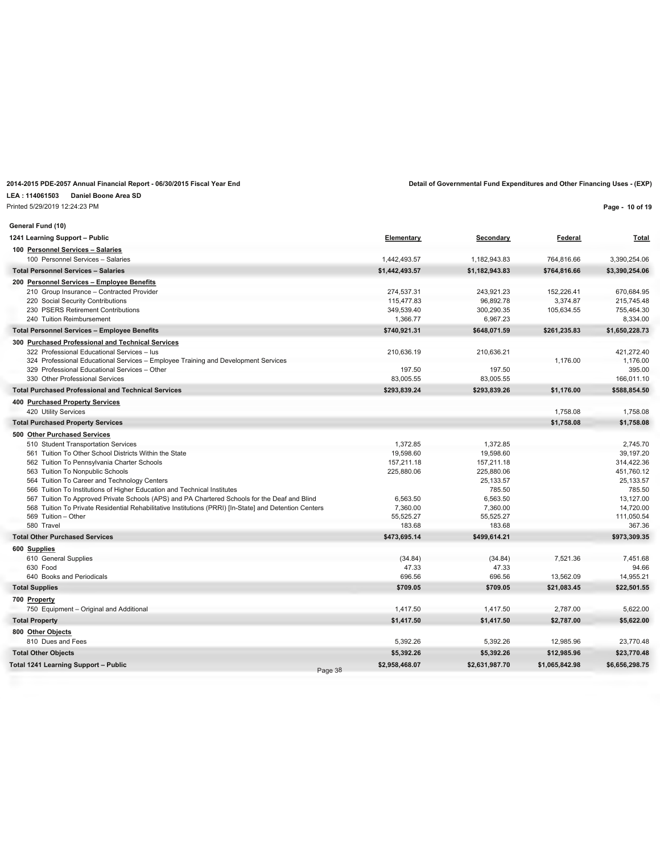### **LEA : 114061503 Daniel Boone Area SD**

Printed 5/29/2019 12:24:23 PM

| General Fund (10)                                                                                      |                |                  |                |                |
|--------------------------------------------------------------------------------------------------------|----------------|------------------|----------------|----------------|
| 1241 Learning Support - Public                                                                         | Elementary     | <b>Secondary</b> | Federal        | <b>Total</b>   |
| 100 Personnel Services - Salaries                                                                      |                |                  |                |                |
| 100 Personnel Services - Salaries                                                                      | 1,442,493.57   | 1,182,943.83     | 764,816.66     | 3,390,254.06   |
| <b>Total Personnel Services - Salaries</b>                                                             | \$1,442,493.57 | \$1,182,943.83   | \$764,816.66   | \$3,390,254.06 |
| 200 Personnel Services - Employee Benefits                                                             |                |                  |                |                |
| 210 Group Insurance - Contracted Provider                                                              | 274,537.31     | 243.921.23       | 152,226.41     | 670.684.95     |
| 220 Social Security Contributions                                                                      | 115.477.83     | 96.892.78        | 3.374.87       | 215.745.48     |
| 230 PSERS Retirement Contributions                                                                     | 349,539.40     | 300,290.35       | 105,634.55     | 755,464.30     |
| 240 Tuition Reimbursement                                                                              | 1,366.77       | 6,967.23         |                | 8,334.00       |
| <b>Total Personnel Services - Employee Benefits</b>                                                    | \$740,921.31   | \$648,071.59     | \$261,235.83   | \$1,650,228.73 |
| 300 Purchased Professional and Technical Services                                                      |                |                  |                |                |
| 322 Professional Educational Services - lus                                                            | 210,636.19     | 210,636.21       |                | 421,272.40     |
| 324 Professional Educational Services - Employee Training and Development Services                     |                |                  | 1,176.00       | 1,176.00       |
| 329 Professional Educational Services - Other                                                          | 197.50         | 197.50           |                | 395.00         |
| 330 Other Professional Services                                                                        | 83,005.55      | 83,005.55        |                | 166,011.10     |
| <b>Total Purchased Professional and Technical Services</b>                                             | \$293,839.24   | \$293,839.26     | \$1,176.00     | \$588,854.50   |
| 400 Purchased Property Services                                                                        |                |                  |                |                |
| 420 Utility Services                                                                                   |                |                  | 1,758.08       | 1,758.08       |
| <b>Total Purchased Property Services</b>                                                               |                |                  | \$1,758.08     | \$1,758.08     |
| 500 Other Purchased Services                                                                           |                |                  |                |                |
| 510 Student Transportation Services                                                                    | 1.372.85       | 1,372.85         |                | 2,745.70       |
| 561 Tuition To Other School Districts Within the State                                                 | 19.598.60      | 19.598.60        |                | 39.197.20      |
| 562 Tuition To Pennsylvania Charter Schools                                                            | 157,211.18     | 157,211.18       |                | 314,422.36     |
| 563 Tuition To Nonpublic Schools                                                                       | 225,880.06     | 225,880.06       |                | 451,760.12     |
| 564 Tuition To Career and Technology Centers                                                           |                | 25, 133.57       |                | 25, 133.57     |
| 566 Tuition To Institutions of Higher Education and Technical Institutes                               |                | 785.50           |                | 785.50         |
| 567 Tuition To Approved Private Schools (APS) and PA Chartered Schools for the Deaf and Blind          | 6,563.50       | 6,563.50         |                | 13,127.00      |
| 568 Tuition To Private Residential Rehabilitative Institutions (PRRI) [In-State] and Detention Centers | 7,360.00       | 7,360.00         |                | 14,720.00      |
| 569 Tuition - Other                                                                                    | 55,525.27      | 55,525.27        |                | 111,050.54     |
| 580 Travel                                                                                             | 183.68         | 183.68           |                | 367.36         |
| <b>Total Other Purchased Services</b>                                                                  | \$473,695.14   | \$499,614.21     |                | \$973,309.35   |
| 600 Supplies                                                                                           |                |                  |                |                |
| 610 General Supplies                                                                                   | (34.84)        | (34.84)          | 7,521.36       | 7,451.68       |
| 630 Food                                                                                               | 47.33          | 47.33            |                | 94.66          |
| 640 Books and Periodicals                                                                              | 696.56         | 696.56           | 13,562.09      | 14,955.21      |
| <b>Total Supplies</b>                                                                                  | \$709.05       | \$709.05         | \$21,083.45    | \$22,501.55    |
| 700 Property                                                                                           |                |                  |                |                |
| 750 Equipment - Original and Additional                                                                | 1,417.50       | 1,417.50         | 2,787.00       | 5,622.00       |
| <b>Total Property</b>                                                                                  | \$1,417.50     | \$1,417.50       | \$2,787.00     | \$5,622.00     |
| 800 Other Objects                                                                                      |                |                  |                |                |
| 810 Dues and Fees                                                                                      | 5,392.26       | 5,392.26         | 12,985.96      | 23,770.48      |
| <b>Total Other Objects</b>                                                                             | \$5,392.26     | \$5,392.26       | \$12,985.96    | \$23,770.48    |
| Total 1241 Learning Support - Public                                                                   | \$2.958.468.07 | \$2,631,987.70   | \$1,065,842.98 | \$6,656,298.75 |

Page 38

#### **Page - 10 of 19**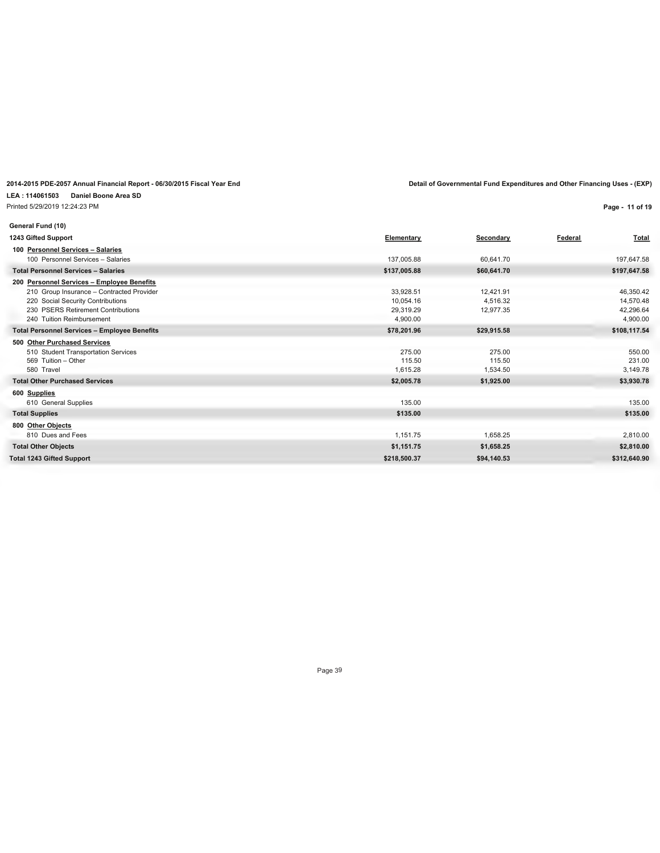### **LEA : 114061503 Daniel Boone Area SD**

Printed 5/29/2019 12:24:23 PM

**Page - 11 of 19**

| General Fund (10)                                   |              |             |                         |
|-----------------------------------------------------|--------------|-------------|-------------------------|
| 1243 Gifted Support                                 | Elementary   | Secondary   | Federal<br><b>Total</b> |
| 100 Personnel Services - Salaries                   |              |             |                         |
| 100 Personnel Services - Salaries                   | 137,005.88   | 60,641.70   | 197,647.58              |
| <b>Total Personnel Services - Salaries</b>          | \$137,005.88 | \$60,641.70 | \$197,647.58            |
| 200 Personnel Services - Employee Benefits          |              |             |                         |
| 210 Group Insurance - Contracted Provider           | 33,928.51    | 12,421.91   | 46,350.42               |
| 220 Social Security Contributions                   | 10.054.16    | 4.516.32    | 14,570.48               |
| 230 PSERS Retirement Contributions                  | 29,319.29    | 12,977.35   | 42,296.64               |
| 240 Tuition Reimbursement                           | 4,900.00     |             | 4,900.00                |
| <b>Total Personnel Services - Employee Benefits</b> | \$78,201.96  | \$29,915.58 | \$108,117.54            |
| 500 Other Purchased Services                        |              |             |                         |
| 510 Student Transportation Services                 | 275.00       | 275.00      | 550.00                  |
| 569 Tuition - Other                                 | 115.50       | 115.50      | 231.00                  |
| 580 Travel                                          | 1,615.28     | 1,534.50    | 3,149.78                |
| <b>Total Other Purchased Services</b>               | \$2,005.78   | \$1,925.00  | \$3,930.78              |
| 600 Supplies                                        |              |             |                         |
| 610 General Supplies                                | 135.00       |             | 135.00                  |
| <b>Total Supplies</b>                               | \$135.00     |             | \$135.00                |
| 800 Other Objects                                   |              |             |                         |
| 810 Dues and Fees                                   | 1,151.75     | 1,658.25    | 2,810.00                |
| <b>Total Other Objects</b>                          | \$1,151.75   | \$1,658.25  | \$2,810.00              |
| <b>Total 1243 Gifted Support</b>                    | \$218,500.37 | \$94,140.53 | \$312,640.90            |
|                                                     |              |             |                         |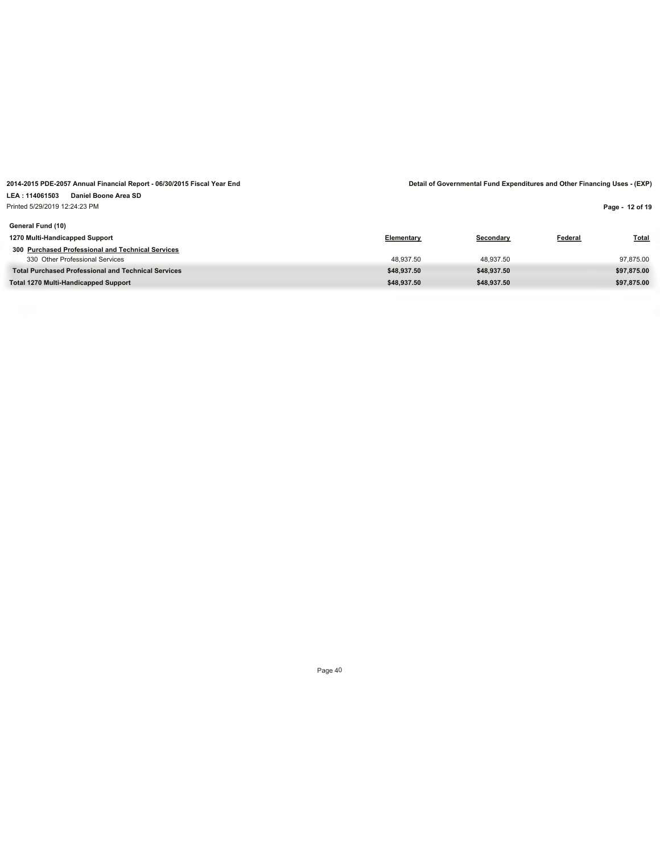Printed 5/29/2019 12:24:23 PM

**Page - 12 of 19**

| General Fund (10)                                          |             |             |                |              |
|------------------------------------------------------------|-------------|-------------|----------------|--------------|
| 1270 Multi-Handicapped Support                             | Elementary  | Secondary   | <b>Federal</b> | <b>Total</b> |
| 300 Purchased Professional and Technical Services          |             |             |                |              |
| 330 Other Professional Services                            | 48.937.50   | 48.937.50   |                | 97,875.00    |
| <b>Total Purchased Professional and Technical Services</b> | \$48.937.50 | \$48.937.50 |                | \$97,875.00  |
| Total 1270 Multi-Handicapped Support                       | \$48.937.50 | \$48.937.50 |                | \$97.875.00  |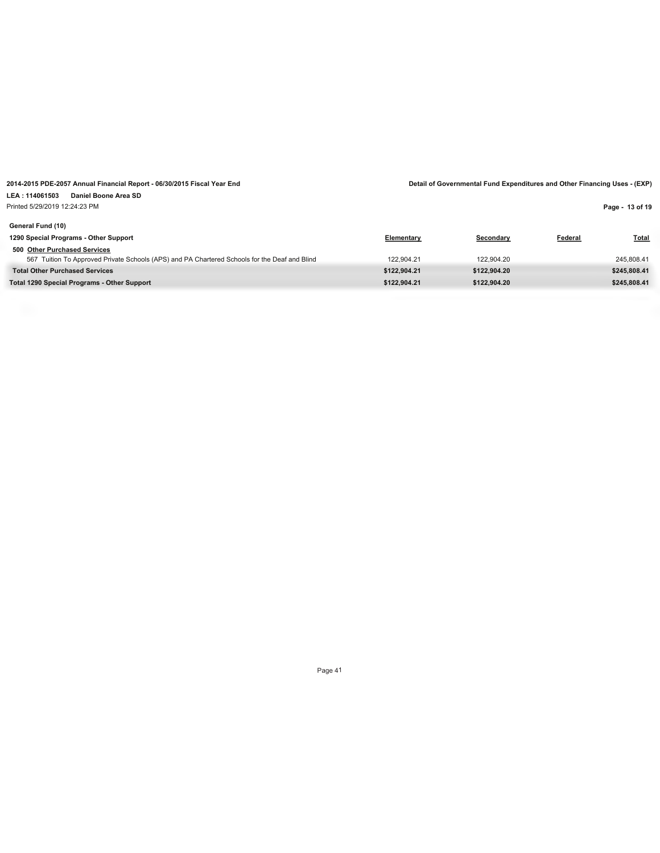# Printed 5/29/2019 12:24:23 PM

**Page - 13 of 19**

| General Fund (10)                                                                             |              |              |         |              |
|-----------------------------------------------------------------------------------------------|--------------|--------------|---------|--------------|
| 1290 Special Programs - Other Support                                                         | Elementary   | Secondary    | Federal | <u>Total</u> |
| 500 Other Purchased Services                                                                  |              |              |         |              |
| 567 Tuition To Approved Private Schools (APS) and PA Chartered Schools for the Deaf and Blind | 122.904.21   | 122.904.20   |         | 245.808.41   |
| <b>Total Other Purchased Services</b>                                                         | \$122.904.21 | \$122.904.20 |         | \$245.808.41 |
| Total 1290 Special Programs - Other Support                                                   | \$122.904.21 | \$122.904.20 |         | \$245.808.41 |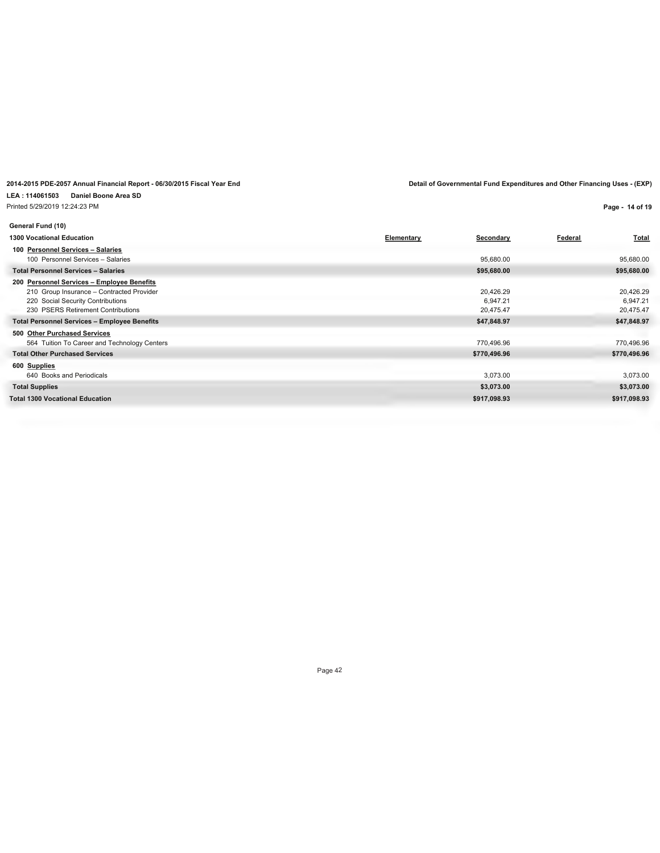**LEA : 114061503 Daniel Boone Area SD** Printed 5/29/2019 12:24:23 PM

**Page - 14 of 19**

| General Fund (10)                                   |                   |              |                |              |
|-----------------------------------------------------|-------------------|--------------|----------------|--------------|
| <b>1300 Vocational Education</b>                    | <b>Elementary</b> | Secondary    | <b>Federal</b> | <b>Total</b> |
| 100 Personnel Services - Salaries                   |                   |              |                |              |
| 100 Personnel Services - Salaries                   |                   | 95,680.00    |                | 95,680.00    |
| <b>Total Personnel Services - Salaries</b>          |                   | \$95,680.00  |                | \$95,680.00  |
| 200 Personnel Services - Employee Benefits          |                   |              |                |              |
| 210 Group Insurance - Contracted Provider           |                   | 20,426.29    |                | 20,426.29    |
| 220 Social Security Contributions                   |                   | 6,947.21     |                | 6,947.21     |
| 230 PSERS Retirement Contributions                  |                   | 20,475.47    |                | 20,475.47    |
| <b>Total Personnel Services - Employee Benefits</b> |                   | \$47,848.97  |                | \$47,848.97  |
| 500 Other Purchased Services                        |                   |              |                |              |
| 564 Tuition To Career and Technology Centers        |                   | 770,496.96   |                | 770,496.96   |
| <b>Total Other Purchased Services</b>               |                   | \$770,496.96 |                | \$770,496.96 |
| 600 Supplies                                        |                   |              |                |              |
| 640 Books and Periodicals                           |                   | 3,073.00     |                | 3,073.00     |
| <b>Total Supplies</b>                               |                   | \$3,073.00   |                | \$3,073.00   |
| <b>Total 1300 Vocational Education</b>              |                   | \$917,098.93 |                | \$917,098.93 |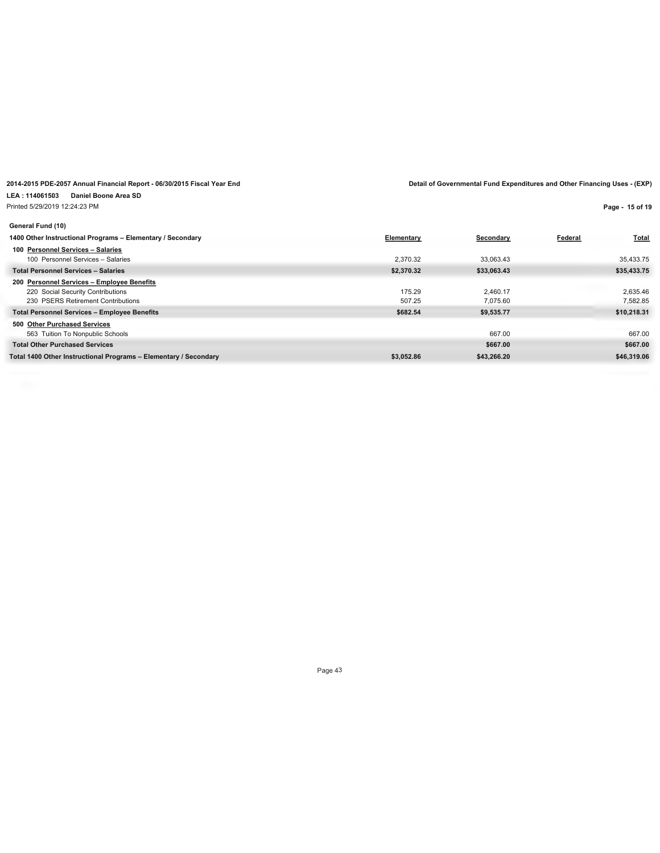**Page - 15 of 19**

| General Fund (10)                                                |            |             |         |              |
|------------------------------------------------------------------|------------|-------------|---------|--------------|
| 1400 Other Instructional Programs - Elementary / Secondary       | Elementary | Secondary   | Federal | <b>Total</b> |
| 100 Personnel Services - Salaries                                |            |             |         |              |
| 100 Personnel Services - Salaries                                | 2.370.32   | 33.063.43   |         | 35,433.75    |
| <b>Total Personnel Services - Salaries</b>                       | \$2,370.32 | \$33,063.43 |         | \$35,433.75  |
| 200 Personnel Services - Employee Benefits                       |            |             |         |              |
| 220 Social Security Contributions                                | 175.29     | 2.460.17    |         | 2.635.46     |
| 230 PSERS Retirement Contributions                               | 507.25     | 7.075.60    |         | 7,582.85     |
| <b>Total Personnel Services - Employee Benefits</b>              | \$682.54   | \$9,535.77  |         | \$10,218.31  |
| 500 Other Purchased Services                                     |            |             |         |              |
| 563 Tuition To Nonpublic Schools                                 |            | 667.00      |         | 667.00       |
| <b>Total Other Purchased Services</b>                            |            | \$667.00    |         | \$667.00     |
| Total 1400 Other Instructional Programs - Elementary / Secondary | \$3,052.86 | \$43,266.20 |         | \$46,319.06  |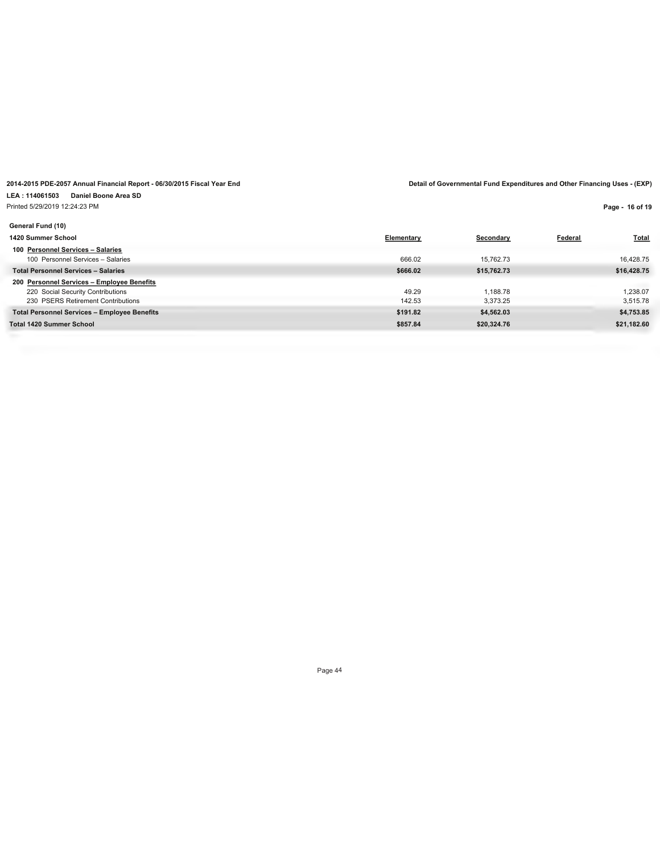### **LEA : 114061503 Daniel Boone Area SD**

Printed 5/29/2019 12:24:23 PM

**Page - 16 of 19**

| General Fund (10)                                   |            |             |                |              |
|-----------------------------------------------------|------------|-------------|----------------|--------------|
| 1420 Summer School                                  | Elementary | Secondary   | <b>Federal</b> | <b>Total</b> |
| 100 Personnel Services - Salaries                   |            |             |                |              |
| 100 Personnel Services - Salaries                   | 666.02     | 15.762.73   |                | 16,428.75    |
| <b>Total Personnel Services - Salaries</b>          | \$666.02   | \$15,762.73 |                | \$16,428.75  |
| 200 Personnel Services - Employee Benefits          |            |             |                |              |
| 220 Social Security Contributions                   | 49.29      | 1.188.78    |                | 1.238.07     |
| 230 PSERS Retirement Contributions                  | 142.53     | 3.373.25    |                | 3,515.78     |
| <b>Total Personnel Services - Employee Benefits</b> | \$191.82   | \$4,562.03  |                | \$4,753.85   |
| <b>Total 1420 Summer School</b>                     | \$857.84   | \$20,324.76 |                | \$21,182.60  |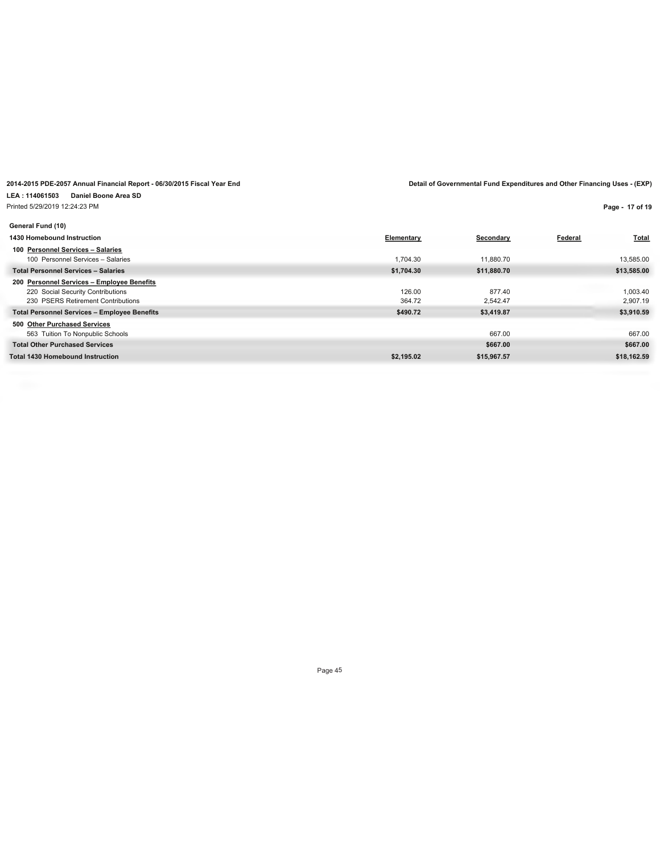Printed 5/29/2019 12:24:23 PM

**Page - 17 of 19**

| General Fund (10)                                   |            |             |         |              |
|-----------------------------------------------------|------------|-------------|---------|--------------|
| 1430 Homebound Instruction                          | Elementary | Secondary   | Federal | <b>Total</b> |
| 100 Personnel Services - Salaries                   |            |             |         |              |
| 100 Personnel Services - Salaries                   | 1.704.30   | 11.880.70   |         | 13,585.00    |
| <b>Total Personnel Services - Salaries</b>          | \$1,704.30 | \$11,880.70 |         | \$13,585.00  |
| 200 Personnel Services - Employee Benefits          |            |             |         |              |
| 220 Social Security Contributions                   | 126.00     | 877.40      |         | 1.003.40     |
| 230 PSERS Retirement Contributions                  | 364.72     | 2.542.47    |         | 2.907.19     |
| <b>Total Personnel Services - Employee Benefits</b> | \$490.72   | \$3,419.87  |         | \$3,910.59   |
| 500 Other Purchased Services                        |            |             |         |              |
| 563 Tuition To Nonpublic Schools                    |            | 667.00      |         | 667.00       |
| <b>Total Other Purchased Services</b>               |            | \$667.00    |         | \$667.00     |
| <b>Total 1430 Homebound Instruction</b>             | \$2,195.02 | \$15,967.57 |         | \$18,162.59  |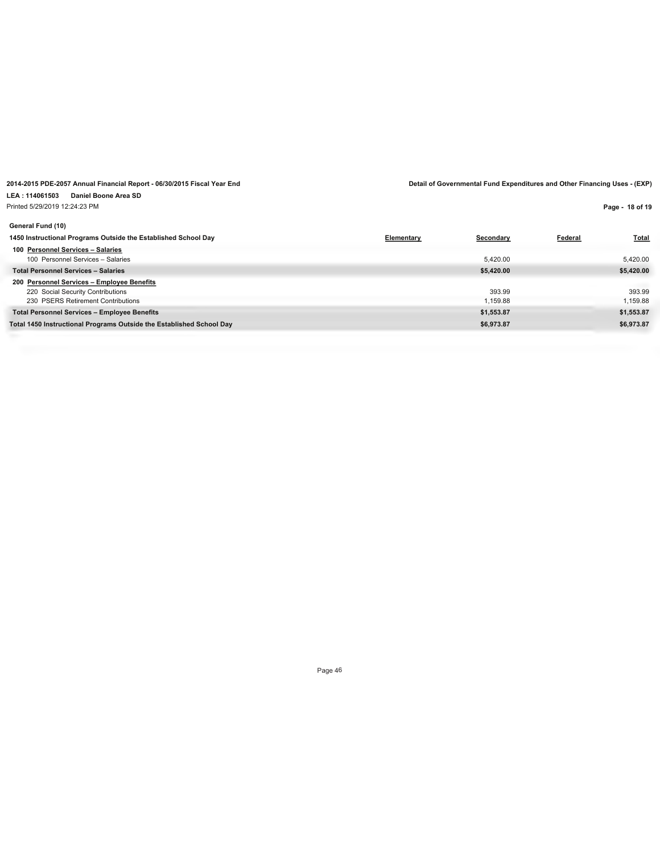## Printed 5/29/2019 12:24:23 PM

**Page - 18 of 19**

| Secondary  | <b>Total</b><br>Federal |
|------------|-------------------------|
|            |                         |
| 5,420.00   | 5,420.00                |
| \$5,420.00 | \$5,420.00              |
|            |                         |
| 393.99     | 393.99                  |
| 1.159.88   | 1,159.88                |
| \$1,553.87 | \$1,553.87              |
| \$6,973.87 | \$6,973.87              |
|            | Elementary              |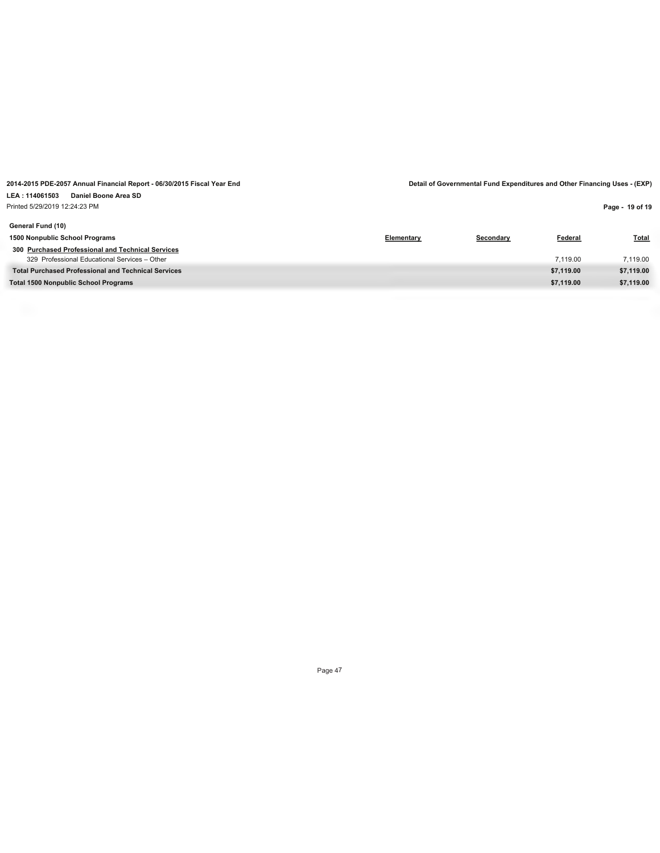**Page - 19 of 19**

| General Fund (10)                                          |            |           |            |              |
|------------------------------------------------------------|------------|-----------|------------|--------------|
| 1500 Nonpublic School Programs                             | Elementary | Secondary | Federal    | <b>Total</b> |
| 300 Purchased Professional and Technical Services          |            |           |            |              |
| 329 Professional Educational Services - Other              |            |           | 7.119.00   | 7.119.00     |
| <b>Total Purchased Professional and Technical Services</b> |            |           | \$7,119.00 | \$7,119.00   |
| <b>Total 1500 Nonpublic School Programs</b>                |            |           | \$7,119.00 | \$7,119.00   |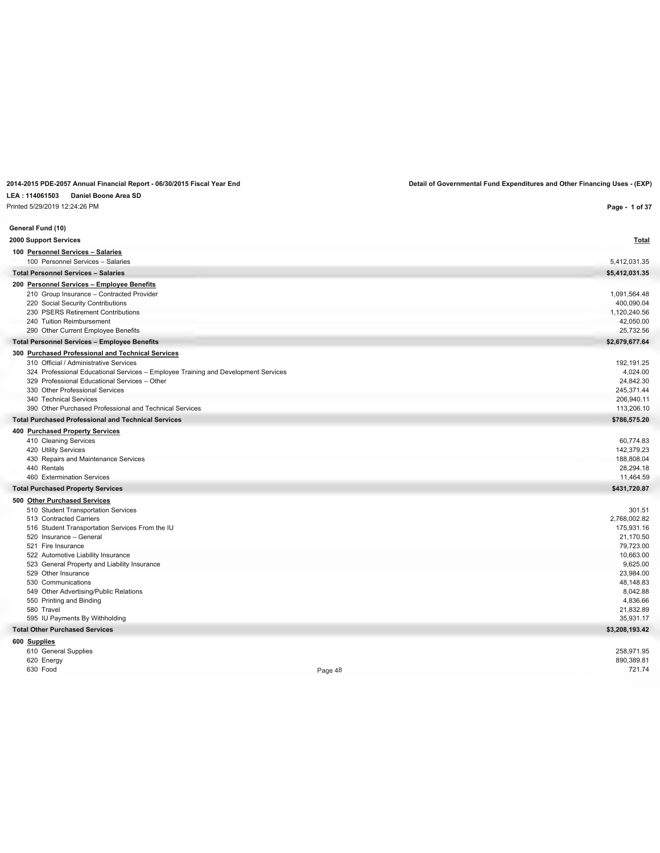### **LEA : 114061503 Daniel Boone Area SD**

Printed 5/29/2019 12:24:26 PM

**General Fund (10)**

**Page - 1 of 37**

| 2000 Support Services                                                              | <b>Total</b>   |
|------------------------------------------------------------------------------------|----------------|
| 100 Personnel Services - Salaries                                                  |                |
| 100 Personnel Services - Salaries                                                  | 5,412,031.35   |
| <b>Total Personnel Services - Salaries</b>                                         | \$5,412,031.35 |
| 200 Personnel Services - Employee Benefits                                         |                |
| 210 Group Insurance - Contracted Provider                                          | 1,091,564.48   |
| 220 Social Security Contributions                                                  | 400,090.04     |
| 230 PSERS Retirement Contributions                                                 | 1,120,240.56   |
| 240 Tuition Reimbursement                                                          | 42,050.00      |
| 290 Other Current Employee Benefits                                                | 25,732.56      |
| <b>Total Personnel Services - Employee Benefits</b>                                | \$2,679,677.64 |
| 300 Purchased Professional and Technical Services                                  |                |
| 310 Official / Administrative Services                                             | 192,191.25     |
| 324 Professional Educational Services - Employee Training and Development Services | 4,024.00       |
| 329 Professional Educational Services - Other                                      | 24,842.30      |
| 330 Other Professional Services                                                    | 245,371.44     |
| 340 Technical Services                                                             | 206,940.11     |
| 390 Other Purchased Professional and Technical Services                            | 113,206.10     |
| <b>Total Purchased Professional and Technical Services</b>                         | \$786,575.20   |
| 400 Purchased Property Services                                                    |                |
| 410 Cleaning Services                                                              | 60,774.83      |
| 420 Utility Services                                                               | 142.379.23     |
| 430 Repairs and Maintenance Services                                               | 188,808.04     |
| 440 Rentals                                                                        | 28.294.18      |
| 460 Extermination Services                                                         | 11,464.59      |
| <b>Total Purchased Property Services</b>                                           | \$431,720.87   |
| 500 Other Purchased Services                                                       |                |
| 510 Student Transportation Services                                                | 301.51         |
| 513 Contracted Carriers                                                            | 2,768,002.82   |
| 516 Student Transportation Services From the IU                                    | 175,931.16     |
| 520 Insurance - General                                                            | 21,170.50      |
| 521 Fire Insurance                                                                 | 79,723.00      |
| 522 Automotive Liability Insurance                                                 | 10,663.00      |
| 523 General Property and Liability Insurance                                       | 9,625.00       |
| 529 Other Insurance                                                                | 23,984.00      |
| 530 Communications                                                                 | 48,148.83      |
| 549 Other Advertising/Public Relations                                             | 8,042.88       |
| 550 Printing and Binding                                                           | 4,836.66       |
| 580 Travel                                                                         | 21,832.89      |
| 595 IU Payments By Withholding                                                     | 35,931.17      |
| <b>Total Other Purchased Services</b>                                              | \$3,208,193.42 |
| 600 Supplies                                                                       |                |
| 610 General Supplies                                                               | 258,971.95     |
| 620 Energy                                                                         | 890.389.81     |

630 Food 721.74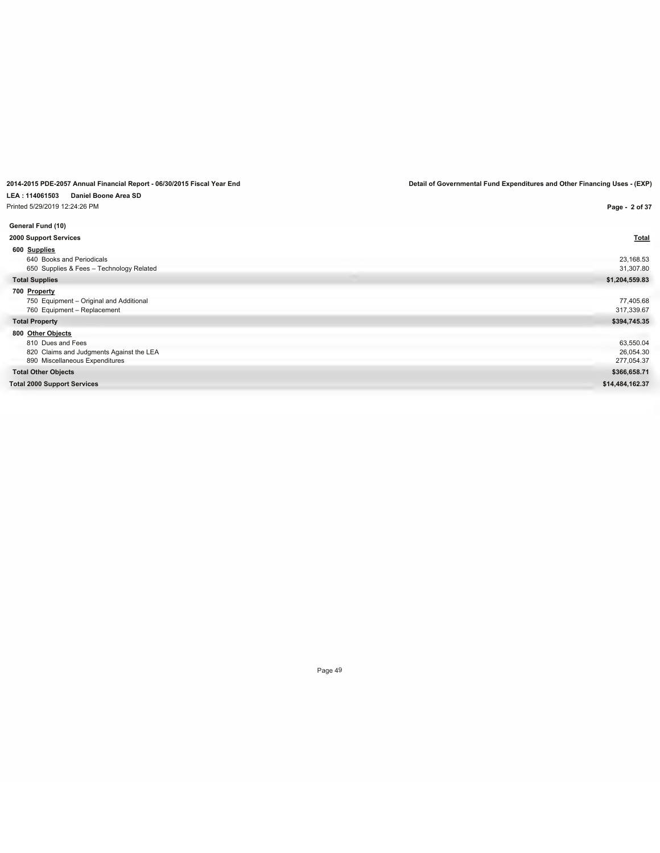# **LEA : 114061503 Daniel Boone Area SD**

| Printed 5/29/2019 12:24:26 PM            | Page - 2 of 37  |
|------------------------------------------|-----------------|
| General Fund (10)                        |                 |
| 2000 Support Services                    | <b>Total</b>    |
| 600 Supplies                             |                 |
| 640 Books and Periodicals                | 23,168.53       |
| 650 Supplies & Fees - Technology Related | 31,307.80       |
| <b>Total Supplies</b>                    | \$1,204,559.83  |
| 700 Property                             |                 |
| 750 Equipment - Original and Additional  | 77,405.68       |
| 760 Equipment - Replacement              | 317,339.67      |
| <b>Total Property</b>                    | \$394,745.35    |
| 800 Other Objects                        |                 |
| 810 Dues and Fees                        | 63,550.04       |
| 820 Claims and Judgments Against the LEA | 26,054.30       |
| 890 Miscellaneous Expenditures           | 277,054.37      |
| <b>Total Other Objects</b>               | \$366,658.71    |
| <b>Total 2000 Support Services</b>       | \$14,484,162.37 |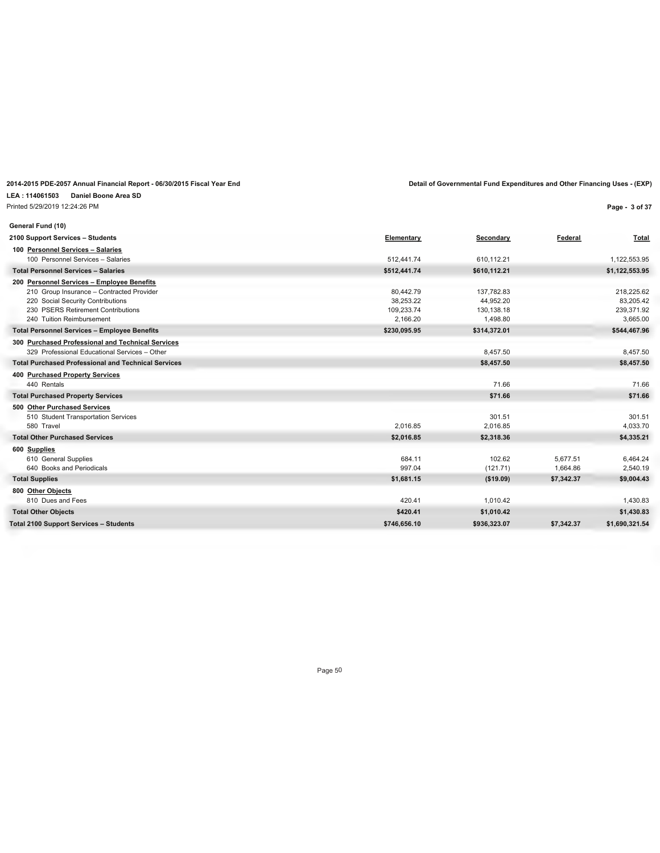**LEA : 114061503 Daniel Boone Area SD** Printed 5/29/2019 12:24:26 PM

**Page - 3 of 37**

| General Fund (10)                                          |              |              |            |                |
|------------------------------------------------------------|--------------|--------------|------------|----------------|
| 2100 Support Services - Students                           | Elementary   | Secondary    | Federal    | <b>Total</b>   |
| 100 Personnel Services - Salaries                          |              |              |            |                |
| 100 Personnel Services - Salaries                          | 512.441.74   | 610.112.21   |            | 1,122,553.95   |
| <b>Total Personnel Services - Salaries</b>                 | \$512,441.74 | \$610,112.21 |            | \$1,122,553.95 |
| 200 Personnel Services - Employee Benefits                 |              |              |            |                |
| 210 Group Insurance - Contracted Provider                  | 80,442.79    | 137,782.83   |            | 218,225.62     |
| 220 Social Security Contributions                          | 38.253.22    | 44.952.20    |            | 83,205.42      |
| 230 PSERS Retirement Contributions                         | 109.233.74   | 130,138.18   |            | 239,371.92     |
| 240 Tuition Reimbursement                                  | 2,166.20     | 1,498.80     |            | 3,665.00       |
| <b>Total Personnel Services - Employee Benefits</b>        | \$230,095.95 | \$314,372.01 |            | \$544,467.96   |
| 300 Purchased Professional and Technical Services          |              |              |            |                |
| 329 Professional Educational Services - Other              |              | 8,457.50     |            | 8,457.50       |
| <b>Total Purchased Professional and Technical Services</b> |              | \$8,457.50   |            | \$8,457.50     |
| 400 Purchased Property Services                            |              |              |            |                |
| 440 Rentals                                                |              | 71.66        |            | 71.66          |
| <b>Total Purchased Property Services</b>                   |              | \$71.66      |            | \$71.66        |
| 500 Other Purchased Services                               |              |              |            |                |
| 510 Student Transportation Services                        |              | 301.51       |            | 301.51         |
| 580 Travel                                                 | 2,016.85     | 2,016.85     |            | 4,033.70       |
| <b>Total Other Purchased Services</b>                      | \$2,016.85   | \$2,318.36   |            | \$4,335.21     |
| 600 Supplies                                               |              |              |            |                |
| 610 General Supplies                                       | 684.11       | 102.62       | 5.677.51   | 6,464.24       |
| 640 Books and Periodicals                                  | 997.04       | (121.71)     | 1,664.86   | 2,540.19       |
| <b>Total Supplies</b>                                      | \$1,681.15   | ( \$19.09)   | \$7,342.37 | \$9,004.43     |
| 800 Other Objects                                          |              |              |            |                |
| 810 Dues and Fees                                          | 420.41       | 1,010.42     |            | 1,430.83       |
| <b>Total Other Objects</b>                                 | \$420.41     | \$1,010.42   |            | \$1,430.83     |
| <b>Total 2100 Support Services - Students</b>              | \$746,656.10 | \$936,323.07 | \$7,342.37 | \$1,690,321.54 |
|                                                            |              |              |            |                |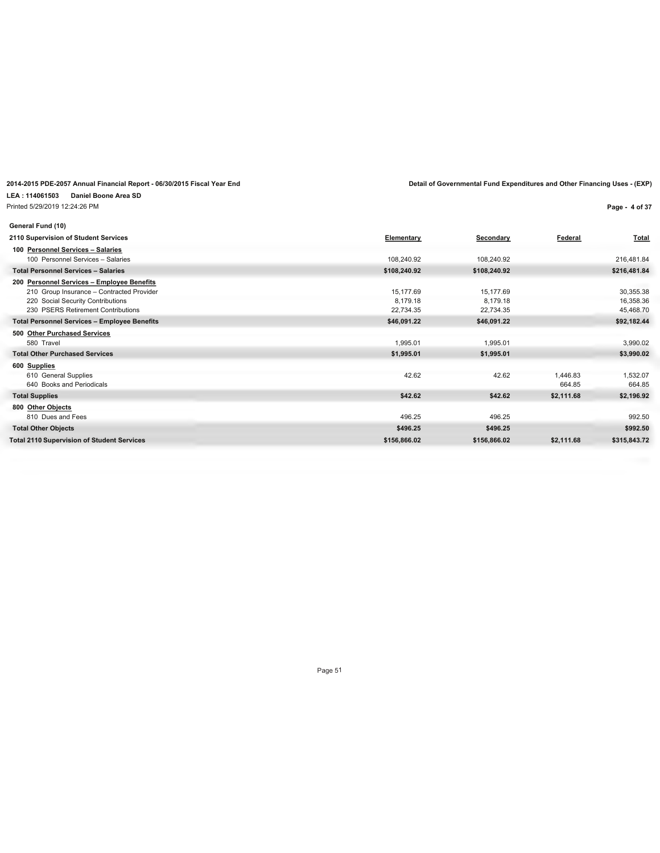Printed 5/29/2019 12:24:26 PM

**Page - 4 of 37**

| General Fund (10)                                   |              |              |            |              |
|-----------------------------------------------------|--------------|--------------|------------|--------------|
| 2110 Supervision of Student Services                | Elementary   | Secondary    | Federal    | <b>Total</b> |
| 100 Personnel Services - Salaries                   |              |              |            |              |
| 100 Personnel Services - Salaries                   | 108,240.92   | 108,240.92   |            | 216,481.84   |
| <b>Total Personnel Services - Salaries</b>          | \$108,240.92 | \$108,240.92 |            | \$216,481.84 |
| 200 Personnel Services - Employee Benefits          |              |              |            |              |
| 210 Group Insurance - Contracted Provider           | 15,177.69    | 15,177.69    |            | 30,355.38    |
| 220 Social Security Contributions                   | 8.179.18     | 8,179.18     |            | 16,358.36    |
| 230 PSERS Retirement Contributions                  | 22,734.35    | 22,734.35    |            | 45,468.70    |
| <b>Total Personnel Services - Employee Benefits</b> | \$46,091.22  | \$46,091.22  |            | \$92,182.44  |
| 500 Other Purchased Services                        |              |              |            |              |
| 580 Travel                                          | 1,995.01     | 1,995.01     |            | 3,990.02     |
| <b>Total Other Purchased Services</b>               | \$1,995.01   | \$1,995.01   |            | \$3,990.02   |
| 600 Supplies                                        |              |              |            |              |
| 610 General Supplies                                | 42.62        | 42.62        | 1,446.83   | 1,532.07     |
| 640 Books and Periodicals                           |              |              | 664.85     | 664.85       |
| <b>Total Supplies</b>                               | \$42.62      | \$42.62      | \$2,111.68 | \$2,196.92   |
| 800 Other Objects                                   |              |              |            |              |
| 810 Dues and Fees                                   | 496.25       | 496.25       |            | 992.50       |
| <b>Total Other Objects</b>                          | \$496.25     | \$496.25     |            | \$992.50     |
| <b>Total 2110 Supervision of Student Services</b>   | \$156,866.02 | \$156,866.02 | \$2,111.68 | \$315,843.72 |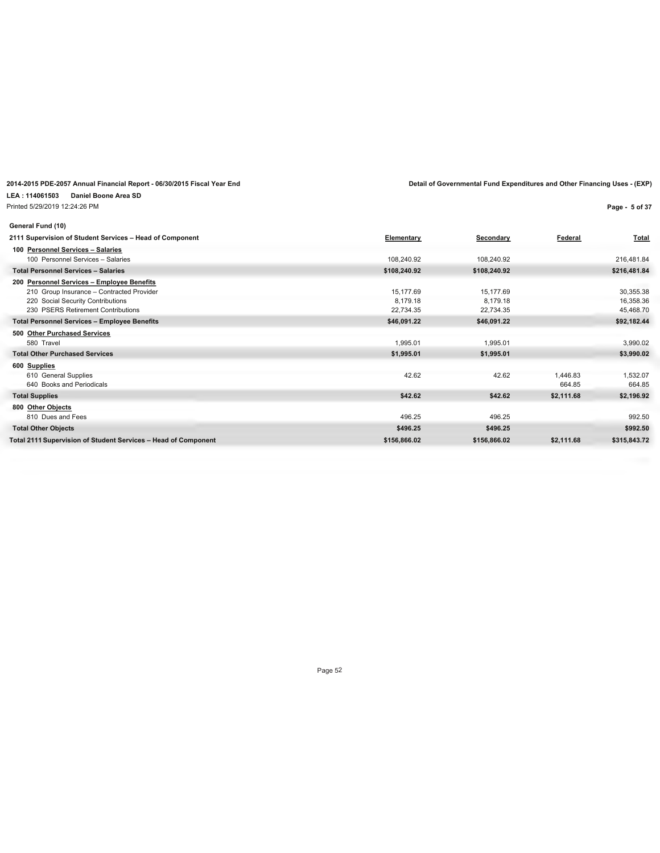**LEA : 114061503 Daniel Boone Area SD** Printed 5/29/2019 12:24:26 PM

**Page - 5 of 37**

| General Fund (10)                                              |                   |              |            |              |
|----------------------------------------------------------------|-------------------|--------------|------------|--------------|
| 2111 Supervision of Student Services - Head of Component       | <b>Elementary</b> | Secondary    | Federal    | <b>Total</b> |
| 100 Personnel Services - Salaries                              |                   |              |            |              |
| 100 Personnel Services - Salaries                              | 108,240.92        | 108,240.92   |            | 216,481.84   |
| <b>Total Personnel Services - Salaries</b>                     | \$108,240.92      | \$108,240.92 |            | \$216,481.84 |
| 200 Personnel Services - Employee Benefits                     |                   |              |            |              |
| 210 Group Insurance - Contracted Provider                      | 15,177.69         | 15,177.69    |            | 30,355.38    |
| 220 Social Security Contributions                              | 8.179.18          | 8,179.18     |            | 16,358.36    |
| 230 PSERS Retirement Contributions                             | 22,734.35         | 22,734.35    |            | 45,468.70    |
| <b>Total Personnel Services - Employee Benefits</b>            | \$46,091.22       | \$46,091.22  |            | \$92,182.44  |
| 500 Other Purchased Services                                   |                   |              |            |              |
| 580 Travel                                                     | 1,995.01          | 1,995.01     |            | 3,990.02     |
| <b>Total Other Purchased Services</b>                          | \$1,995.01        | \$1,995.01   |            | \$3,990.02   |
| 600 Supplies                                                   |                   |              |            |              |
| 610 General Supplies                                           | 42.62             | 42.62        | 1,446.83   | 1,532.07     |
| 640 Books and Periodicals                                      |                   |              | 664.85     | 664.85       |
| <b>Total Supplies</b>                                          | \$42.62           | \$42.62      | \$2,111.68 | \$2,196.92   |
| 800 Other Objects                                              |                   |              |            |              |
| 810 Dues and Fees                                              | 496.25            | 496.25       |            | 992.50       |
| <b>Total Other Objects</b>                                     | \$496.25          | \$496.25     |            | \$992.50     |
| Total 2111 Supervision of Student Services - Head of Component | \$156,866.02      | \$156,866.02 | \$2,111.68 | \$315,843.72 |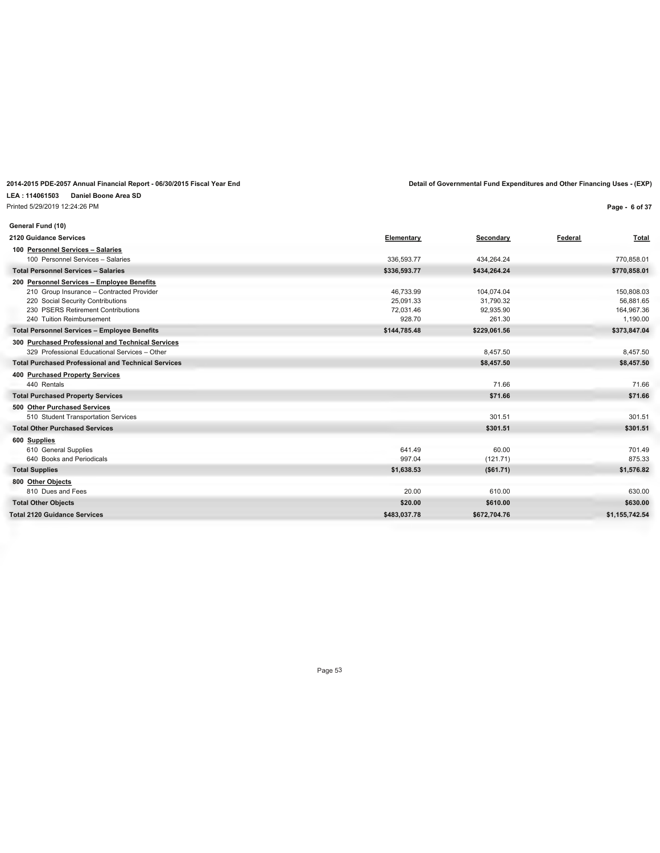### **LEA : 114061503 Daniel Boone Area SD**

Printed 5/29/2019 12:24:26 PM

**Page - 6 of 37**

| General Fund (10)                                          |              |              |                  |
|------------------------------------------------------------|--------------|--------------|------------------|
| 2120 Guidance Services                                     | Elementary   | Secondary    | Federal<br>Total |
| 100 Personnel Services - Salaries                          |              |              |                  |
| 100 Personnel Services - Salaries                          | 336,593.77   | 434,264.24   | 770,858.01       |
| <b>Total Personnel Services - Salaries</b>                 | \$336,593.77 | \$434,264.24 | \$770,858.01     |
| 200 Personnel Services - Employee Benefits                 |              |              |                  |
| 210 Group Insurance - Contracted Provider                  | 46,733.99    | 104,074.04   | 150,808.03       |
| 220 Social Security Contributions                          | 25.091.33    | 31,790.32    | 56,881.65        |
| 230 PSERS Retirement Contributions                         | 72.031.46    | 92,935.90    | 164,967.36       |
| 240 Tuition Reimbursement                                  | 928.70       | 261.30       | 1,190.00         |
| <b>Total Personnel Services - Employee Benefits</b>        | \$144,785.48 | \$229,061.56 | \$373,847.04     |
| 300 Purchased Professional and Technical Services          |              |              |                  |
| 329 Professional Educational Services - Other              |              | 8,457.50     | 8,457.50         |
| <b>Total Purchased Professional and Technical Services</b> |              | \$8,457.50   | \$8,457.50       |
| 400 Purchased Property Services                            |              |              |                  |
| 440 Rentals                                                |              | 71.66        | 71.66            |
| <b>Total Purchased Property Services</b>                   |              | \$71.66      | \$71.66          |
| 500 Other Purchased Services                               |              |              |                  |
| 510 Student Transportation Services                        |              | 301.51       | 301.51           |
| <b>Total Other Purchased Services</b>                      |              | \$301.51     | \$301.51         |
| 600 Supplies                                               |              |              |                  |
| 610 General Supplies                                       | 641.49       | 60.00        | 701.49           |
| 640 Books and Periodicals                                  | 997.04       | (121.71)     | 875.33           |
| <b>Total Supplies</b>                                      | \$1,638.53   | (\$61.71)    | \$1,576.82       |
| 800 Other Objects                                          |              |              |                  |
| 810 Dues and Fees                                          | 20.00        | 610.00       | 630.00           |
| <b>Total Other Objects</b>                                 | \$20.00      | \$610.00     | \$630.00         |
| <b>Total 2120 Guidance Services</b>                        | \$483,037.78 | \$672,704.76 | \$1,155,742.54   |
|                                                            |              |              |                  |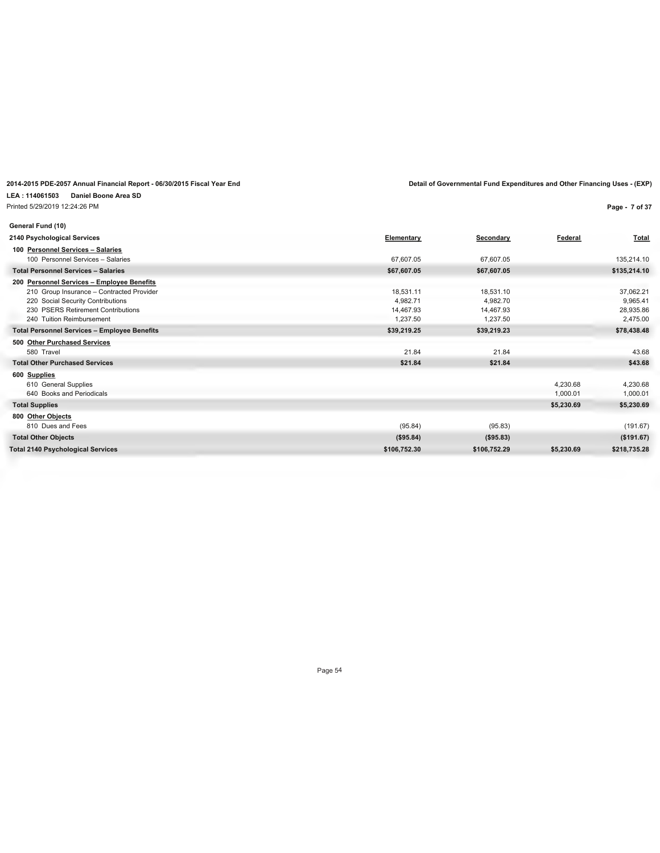#### **LEA : 114061503 Daniel Boone Area SD** Printed 5/29/2019 12:24:26 PM

**Page - 7 of 37**

| General Fund (10)                                   |              |              |            |              |
|-----------------------------------------------------|--------------|--------------|------------|--------------|
| 2140 Psychological Services                         | Elementary   | Secondary    | Federal    | Total        |
| 100 Personnel Services - Salaries                   |              |              |            |              |
| 100 Personnel Services - Salaries                   | 67.607.05    | 67,607.05    |            | 135,214.10   |
| <b>Total Personnel Services - Salaries</b>          | \$67,607.05  | \$67,607.05  |            | \$135,214.10 |
| 200 Personnel Services - Employee Benefits          |              |              |            |              |
| 210 Group Insurance - Contracted Provider           | 18,531.11    | 18,531.10    |            | 37,062.21    |
| 220 Social Security Contributions                   | 4,982.71     | 4.982.70     |            | 9,965.41     |
| 230 PSERS Retirement Contributions                  | 14,467.93    | 14,467.93    |            | 28,935.86    |
| 240 Tuition Reimbursement                           | 1,237.50     | 1,237.50     |            | 2,475.00     |
| <b>Total Personnel Services - Employee Benefits</b> | \$39,219.25  | \$39,219.23  |            | \$78,438.48  |
| 500 Other Purchased Services                        |              |              |            |              |
| 580 Travel                                          | 21.84        | 21.84        |            | 43.68        |
| <b>Total Other Purchased Services</b>               | \$21.84      | \$21.84      |            | \$43.68      |
| 600 Supplies                                        |              |              |            |              |
| 610 General Supplies                                |              |              | 4,230.68   | 4,230.68     |
| 640 Books and Periodicals                           |              |              | 1,000.01   | 1,000.01     |
| <b>Total Supplies</b>                               |              |              | \$5,230.69 | \$5,230.69   |
| 800 Other Objects                                   |              |              |            |              |
| 810 Dues and Fees                                   | (95.84)      | (95.83)      |            | (191.67)     |
| <b>Total Other Objects</b>                          | (\$95.84)    | $($ \$95.83) |            | (\$191.67)   |
| <b>Total 2140 Psychological Services</b>            | \$106,752.30 | \$106,752.29 | \$5,230.69 | \$218,735.28 |
|                                                     |              |              |            |              |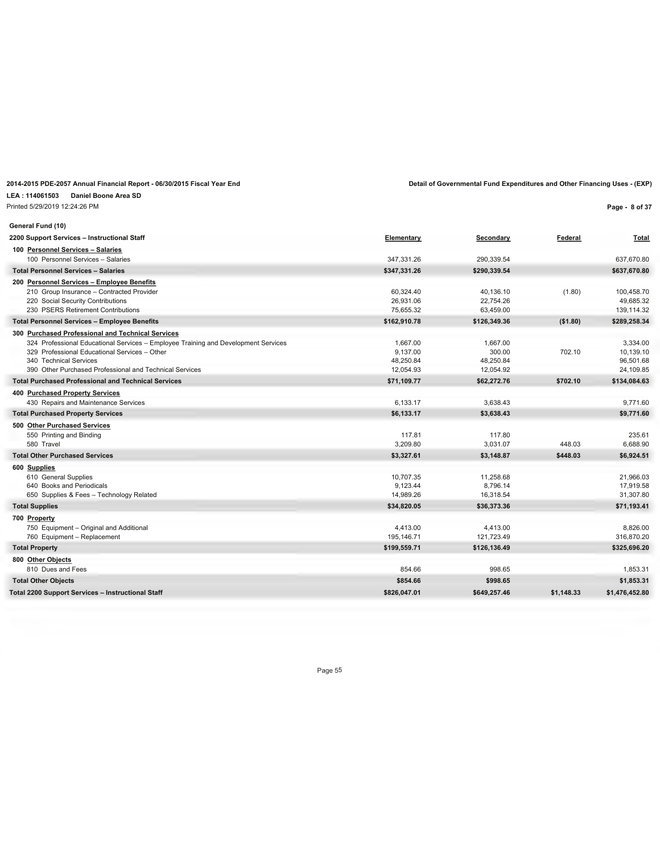**LEA : 114061503 Daniel Boone Area SD**

Printed 5/29/2019 12:24:26 PM

**Page - 8 of 37**

| General Fund (10)                                                                  |              |              |            |                |
|------------------------------------------------------------------------------------|--------------|--------------|------------|----------------|
| 2200 Support Services - Instructional Staff                                        | Elementary   | Secondary    | Federal    | <b>Total</b>   |
| 100 Personnel Services - Salaries                                                  |              |              |            |                |
| 100 Personnel Services - Salaries                                                  | 347.331.26   | 290,339.54   |            | 637,670.80     |
| <b>Total Personnel Services - Salaries</b>                                         | \$347,331.26 | \$290,339.54 |            | \$637,670.80   |
| 200 Personnel Services - Employee Benefits                                         |              |              |            |                |
| 210 Group Insurance - Contracted Provider                                          | 60,324.40    | 40,136.10    | (1.80)     | 100,458.70     |
| 220 Social Security Contributions                                                  | 26.931.06    | 22,754.26    |            | 49.685.32      |
| 230 PSERS Retirement Contributions                                                 | 75,655.32    | 63,459.00    |            | 139,114.32     |
| <b>Total Personnel Services - Employee Benefits</b>                                | \$162.910.78 | \$126.349.36 | (\$1.80)   | \$289,258.34   |
| 300 Purchased Professional and Technical Services                                  |              |              |            |                |
| 324 Professional Educational Services - Employee Training and Development Services | 1,667.00     | 1,667.00     |            | 3,334.00       |
| 329 Professional Educational Services - Other                                      | 9.137.00     | 300.00       | 702.10     | 10,139.10      |
| 340 Technical Services                                                             | 48.250.84    | 48.250.84    |            | 96.501.68      |
| 390 Other Purchased Professional and Technical Services                            | 12,054.93    | 12,054.92    |            | 24,109.85      |
| <b>Total Purchased Professional and Technical Services</b>                         | \$71,109.77  | \$62,272.76  | \$702.10   | \$134,084.63   |
| 400 Purchased Property Services                                                    |              |              |            |                |
| 430 Repairs and Maintenance Services                                               | 6,133.17     | 3,638.43     |            | 9,771.60       |
| <b>Total Purchased Property Services</b>                                           | \$6,133.17   | \$3.638.43   |            | \$9,771.60     |
| 500 Other Purchased Services                                                       |              |              |            |                |
| 550 Printing and Binding                                                           | 117.81       | 117.80       |            | 235.61         |
| 580 Travel                                                                         | 3.209.80     | 3,031.07     | 448.03     | 6,688.90       |
| <b>Total Other Purchased Services</b>                                              | \$3,327.61   | \$3,148.87   | \$448.03   | \$6,924.51     |
| 600 Supplies                                                                       |              |              |            |                |
| 610 General Supplies                                                               | 10.707.35    | 11,258.68    |            | 21,966.03      |
| 640 Books and Periodicals                                                          | 9,123.44     | 8,796.14     |            | 17,919.58      |
| 650 Supplies & Fees - Technology Related                                           | 14.989.26    | 16,318.54    |            | 31,307.80      |
| <b>Total Supplies</b>                                                              | \$34,820.05  | \$36,373.36  |            | \$71,193.41    |
| 700 Property                                                                       |              |              |            |                |
| 750 Equipment - Original and Additional                                            | 4,413.00     | 4,413.00     |            | 8,826.00       |
| 760 Equipment - Replacement                                                        | 195,146.71   | 121,723.49   |            | 316,870.20     |
| <b>Total Property</b>                                                              | \$199,559.71 | \$126,136.49 |            | \$325,696.20   |
| 800 Other Objects                                                                  |              |              |            |                |
| 810 Dues and Fees                                                                  | 854.66       | 998.65       |            | 1,853.31       |
| <b>Total Other Objects</b>                                                         | \$854.66     | \$998.65     |            | \$1,853.31     |
| Total 2200 Support Services - Instructional Staff                                  | \$826,047.01 | \$649,257.46 | \$1.148.33 | \$1,476,452.80 |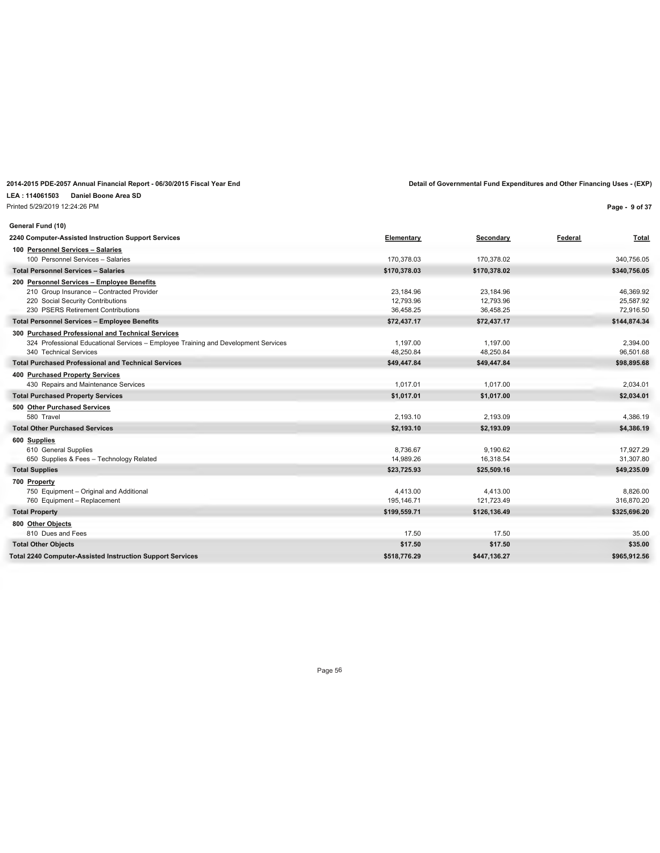**LEA : 114061503 Daniel Boone Area SD**

Printed 5/29/2019 12:24:26 PM

**Page - 9 of 37**

| General Fund (10)                                                                  |              |              |         |              |
|------------------------------------------------------------------------------------|--------------|--------------|---------|--------------|
| 2240 Computer-Assisted Instruction Support Services                                | Elementary   | Secondary    | Federal | Total        |
| 100 Personnel Services - Salaries                                                  |              |              |         |              |
| 100 Personnel Services - Salaries                                                  | 170,378.03   | 170,378.02   |         | 340,756.05   |
| <b>Total Personnel Services - Salaries</b>                                         | \$170,378.03 | \$170,378.02 |         | \$340,756.05 |
| 200 Personnel Services - Employee Benefits                                         |              |              |         |              |
| 210 Group Insurance - Contracted Provider                                          | 23,184.96    | 23,184.96    |         | 46,369.92    |
| 220 Social Security Contributions                                                  | 12.793.96    | 12.793.96    |         | 25.587.92    |
| 230 PSERS Retirement Contributions                                                 | 36,458.25    | 36,458.25    |         | 72,916.50    |
| <b>Total Personnel Services - Employee Benefits</b>                                | \$72,437.17  | \$72,437.17  |         | \$144,874.34 |
| 300 Purchased Professional and Technical Services                                  |              |              |         |              |
| 324 Professional Educational Services - Employee Training and Development Services | 1,197.00     | 1,197.00     |         | 2,394.00     |
| 340 Technical Services                                                             | 48,250.84    | 48,250.84    |         | 96,501.68    |
| <b>Total Purchased Professional and Technical Services</b>                         | \$49,447.84  | \$49,447.84  |         | \$98,895.68  |
| 400 Purchased Property Services                                                    |              |              |         |              |
| 430 Repairs and Maintenance Services                                               | 1,017.01     | 1,017.00     |         | 2,034.01     |
| <b>Total Purchased Property Services</b>                                           | \$1,017.01   | \$1,017.00   |         | \$2,034.01   |
| 500 Other Purchased Services                                                       |              |              |         |              |
| 580 Travel                                                                         | 2.193.10     | 2,193.09     |         | 4,386.19     |
| <b>Total Other Purchased Services</b>                                              | \$2,193.10   | \$2,193.09   |         | \$4,386.19   |
| 600 Supplies                                                                       |              |              |         |              |
| 610 General Supplies                                                               | 8,736.67     | 9,190.62     |         | 17,927.29    |
| 650 Supplies & Fees - Technology Related                                           | 14,989.26    | 16,318.54    |         | 31,307.80    |
| <b>Total Supplies</b>                                                              | \$23,725.93  | \$25,509.16  |         | \$49,235.09  |
| 700 Property                                                                       |              |              |         |              |
| 750 Equipment - Original and Additional                                            | 4,413.00     | 4,413.00     |         | 8,826.00     |
| 760 Equipment - Replacement                                                        | 195,146.71   | 121,723.49   |         | 316,870.20   |
| <b>Total Property</b>                                                              | \$199,559.71 | \$126,136.49 |         | \$325,696.20 |
| 800 Other Objects                                                                  |              |              |         |              |
| 810 Dues and Fees                                                                  | 17.50        | 17.50        |         | 35.00        |
| <b>Total Other Objects</b>                                                         | \$17.50      | \$17.50      |         | \$35.00      |
| <b>Total 2240 Computer-Assisted Instruction Support Services</b>                   | \$518,776.29 | \$447,136.27 |         | \$965,912.56 |
|                                                                                    |              |              |         |              |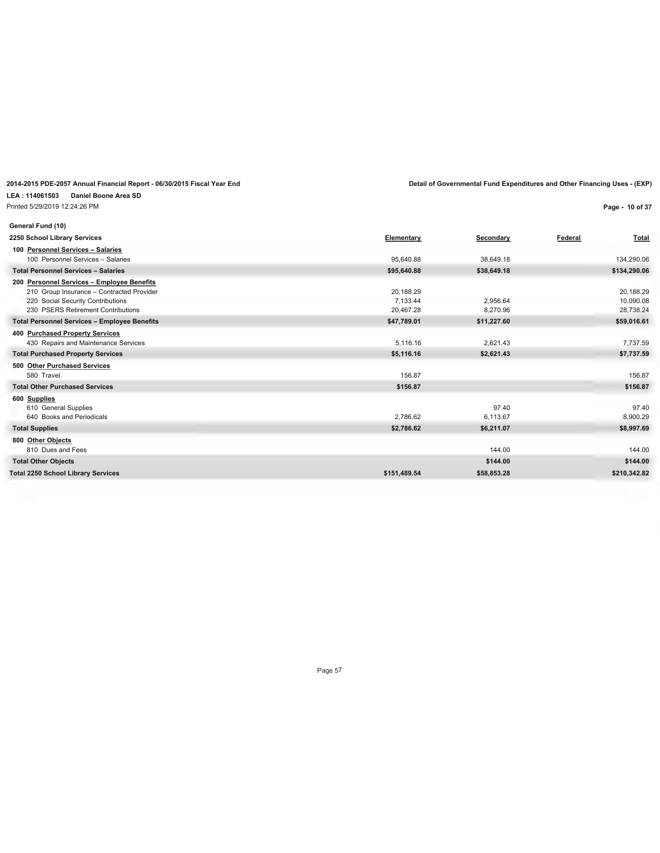Printed 5/29/2019 12:24:26 PM

**Page - 10 of 37**

| General Fund (10)                                   |              |             |         |              |
|-----------------------------------------------------|--------------|-------------|---------|--------------|
| 2250 School Library Services                        | Elementary   | Secondary   | Federal | Total        |
| 100 Personnel Services - Salaries                   |              |             |         |              |
| 100 Personnel Services - Salaries                   | 95,640.88    | 38,649.18   |         | 134,290.06   |
| <b>Total Personnel Services - Salaries</b>          | \$95,640.88  | \$38,649.18 |         | \$134,290.06 |
| 200 Personnel Services - Employee Benefits          |              |             |         |              |
| 210 Group Insurance - Contracted Provider           | 20,188.29    |             |         | 20,188.29    |
| 220 Social Security Contributions                   | 7,133.44     | 2,956.64    |         | 10,090.08    |
| 230 PSERS Retirement Contributions                  | 20,467.28    | 8,270.96    |         | 28,738.24    |
| <b>Total Personnel Services - Employee Benefits</b> | \$47,789.01  | \$11,227.60 |         | \$59,016.61  |
| 400 Purchased Property Services                     |              |             |         |              |
| 430 Repairs and Maintenance Services                | 5.116.16     | 2.621.43    |         | 7,737.59     |
| <b>Total Purchased Property Services</b>            | \$5,116.16   | \$2,621.43  |         | \$7,737.59   |
| 500 Other Purchased Services                        |              |             |         |              |
| 580 Travel                                          | 156.87       |             |         | 156.87       |
| <b>Total Other Purchased Services</b>               | \$156.87     |             |         | \$156.87     |
| 600 Supplies                                        |              |             |         |              |
| 610 General Supplies                                |              | 97.40       |         | 97.40        |
| 640 Books and Periodicals                           | 2,786.62     | 6,113.67    |         | 8,900.29     |
| <b>Total Supplies</b>                               | \$2,786.62   | \$6,211.07  |         | \$8,997.69   |
| 800 Other Objects                                   |              |             |         |              |
| 810 Dues and Fees                                   |              | 144.00      |         | 144.00       |
| <b>Total Other Objects</b>                          |              | \$144.00    |         | \$144.00     |
| <b>Total 2250 School Library Services</b>           | \$151,489.54 | \$58,853.28 |         | \$210,342.82 |
|                                                     |              |             |         |              |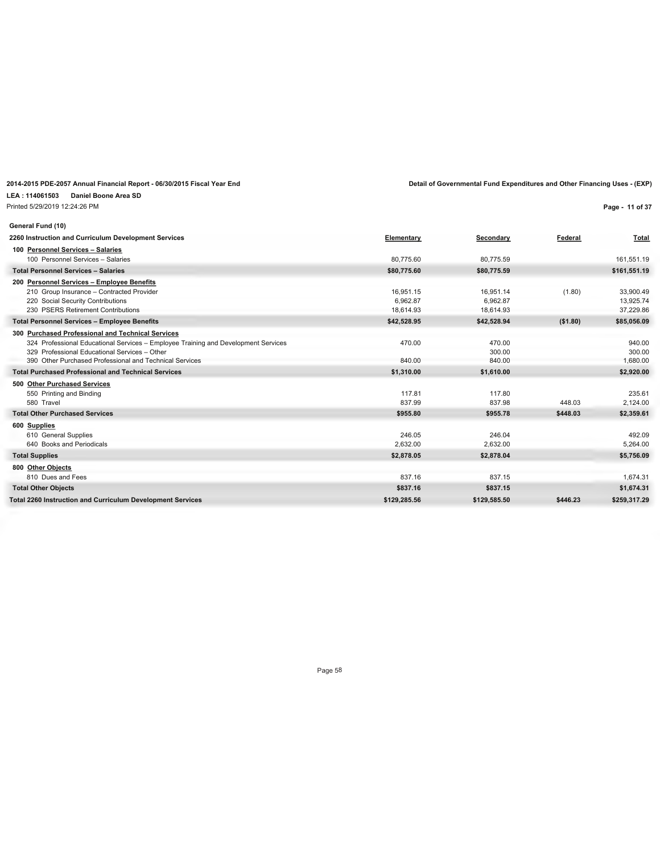**LEA : 114061503 Daniel Boone Area SD** Printed 5/29/2019 12:24:26 PM

**Page - 11 of 37**

| General Fund (10)                                                                  |              |              |          |              |
|------------------------------------------------------------------------------------|--------------|--------------|----------|--------------|
| 2260 Instruction and Curriculum Development Services                               | Elementary   | Secondary    | Federal  | Total        |
| 100 Personnel Services - Salaries                                                  |              |              |          |              |
| 100 Personnel Services - Salaries                                                  | 80.775.60    | 80.775.59    |          | 161.551.19   |
| <b>Total Personnel Services - Salaries</b>                                         | \$80,775.60  | \$80,775.59  |          | \$161,551.19 |
| 200 Personnel Services - Employee Benefits                                         |              |              |          |              |
| 210 Group Insurance - Contracted Provider                                          | 16.951.15    | 16,951.14    | (1.80)   | 33,900.49    |
| 220 Social Security Contributions                                                  | 6.962.87     | 6.962.87     |          | 13,925.74    |
| 230 PSERS Retirement Contributions                                                 | 18.614.93    | 18,614.93    |          | 37,229.86    |
| <b>Total Personnel Services - Employee Benefits</b>                                | \$42,528.95  | \$42,528.94  | (\$1.80) | \$85,056.09  |
| 300 Purchased Professional and Technical Services                                  |              |              |          |              |
| 324 Professional Educational Services - Employee Training and Development Services | 470.00       | 470.00       |          | 940.00       |
| 329 Professional Educational Services - Other                                      |              | 300.00       |          | 300.00       |
| 390 Other Purchased Professional and Technical Services                            | 840.00       | 840.00       |          | 1,680.00     |
| <b>Total Purchased Professional and Technical Services</b>                         | \$1,310.00   | \$1,610.00   |          | \$2,920.00   |
| 500 Other Purchased Services                                                       |              |              |          |              |
| 550 Printing and Binding                                                           | 117.81       | 117.80       |          | 235.61       |
| 580 Travel                                                                         | 837.99       | 837.98       | 448.03   | 2,124.00     |
| <b>Total Other Purchased Services</b>                                              | \$955.80     | \$955.78     | \$448.03 | \$2,359.61   |
| 600 Supplies                                                                       |              |              |          |              |
| 610 General Supplies                                                               | 246.05       | 246.04       |          | 492.09       |
| 640 Books and Periodicals                                                          | 2,632.00     | 2,632.00     |          | 5,264.00     |
| <b>Total Supplies</b>                                                              | \$2,878.05   | \$2,878.04   |          | \$5,756.09   |
| 800 Other Objects                                                                  |              |              |          |              |
| 810 Dues and Fees                                                                  | 837.16       | 837.15       |          | 1,674.31     |
| <b>Total Other Objects</b>                                                         | \$837.16     | \$837.15     |          | \$1,674.31   |
| <b>Total 2260 Instruction and Curriculum Development Services</b>                  | \$129,285.56 | \$129.585.50 | \$446.23 | \$259.317.29 |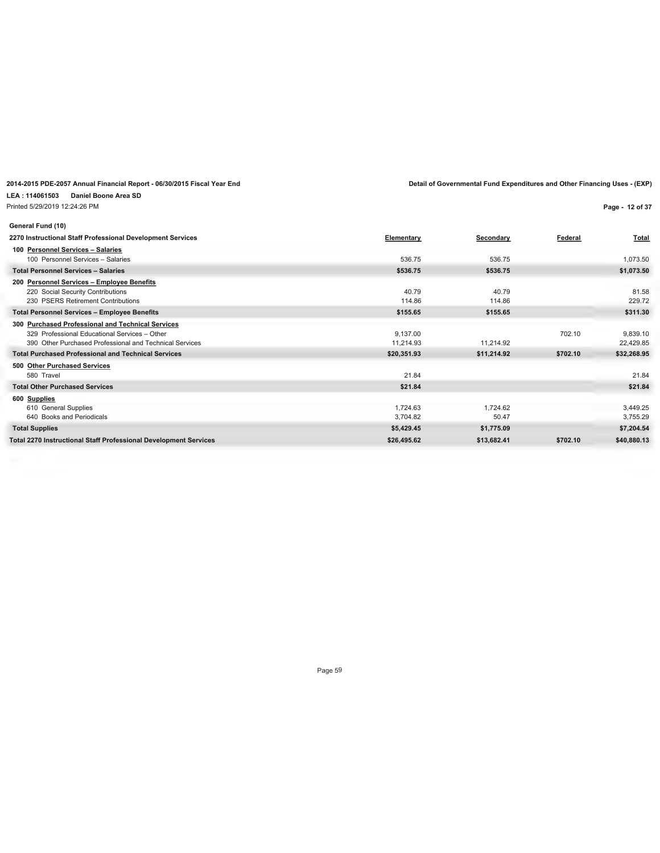**LEA : 114061503 Daniel Boone Area SD** Printed 5/29/2019 12:24:26 PM

**Page - 12 of 37**

| General Fund (10)                                                |             |             |          |              |
|------------------------------------------------------------------|-------------|-------------|----------|--------------|
| 2270 Instructional Staff Professional Development Services       | Elementary  | Secondary   | Federal  | <b>Total</b> |
| 100 Personnel Services - Salaries                                |             |             |          |              |
| 100 Personnel Services - Salaries                                | 536.75      | 536.75      |          | 1,073.50     |
| <b>Total Personnel Services - Salaries</b>                       | \$536.75    | \$536.75    |          | \$1,073.50   |
| 200 Personnel Services - Employee Benefits                       |             |             |          |              |
| 220 Social Security Contributions                                | 40.79       | 40.79       |          | 81.58        |
| 230 PSERS Retirement Contributions                               | 114.86      | 114.86      |          | 229.72       |
| <b>Total Personnel Services - Employee Benefits</b>              | \$155.65    | \$155.65    |          | \$311.30     |
| 300 Purchased Professional and Technical Services                |             |             |          |              |
| 329 Professional Educational Services - Other                    | 9.137.00    |             | 702.10   | 9,839.10     |
| 390 Other Purchased Professional and Technical Services          | 11.214.93   | 11.214.92   |          | 22,429.85    |
| <b>Total Purchased Professional and Technical Services</b>       | \$20,351.93 | \$11,214.92 | \$702.10 | \$32,268.95  |
| 500 Other Purchased Services                                     |             |             |          |              |
| 580 Travel                                                       | 21.84       |             |          | 21.84        |
| <b>Total Other Purchased Services</b>                            | \$21.84     |             |          | \$21.84      |
| 600 Supplies                                                     |             |             |          |              |
| 610 General Supplies                                             | 1.724.63    | 1.724.62    |          | 3,449.25     |
| 640 Books and Periodicals                                        | 3.704.82    | 50.47       |          | 3,755.29     |
| <b>Total Supplies</b>                                            | \$5,429.45  | \$1,775.09  |          | \$7,204.54   |
| Total 2270 Instructional Staff Professional Development Services | \$26,495.62 | \$13,682.41 | \$702.10 | \$40,880.13  |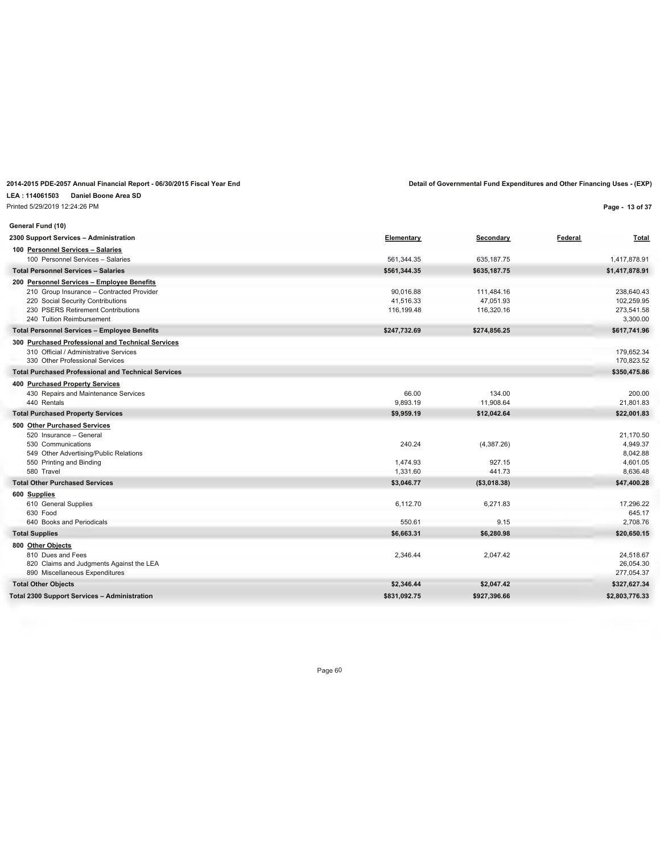| 2014-2015 PDE-2057 Annual Financial Report - 06/30/2015 Fiscal Year End | Detail of Governmental Fund Expenditures and Other Financing Uses - (EXP) |
|-------------------------------------------------------------------------|---------------------------------------------------------------------------|
| LEA: 114061503 Daniel Boone Area SD                                     |                                                                           |

Printed 5/29/2019 12:24:26 PM

**Page - 13 of 37**

| General Fund (10)                                                         |              |               |                          |
|---------------------------------------------------------------------------|--------------|---------------|--------------------------|
| 2300 Support Services - Administration                                    | Elementary   | Secondary     | Federal<br><u>Total</u>  |
| 100 Personnel Services - Salaries                                         |              |               |                          |
| 100 Personnel Services - Salaries                                         | 561,344.35   | 635, 187. 75  | 1,417,878.91             |
| <b>Total Personnel Services - Salaries</b>                                | \$561,344.35 | \$635,187.75  | \$1,417,878.91           |
| 200 Personnel Services - Employee Benefits                                |              |               |                          |
| 210 Group Insurance - Contracted Provider                                 | 90,016.88    | 111,484.16    | 238,640.43               |
| 220 Social Security Contributions                                         | 41,516.33    | 47,051.93     | 102,259.95               |
| 230 PSERS Retirement Contributions<br>240 Tuition Reimbursement           | 116,199.48   | 116,320.16    | 273,541.58<br>3,300.00   |
|                                                                           |              |               |                          |
| <b>Total Personnel Services - Employee Benefits</b>                       | \$247,732.69 | \$274,856.25  | \$617,741.96             |
| 300 Purchased Professional and Technical Services                         |              |               |                          |
| 310 Official / Administrative Services<br>330 Other Professional Services |              |               | 179.652.34<br>170,823.52 |
| <b>Total Purchased Professional and Technical Services</b>                |              |               | \$350,475.86             |
|                                                                           |              |               |                          |
| 400 Purchased Property Services<br>430 Repairs and Maintenance Services   | 66.00        | 134.00        | 200.00                   |
| 440 Rentals                                                               | 9,893.19     | 11,908.64     | 21,801.83                |
| <b>Total Purchased Property Services</b>                                  | \$9,959.19   | \$12,042.64   | \$22,001.83              |
|                                                                           |              |               |                          |
| 500 Other Purchased Services<br>520 Insurance - General                   |              |               | 21,170.50                |
| 530 Communications                                                        | 240.24       | (4,387.26)    | 4,949.37                 |
| 549 Other Advertising/Public Relations                                    |              |               | 8,042.88                 |
| 550 Printing and Binding                                                  | 1,474.93     | 927.15        | 4.601.05                 |
| 580 Travel                                                                | 1,331.60     | 441.73        | 8,636.48                 |
| <b>Total Other Purchased Services</b>                                     | \$3,046.77   | ( \$3,018.38) | \$47,400.28              |
| 600 Supplies                                                              |              |               |                          |
| 610 General Supplies                                                      | 6,112.70     | 6,271.83      | 17,296.22                |
| 630 Food                                                                  |              |               | 645.17                   |
| 640 Books and Periodicals                                                 | 550.61       | 9.15          | 2,708.76                 |
| <b>Total Supplies</b>                                                     | \$6,663.31   | \$6,280.98    | \$20,650.15              |
| 800 Other Objects                                                         |              |               |                          |
| 810 Dues and Fees                                                         | 2,346.44     | 2,047.42      | 24,518.67                |
| 820 Claims and Judgments Against the LEA                                  |              |               | 26,054.30                |
| 890 Miscellaneous Expenditures                                            |              |               | 277,054.37               |
| <b>Total Other Objects</b>                                                | \$2,346.44   | \$2,047.42    | \$327,627.34             |
| Total 2300 Support Services - Administration                              | \$831,092.75 | \$927,396.66  | \$2,803,776.33           |
|                                                                           |              |               |                          |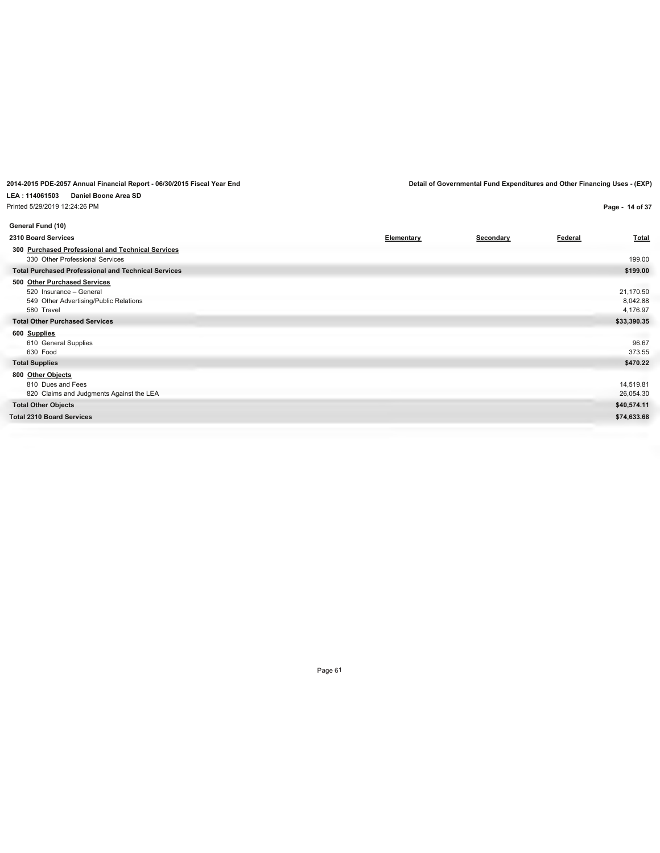**LEA : 114061503 Daniel Boone Area SD**

Printed 5/29/2019 12:24:26 PM

**Page - 14 of 37**

| General Fund (10)                                                                                               |            |           |                |                                   |
|-----------------------------------------------------------------------------------------------------------------|------------|-----------|----------------|-----------------------------------|
| 2310 Board Services                                                                                             | Elementary | Secondary | <b>Federal</b> | <b>Total</b>                      |
| 300 Purchased Professional and Technical Services<br>330 Other Professional Services                            |            |           |                | 199.00                            |
| <b>Total Purchased Professional and Technical Services</b>                                                      |            |           |                | \$199.00                          |
| 500 Other Purchased Services<br>520 Insurance - General<br>549 Other Advertising/Public Relations<br>580 Travel |            |           |                | 21,170.50<br>8,042.88<br>4,176.97 |
| <b>Total Other Purchased Services</b>                                                                           |            |           |                | \$33,390.35                       |
| 600 Supplies<br>610 General Supplies<br>630 Food                                                                |            |           |                | 96.67<br>373.55                   |
| <b>Total Supplies</b>                                                                                           |            |           |                | \$470.22                          |
| 800 Other Objects<br>810 Dues and Fees<br>820 Claims and Judgments Against the LEA                              |            |           |                | 14,519.81<br>26,054.30            |
| <b>Total Other Objects</b>                                                                                      |            |           |                | \$40,574.11                       |
| <b>Total 2310 Board Services</b>                                                                                |            |           |                | \$74,633.68                       |
|                                                                                                                 |            |           |                |                                   |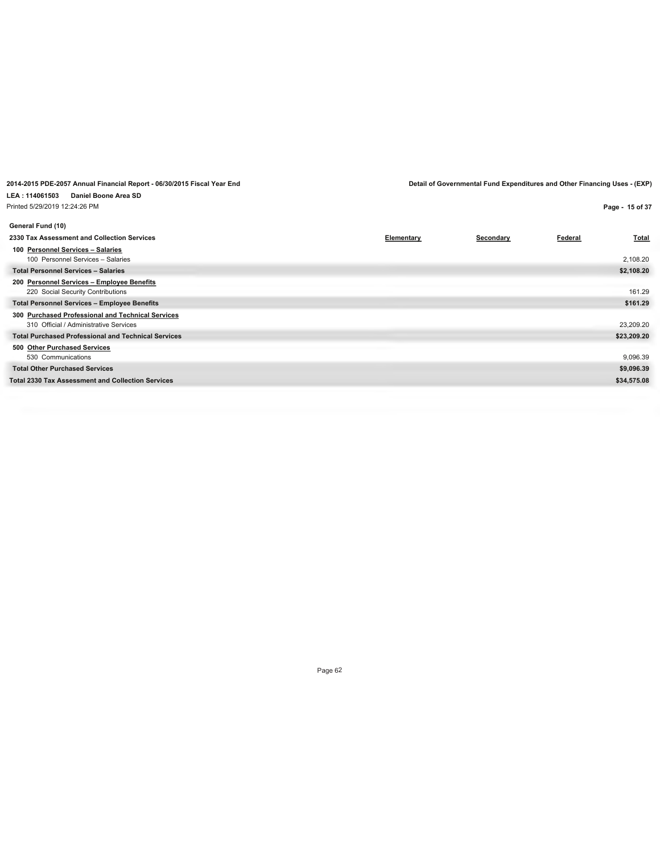| Printed 5/29/2019 12:24:26 PM                                                               |            |           |         | Page - 15 of 37 |
|---------------------------------------------------------------------------------------------|------------|-----------|---------|-----------------|
| General Fund (10)                                                                           |            |           |         |                 |
| 2330 Tax Assessment and Collection Services                                                 | Elementary | Secondary | Federal | <b>Total</b>    |
| 100 Personnel Services - Salaries<br>100 Personnel Services - Salaries                      |            |           |         | 2,108.20        |
| <b>Total Personnel Services - Salaries</b>                                                  |            |           |         | \$2,108.20      |
| 200 Personnel Services - Employee Benefits<br>220 Social Security Contributions             |            |           |         | 161.29          |
| <b>Total Personnel Services - Employee Benefits</b>                                         |            |           |         | \$161.29        |
| 300 Purchased Professional and Technical Services<br>310 Official / Administrative Services |            |           |         | 23,209.20       |
| <b>Total Purchased Professional and Technical Services</b>                                  |            |           |         | \$23,209.20     |
| 500 Other Purchased Services<br>530 Communications                                          |            |           |         | 9,096.39        |
| <b>Total Other Purchased Services</b>                                                       |            |           |         | \$9,096.39      |
| <b>Total 2330 Tax Assessment and Collection Services</b>                                    |            |           |         | \$34,575.08     |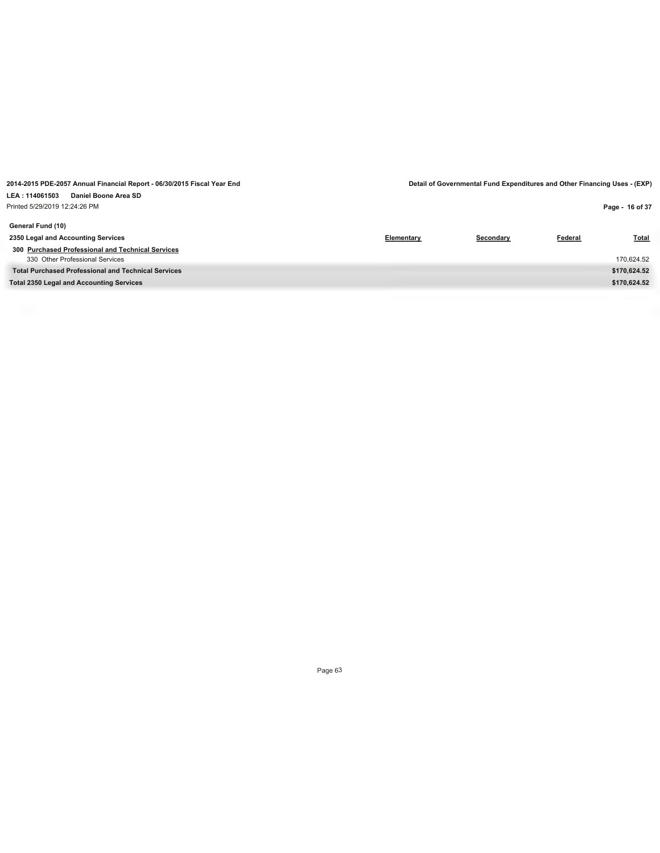| Printed 5/29/2019 12:24:26 PM                              |            |           |         | Page - 16 of 37 |
|------------------------------------------------------------|------------|-----------|---------|-----------------|
| General Fund (10)                                          |            |           |         |                 |
| 2350 Legal and Accounting Services                         | Elementary | Secondary | Federal | <b>Total</b>    |
| 300 Purchased Professional and Technical Services          |            |           |         |                 |
| 330 Other Professional Services                            |            |           |         | 170,624.52      |
| <b>Total Purchased Professional and Technical Services</b> |            |           |         | \$170,624.52    |
| <b>Total 2350 Legal and Accounting Services</b>            |            |           |         | \$170,624.52    |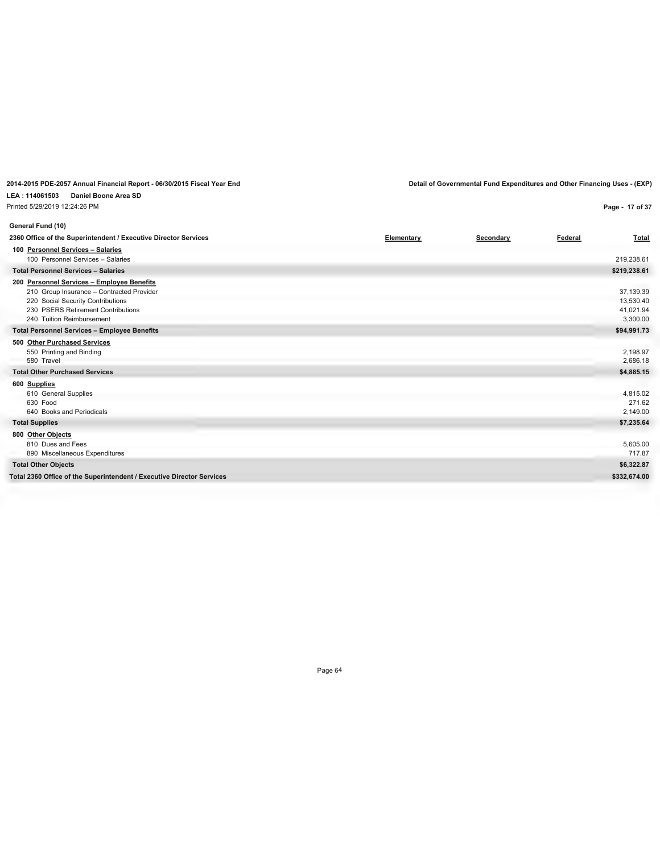### **LEA : 114061503 Daniel Boone Area SD**

Printed 5/29/2019 12:24:26 PM

**2014-2015 PDE-2057 Annual Financial Report - 06/30/2015 Fiscal Year End Detail of Governmental Fund Expenditures and Other Financing Uses - (EXP)**

**Page - 17 of 37**

| General Fund (10)                                                                                                                                                                               |            |           |         |                                                 |
|-------------------------------------------------------------------------------------------------------------------------------------------------------------------------------------------------|------------|-----------|---------|-------------------------------------------------|
| 2360 Office of the Superintendent / Executive Director Services                                                                                                                                 | Elementary | Secondary | Federal | <b>Total</b>                                    |
| 100 Personnel Services - Salaries<br>100 Personnel Services - Salaries                                                                                                                          |            |           |         | 219.238.61                                      |
| <b>Total Personnel Services - Salaries</b>                                                                                                                                                      |            |           |         | \$219,238.61                                    |
| 200 Personnel Services - Employee Benefits<br>210 Group Insurance - Contracted Provider<br>220 Social Security Contributions<br>230 PSERS Retirement Contributions<br>240 Tuition Reimbursement |            |           |         | 37,139.39<br>13,530.40<br>41,021.94<br>3,300.00 |
| <b>Total Personnel Services - Employee Benefits</b>                                                                                                                                             |            |           |         | \$94,991.73                                     |
| 500 Other Purchased Services<br>550 Printing and Binding<br>580 Travel<br><b>Total Other Purchased Services</b><br>600 Supplies                                                                 |            |           |         | 2,198.97<br>2,686.18<br>\$4,885.15              |
| 610 General Supplies<br>630 Food<br>640 Books and Periodicals                                                                                                                                   |            |           |         | 4,815.02<br>271.62<br>2,149.00                  |
| <b>Total Supplies</b>                                                                                                                                                                           |            |           |         | \$7,235.64                                      |
| 800 Other Objects<br>810 Dues and Fees<br>890 Miscellaneous Expenditures                                                                                                                        |            |           |         | 5,605.00<br>717.87                              |
| <b>Total Other Objects</b>                                                                                                                                                                      |            |           |         | \$6,322.87                                      |
| Total 2360 Office of the Superintendent / Executive Director Services                                                                                                                           |            |           |         | \$332,674.00                                    |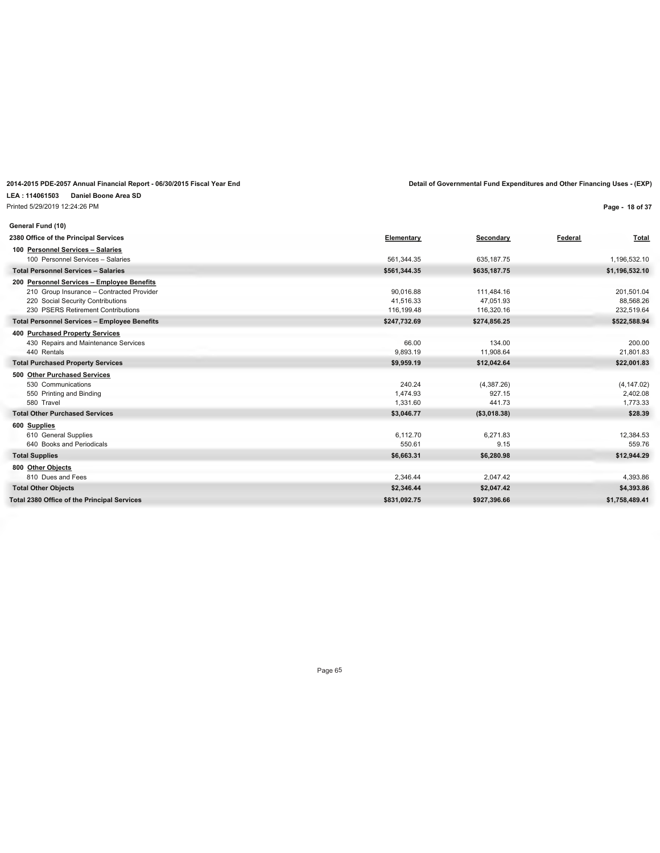| 2014-2015 PDE-2057 Annual Financial Report - 06/30/2015 Fiscal Year End |              |              | Detail of Governmental Fund Expenditures and Other Financing Uses - (EXP) |
|-------------------------------------------------------------------------|--------------|--------------|---------------------------------------------------------------------------|
| Daniel Boone Area SD<br>LEA: 114061503                                  |              |              |                                                                           |
| Printed 5/29/2019 12:24:26 PM                                           |              |              | Page - 18 of 37                                                           |
| General Fund (10)                                                       |              |              |                                                                           |
| 2380 Office of the Principal Services                                   | Elementary   | Secondary    | Federal<br>Total                                                          |
| 100 Personnel Services - Salaries                                       |              |              |                                                                           |
| 100 Personnel Services - Salaries                                       | 561.344.35   | 635.187.75   | 1.196.532.10                                                              |
| <b>Total Personnel Services - Salaries</b>                              | \$561,344.35 | \$635,187.75 | \$1,196,532.10                                                            |
| 200 Personnel Services - Employee Benefits                              |              |              |                                                                           |
| 210 Group Insurance - Contracted Provider                               | 90.016.88    | 111,484.16   | 201,501.04                                                                |
| 220 Social Security Contributions                                       | 41.516.33    | 47.051.93    | 88.568.26                                                                 |
| 230 PSERS Retirement Contributions                                      | 116,199.48   | 116,320.16   | 232,519.64                                                                |
| <b>Total Personnel Services - Employee Benefits</b>                     | \$247,732.69 | \$274,856.25 | \$522,588.94                                                              |
| 400 Purchased Property Services                                         |              |              |                                                                           |
| 430 Repairs and Maintenance Services                                    | 66.00        | 134.00       | 200.00                                                                    |
| 440 Rentals                                                             | 9.893.19     | 11,908.64    | 21.801.83                                                                 |
| <b>Total Purchased Property Services</b>                                | \$9,959.19   | \$12,042.64  | \$22,001.83                                                               |
| 500 Other Purchased Services                                            |              |              |                                                                           |
| 530 Communications                                                      | 240.24       | (4,387.26)   | (4, 147.02)                                                               |
| 550 Printing and Binding                                                | 1,474.93     | 927.15       | 2,402.08                                                                  |
| 580 Travel                                                              | 1,331.60     | 441.73       | 1,773.33                                                                  |
| <b>Total Other Purchased Services</b>                                   | \$3,046.77   | (\$3,018.38) | \$28.39                                                                   |
| 600 Supplies                                                            |              |              |                                                                           |
| 610 General Supplies                                                    | 6.112.70     | 6,271.83     | 12,384.53                                                                 |
| 640 Books and Periodicals                                               | 550.61       | 9.15         | 559.76                                                                    |
| <b>Total Supplies</b>                                                   | \$6,663.31   | \$6,280.98   | \$12,944.29                                                               |
| 800 Other Objects                                                       |              |              |                                                                           |
| 810 Dues and Fees                                                       | 2,346.44     | 2,047.42     | 4,393.86                                                                  |
| <b>Total Other Objects</b>                                              | \$2,346.44   | \$2,047.42   | \$4,393.86                                                                |
| <b>Total 2380 Office of the Principal Services</b>                      | \$831.092.75 | \$927.396.66 | \$1.758.489.41                                                            |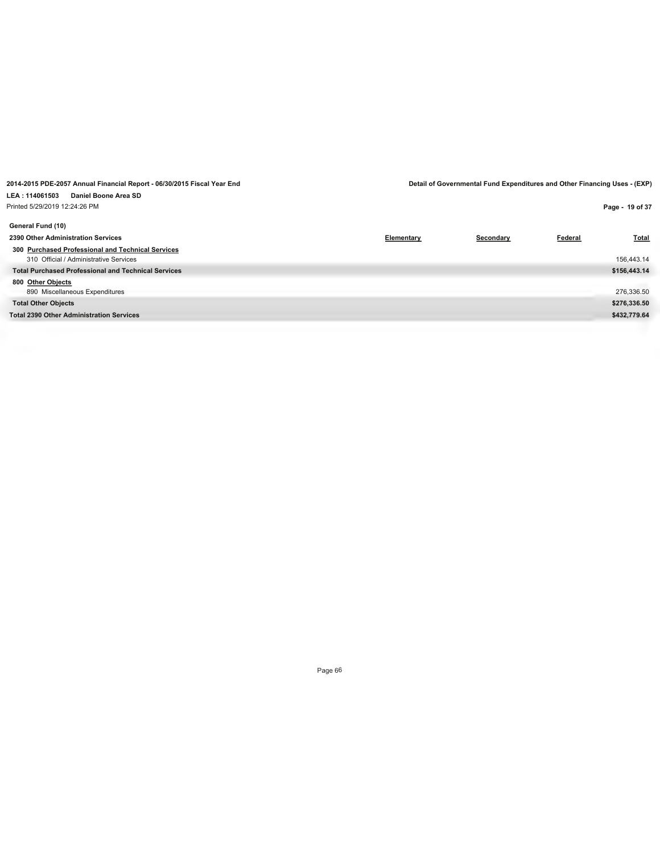| Printed 5/29/2019 12:24:26 PM                              |            |           |         | Page - 19 of 37 |
|------------------------------------------------------------|------------|-----------|---------|-----------------|
| General Fund (10)                                          |            |           |         |                 |
| 2390 Other Administration Services                         | Elementary | Secondary | Federal | <b>Total</b>    |
| 300 Purchased Professional and Technical Services          |            |           |         |                 |
| 310 Official / Administrative Services                     |            |           |         | 156,443.14      |
| <b>Total Purchased Professional and Technical Services</b> |            |           |         | \$156,443.14    |
| 800 Other Objects                                          |            |           |         |                 |
| 890 Miscellaneous Expenditures                             |            |           |         | 276,336.50      |
| <b>Total Other Objects</b>                                 |            |           |         | \$276,336.50    |
| <b>Total 2390 Other Administration Services</b>            |            |           |         | \$432,779.64    |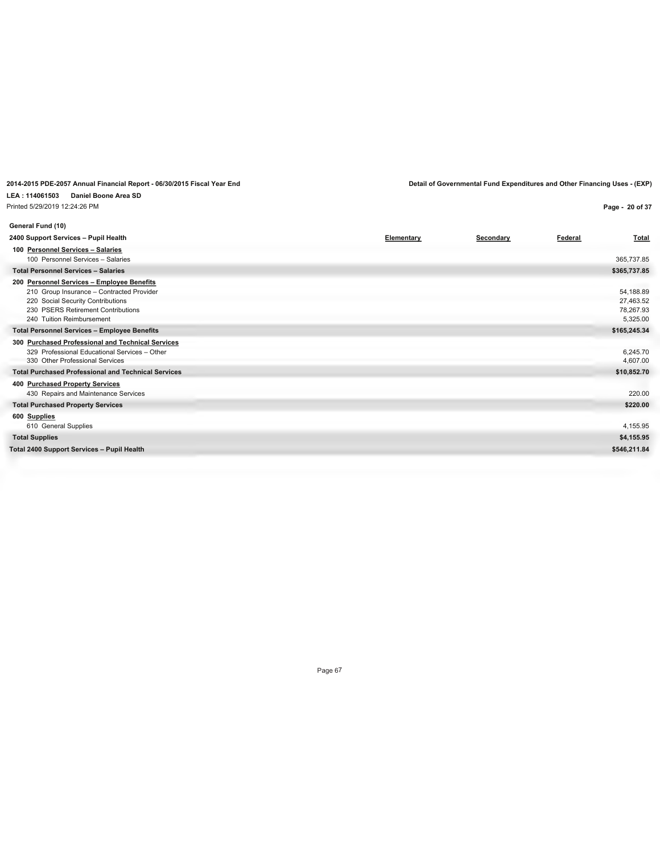#### **LEA : 114061503 Daniel Boone Area SD** Printed 5/29/2019 12:24:26 PM

**2014-2015 PDE-2057 Annual Financial Report - 06/30/2015 Fiscal Year End Detail of Governmental Fund Expenditures and Other Financing Uses - (EXP)**

**Page - 20 of 37**

| General Fund (10)                                                                                                                                                                                                                                      |            |           |         |                                                                 |
|--------------------------------------------------------------------------------------------------------------------------------------------------------------------------------------------------------------------------------------------------------|------------|-----------|---------|-----------------------------------------------------------------|
| 2400 Support Services - Pupil Health                                                                                                                                                                                                                   | Elementary | Secondary | Federal | Total                                                           |
| 100 Personnel Services - Salaries<br>100 Personnel Services - Salaries                                                                                                                                                                                 |            |           |         | 365,737.85                                                      |
| <b>Total Personnel Services - Salaries</b>                                                                                                                                                                                                             |            |           |         | \$365,737.85                                                    |
| 200 Personnel Services - Employee Benefits<br>210 Group Insurance - Contracted Provider<br>220 Social Security Contributions<br>230 PSERS Retirement Contributions<br>240 Tuition Reimbursement<br><b>Total Personnel Services - Employee Benefits</b> |            |           |         | 54,188.89<br>27,463.52<br>78,267.93<br>5,325.00<br>\$165,245.34 |
| 300 Purchased Professional and Technical Services<br>329 Professional Educational Services - Other<br>330 Other Professional Services<br><b>Total Purchased Professional and Technical Services</b>                                                    |            |           |         | 6,245.70<br>4,607.00<br>\$10,852.70                             |
| 400 Purchased Property Services<br>430 Repairs and Maintenance Services<br><b>Total Purchased Property Services</b>                                                                                                                                    |            |           |         | 220.00<br>\$220.00                                              |
| 600 Supplies<br>610 General Supplies                                                                                                                                                                                                                   |            |           |         | 4,155.95                                                        |
| <b>Total Supplies</b>                                                                                                                                                                                                                                  |            |           |         | \$4,155.95                                                      |
| Total 2400 Support Services - Pupil Health                                                                                                                                                                                                             |            |           |         | \$546,211.84                                                    |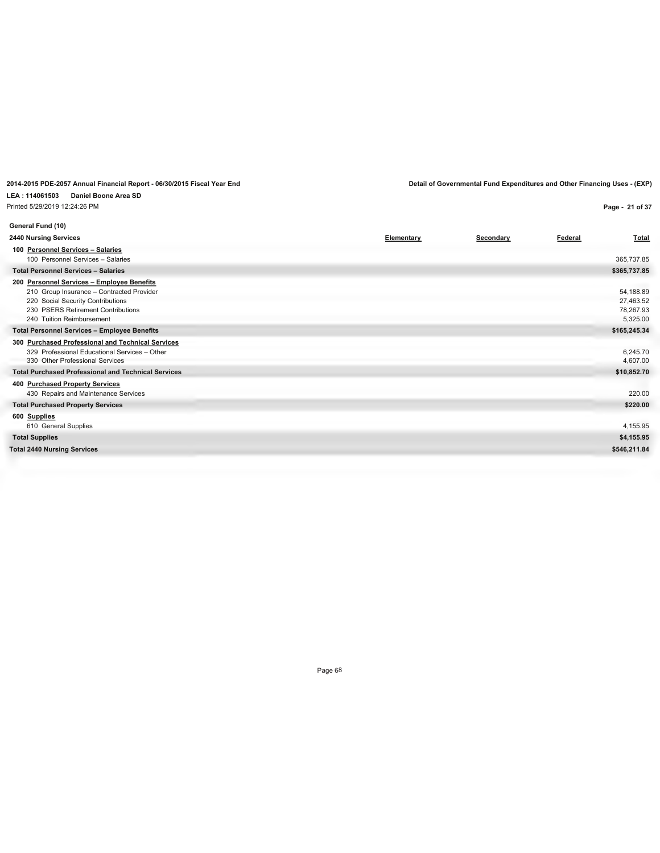#### **LEA : 114061503 Daniel Boone Area SD** Printed 5/29/2019 12:24:26 PM

### **2014-2015 PDE-2057 Annual Financial Report - 06/30/2015 Fiscal Year End Detail of Governmental Fund Expenditures and Other Financing Uses - (EXP)**

**Page - 21 of 37**

| General Fund (10)                                                                                                                                                                                   |            |           |         |                                                 |
|-----------------------------------------------------------------------------------------------------------------------------------------------------------------------------------------------------|------------|-----------|---------|-------------------------------------------------|
| <b>2440 Nursing Services</b>                                                                                                                                                                        | Elementary | Secondary | Federal | <b>Total</b>                                    |
| 100 Personnel Services - Salaries<br>100 Personnel Services - Salaries                                                                                                                              |            |           |         | 365,737.85                                      |
| <b>Total Personnel Services - Salaries</b>                                                                                                                                                          |            |           |         | \$365,737.85                                    |
| 200 Personnel Services - Employee Benefits<br>210 Group Insurance - Contracted Provider<br>220 Social Security Contributions<br>230 PSERS Retirement Contributions<br>240 Tuition Reimbursement     |            |           |         | 54,188.89<br>27,463.52<br>78,267.93<br>5,325.00 |
| <b>Total Personnel Services - Employee Benefits</b>                                                                                                                                                 |            |           |         | \$165,245.34                                    |
| 300 Purchased Professional and Technical Services<br>329 Professional Educational Services - Other<br>330 Other Professional Services<br><b>Total Purchased Professional and Technical Services</b> |            |           |         | 6,245.70<br>4,607.00<br>\$10,852.70             |
| 400 Purchased Property Services                                                                                                                                                                     |            |           |         |                                                 |
| 430 Repairs and Maintenance Services                                                                                                                                                                |            |           |         | 220.00                                          |
| <b>Total Purchased Property Services</b>                                                                                                                                                            |            |           |         | \$220.00                                        |
| 600 Supplies<br>610 General Supplies                                                                                                                                                                |            |           |         | 4,155.95                                        |
| <b>Total Supplies</b>                                                                                                                                                                               |            |           |         | \$4,155.95                                      |
| <b>Total 2440 Nursing Services</b>                                                                                                                                                                  |            |           |         | \$546,211.84                                    |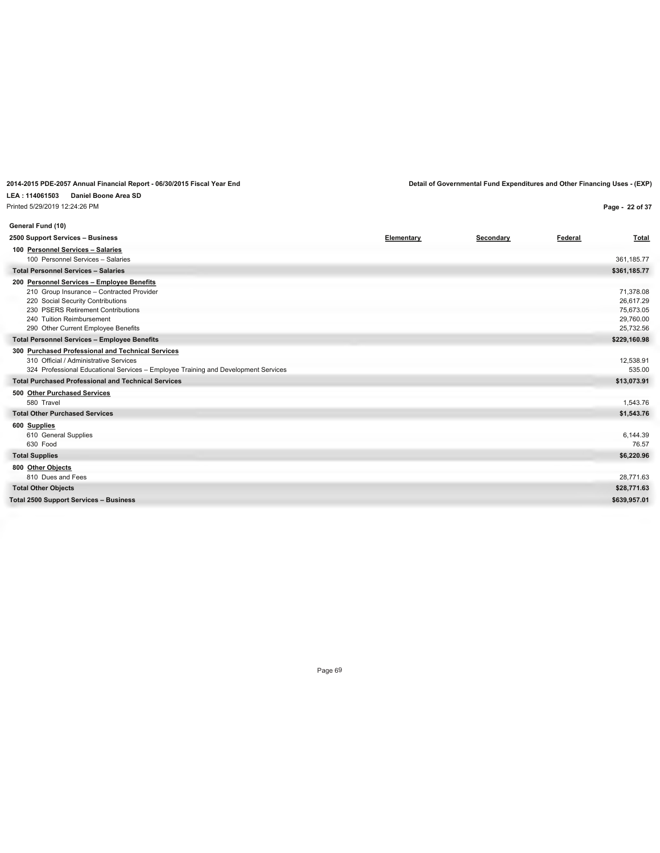## **LEA : 114061503 Daniel Boone Area SD**

Printed 5/29/2019 12:24:26 PM

**Page - 22 of 37**

| Federal<br>Elementary<br><b>Total</b><br>Secondary<br>100 Personnel Services - Salaries<br>100 Personnel Services - Salaries<br>361,185.77<br><b>Total Personnel Services - Salaries</b><br>\$361,185.77<br>200 Personnel Services - Employee Benefits<br>71,378.08<br>210 Group Insurance - Contracted Provider<br>220 Social Security Contributions<br>26,617.29<br>230 PSERS Retirement Contributions<br>75,673.05<br>240 Tuition Reimbursement<br>29,760.00<br>290 Other Current Employee Benefits<br>25,732.56<br><b>Total Personnel Services - Employee Benefits</b><br>\$229,160.98<br>300 Purchased Professional and Technical Services<br>12,538.91<br>310 Official / Administrative Services<br>324 Professional Educational Services - Employee Training and Development Services<br>535.00<br><b>Total Purchased Professional and Technical Services</b><br>\$13,073.91<br>500 Other Purchased Services<br>580 Travel<br>1,543.76<br><b>Total Other Purchased Services</b><br>\$1,543.76<br>600 Supplies<br>610 General Supplies<br>6.144.39<br>76.57<br>630 Food<br>\$6,220.96<br>800 Other Objects<br>28,771.63<br>810 Dues and Fees<br>\$28,771.63 | General Fund (10)                             |  |              |
|-------------------------------------------------------------------------------------------------------------------------------------------------------------------------------------------------------------------------------------------------------------------------------------------------------------------------------------------------------------------------------------------------------------------------------------------------------------------------------------------------------------------------------------------------------------------------------------------------------------------------------------------------------------------------------------------------------------------------------------------------------------------------------------------------------------------------------------------------------------------------------------------------------------------------------------------------------------------------------------------------------------------------------------------------------------------------------------------------------------------------------------------------------------------|-----------------------------------------------|--|--------------|
|                                                                                                                                                                                                                                                                                                                                                                                                                                                                                                                                                                                                                                                                                                                                                                                                                                                                                                                                                                                                                                                                                                                                                                   | 2500 Support Services - Business              |  |              |
|                                                                                                                                                                                                                                                                                                                                                                                                                                                                                                                                                                                                                                                                                                                                                                                                                                                                                                                                                                                                                                                                                                                                                                   |                                               |  |              |
|                                                                                                                                                                                                                                                                                                                                                                                                                                                                                                                                                                                                                                                                                                                                                                                                                                                                                                                                                                                                                                                                                                                                                                   |                                               |  |              |
|                                                                                                                                                                                                                                                                                                                                                                                                                                                                                                                                                                                                                                                                                                                                                                                                                                                                                                                                                                                                                                                                                                                                                                   |                                               |  |              |
|                                                                                                                                                                                                                                                                                                                                                                                                                                                                                                                                                                                                                                                                                                                                                                                                                                                                                                                                                                                                                                                                                                                                                                   |                                               |  |              |
|                                                                                                                                                                                                                                                                                                                                                                                                                                                                                                                                                                                                                                                                                                                                                                                                                                                                                                                                                                                                                                                                                                                                                                   |                                               |  |              |
|                                                                                                                                                                                                                                                                                                                                                                                                                                                                                                                                                                                                                                                                                                                                                                                                                                                                                                                                                                                                                                                                                                                                                                   |                                               |  |              |
|                                                                                                                                                                                                                                                                                                                                                                                                                                                                                                                                                                                                                                                                                                                                                                                                                                                                                                                                                                                                                                                                                                                                                                   |                                               |  |              |
|                                                                                                                                                                                                                                                                                                                                                                                                                                                                                                                                                                                                                                                                                                                                                                                                                                                                                                                                                                                                                                                                                                                                                                   |                                               |  |              |
|                                                                                                                                                                                                                                                                                                                                                                                                                                                                                                                                                                                                                                                                                                                                                                                                                                                                                                                                                                                                                                                                                                                                                                   |                                               |  |              |
|                                                                                                                                                                                                                                                                                                                                                                                                                                                                                                                                                                                                                                                                                                                                                                                                                                                                                                                                                                                                                                                                                                                                                                   | <b>Total Supplies</b>                         |  |              |
|                                                                                                                                                                                                                                                                                                                                                                                                                                                                                                                                                                                                                                                                                                                                                                                                                                                                                                                                                                                                                                                                                                                                                                   |                                               |  |              |
|                                                                                                                                                                                                                                                                                                                                                                                                                                                                                                                                                                                                                                                                                                                                                                                                                                                                                                                                                                                                                                                                                                                                                                   | <b>Total Other Objects</b>                    |  |              |
|                                                                                                                                                                                                                                                                                                                                                                                                                                                                                                                                                                                                                                                                                                                                                                                                                                                                                                                                                                                                                                                                                                                                                                   | <b>Total 2500 Support Services - Business</b> |  | \$639,957.01 |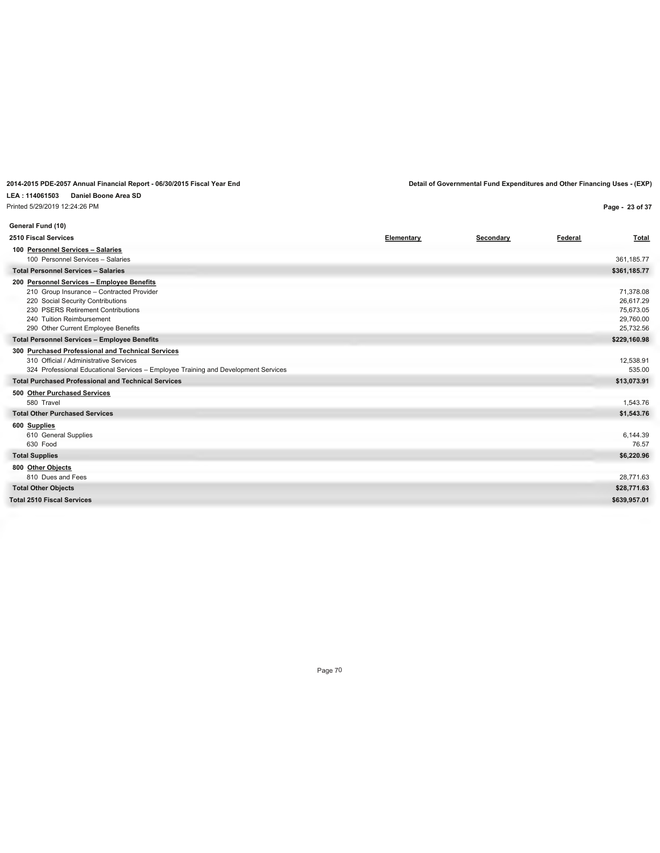## **LEA : 114061503 Daniel Boone Area SD**

Printed 5/29/2019 12:24:26 PM

**2014-2015 PDE-2057 Annual Financial Report - 06/30/2015 Fiscal Year End Detail of Governmental Fund Expenditures and Other Financing Uses - (EXP)**

**Page - 23 of 37**

| General Fund (10)                                                                                                                                                                                                                      |            |           |         |                                                               |
|----------------------------------------------------------------------------------------------------------------------------------------------------------------------------------------------------------------------------------------|------------|-----------|---------|---------------------------------------------------------------|
| 2510 Fiscal Services                                                                                                                                                                                                                   | Elementary | Secondary | Federal | <b>Total</b>                                                  |
| 100 Personnel Services - Salaries<br>100 Personnel Services - Salaries                                                                                                                                                                 |            |           |         | 361,185.77                                                    |
| <b>Total Personnel Services - Salaries</b>                                                                                                                                                                                             |            |           |         | \$361,185.77                                                  |
| 200 Personnel Services - Employee Benefits<br>210 Group Insurance - Contracted Provider<br>220 Social Security Contributions<br>230 PSERS Retirement Contributions<br>240 Tuition Reimbursement<br>290 Other Current Employee Benefits |            |           |         | 71,378.08<br>26,617.29<br>75,673.05<br>29,760.00<br>25,732.56 |
| <b>Total Personnel Services - Employee Benefits</b>                                                                                                                                                                                    |            |           |         | \$229,160.98                                                  |
| 300 Purchased Professional and Technical Services<br>310 Official / Administrative Services<br>324 Professional Educational Services - Employee Training and Development Services                                                      |            |           |         | 12,538.91<br>535.00                                           |
| <b>Total Purchased Professional and Technical Services</b>                                                                                                                                                                             |            |           |         | \$13,073.91                                                   |
| 500 Other Purchased Services<br>580 Travel                                                                                                                                                                                             |            |           |         | 1,543.76                                                      |
| <b>Total Other Purchased Services</b>                                                                                                                                                                                                  |            |           |         | \$1,543.76                                                    |
| 600 Supplies<br>610 General Supplies<br>630 Food                                                                                                                                                                                       |            |           |         | 6,144.39<br>76.57                                             |
| <b>Total Supplies</b>                                                                                                                                                                                                                  |            |           |         | \$6,220.96                                                    |
| 800 Other Objects<br>810 Dues and Fees                                                                                                                                                                                                 |            |           |         | 28,771.63                                                     |
| <b>Total Other Objects</b>                                                                                                                                                                                                             |            |           |         | \$28,771.63                                                   |
| <b>Total 2510 Fiscal Services</b>                                                                                                                                                                                                      |            |           |         | \$639,957.01                                                  |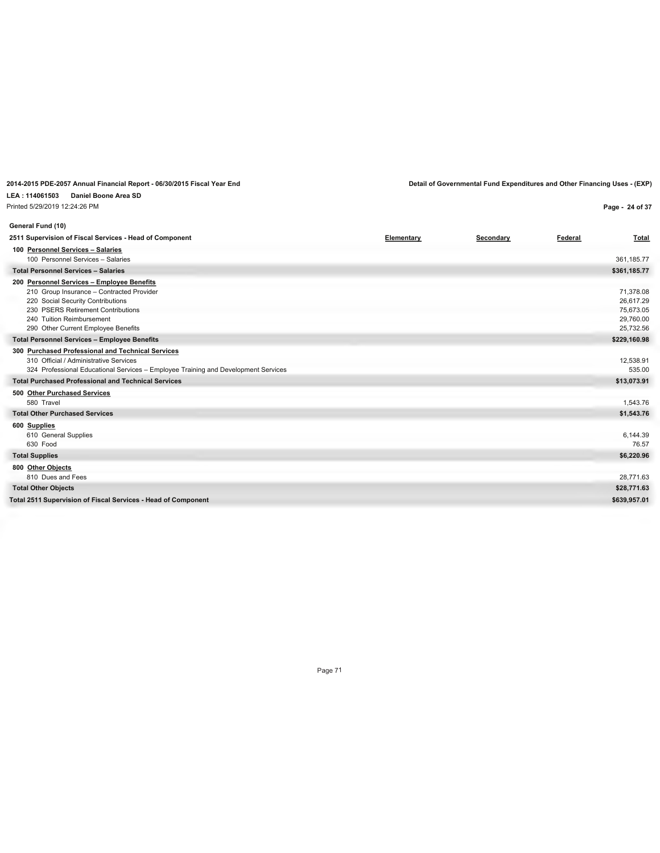**LEA : 114061503 Daniel Boone Area SD** Printed 5/29/2019 12:24:26 PM

**Page - 24 of 37**

| General Fund (10)                                                                                                                                                                                                                      |            |           |         |                                                               |
|----------------------------------------------------------------------------------------------------------------------------------------------------------------------------------------------------------------------------------------|------------|-----------|---------|---------------------------------------------------------------|
| 2511 Supervision of Fiscal Services - Head of Component                                                                                                                                                                                | Elementary | Secondary | Federal | Total                                                         |
| 100 Personnel Services - Salaries<br>100 Personnel Services - Salaries                                                                                                                                                                 |            |           |         | 361,185.77                                                    |
| <b>Total Personnel Services - Salaries</b>                                                                                                                                                                                             |            |           |         | \$361,185.77                                                  |
| 200 Personnel Services - Employee Benefits<br>210 Group Insurance - Contracted Provider<br>220 Social Security Contributions<br>230 PSERS Retirement Contributions<br>240 Tuition Reimbursement<br>290 Other Current Employee Benefits |            |           |         | 71,378.08<br>26,617.29<br>75,673.05<br>29,760.00<br>25,732.56 |
| <b>Total Personnel Services - Employee Benefits</b>                                                                                                                                                                                    |            |           |         | \$229,160.98                                                  |
| 300 Purchased Professional and Technical Services<br>310 Official / Administrative Services<br>324 Professional Educational Services - Employee Training and Development Services                                                      |            |           |         | 12,538.91<br>535.00                                           |
| <b>Total Purchased Professional and Technical Services</b>                                                                                                                                                                             |            |           |         | \$13,073.91                                                   |
| 500 Other Purchased Services<br>580 Travel                                                                                                                                                                                             |            |           |         | 1,543.76                                                      |
| <b>Total Other Purchased Services</b>                                                                                                                                                                                                  |            |           |         | \$1,543.76                                                    |
| 600 Supplies<br>610 General Supplies<br>630 Food                                                                                                                                                                                       |            |           |         | 6.144.39<br>76.57                                             |
| <b>Total Supplies</b>                                                                                                                                                                                                                  |            |           |         | \$6,220.96                                                    |
| 800 Other Objects<br>810 Dues and Fees                                                                                                                                                                                                 |            |           |         | 28,771.63                                                     |
| <b>Total Other Objects</b>                                                                                                                                                                                                             |            |           |         | \$28,771.63                                                   |
| Total 2511 Supervision of Fiscal Services - Head of Component                                                                                                                                                                          |            |           |         | \$639,957.01                                                  |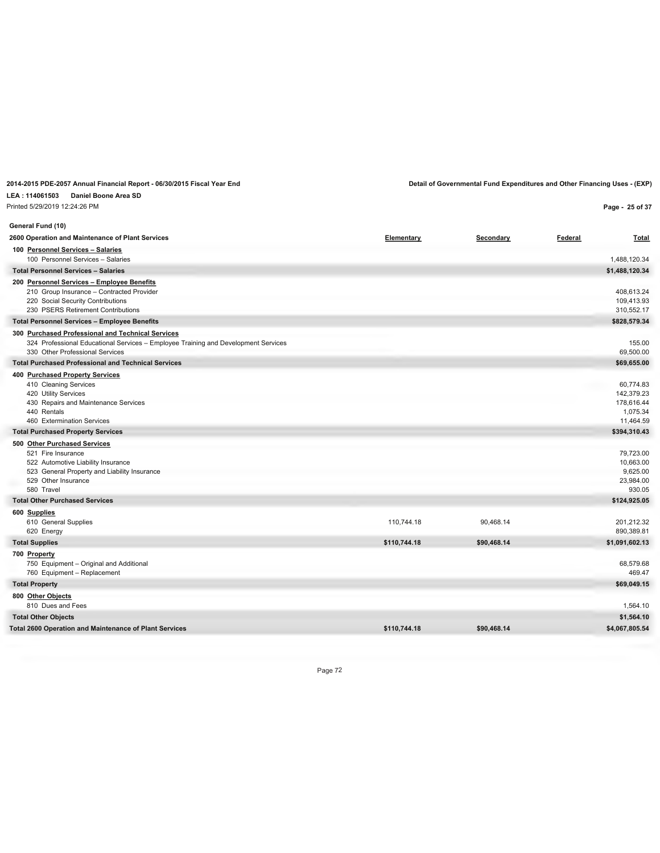# **LEA : 114061503 Daniel Boone Area SD** Printed 5/29/2019 12:24:26 PM

**Page - 25 of 37**

| General Fund (10)                                                                                                     |              |             |         |                       |
|-----------------------------------------------------------------------------------------------------------------------|--------------|-------------|---------|-----------------------|
| 2600 Operation and Maintenance of Plant Services                                                                      | Elementary   | Secondary   | Federal | <b>Total</b>          |
| 100 Personnel Services - Salaries                                                                                     |              |             |         |                       |
| 100 Personnel Services - Salaries                                                                                     |              |             |         | 1,488,120.34          |
| <b>Total Personnel Services - Salaries</b>                                                                            |              |             |         | \$1,488,120.34        |
| 200 Personnel Services - Employee Benefits                                                                            |              |             |         |                       |
| 210 Group Insurance - Contracted Provider                                                                             |              |             |         | 408,613.24            |
| 220 Social Security Contributions                                                                                     |              |             |         | 109,413.93            |
| 230 PSERS Retirement Contributions                                                                                    |              |             |         | 310,552.17            |
| <b>Total Personnel Services - Employee Benefits</b>                                                                   |              |             |         | \$828,579.34          |
| 300 Purchased Professional and Technical Services                                                                     |              |             |         | 155.00                |
| 324 Professional Educational Services - Employee Training and Development Services<br>330 Other Professional Services |              |             |         | 69,500.00             |
| <b>Total Purchased Professional and Technical Services</b>                                                            |              |             |         | \$69,655.00           |
| 400 Purchased Property Services                                                                                       |              |             |         |                       |
| 410 Cleaning Services                                                                                                 |              |             |         | 60,774.83             |
| 420 Utility Services                                                                                                  |              |             |         | 142,379.23            |
| 430 Repairs and Maintenance Services                                                                                  |              |             |         | 178,616.44            |
| 440 Rentals                                                                                                           |              |             |         | 1,075.34              |
| 460 Extermination Services                                                                                            |              |             |         | 11,464.59             |
| <b>Total Purchased Property Services</b>                                                                              |              |             |         | \$394,310.43          |
| 500 Other Purchased Services                                                                                          |              |             |         |                       |
| 521 Fire Insurance                                                                                                    |              |             |         | 79,723.00             |
| 522 Automotive Liability Insurance                                                                                    |              |             |         | 10,663.00             |
| 523 General Property and Liability Insurance<br>529 Other Insurance                                                   |              |             |         | 9,625.00<br>23,984.00 |
| 580 Travel                                                                                                            |              |             |         | 930.05                |
| <b>Total Other Purchased Services</b>                                                                                 |              |             |         | \$124,925.05          |
| 600 Supplies                                                                                                          |              |             |         |                       |
| 610 General Supplies                                                                                                  | 110,744.18   | 90,468.14   |         | 201,212.32            |
| 620 Energy                                                                                                            |              |             |         | 890,389.81            |
| <b>Total Supplies</b>                                                                                                 | \$110,744.18 | \$90,468.14 |         | \$1,091,602.13        |
| 700 Property                                                                                                          |              |             |         |                       |
| 750 Equipment - Original and Additional                                                                               |              |             |         | 68.579.68             |
| 760 Equipment - Replacement                                                                                           |              |             |         | 469.47                |
| <b>Total Property</b>                                                                                                 |              |             |         | \$69,049.15           |
| 800 Other Objects                                                                                                     |              |             |         |                       |
| 810 Dues and Fees                                                                                                     |              |             |         | 1,564.10              |
| <b>Total Other Objects</b>                                                                                            |              |             |         | \$1,564.10            |
| <b>Total 2600 Operation and Maintenance of Plant Services</b>                                                         | \$110,744.18 | \$90,468.14 |         | \$4,067,805.54        |
|                                                                                                                       |              |             |         |                       |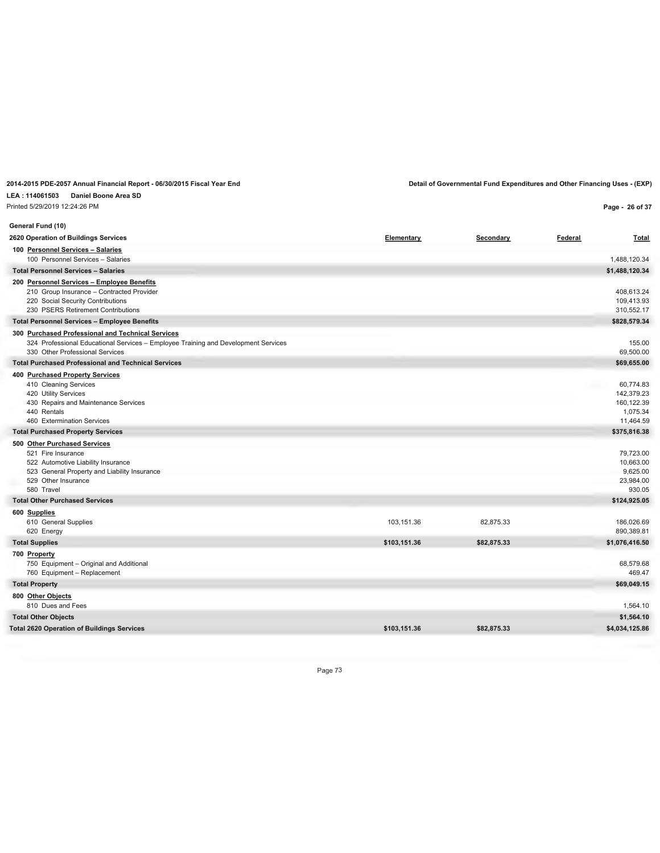#### **LEA : 114061503 Daniel Boone Area SD** Printed 5/29/2019 12:24:26 PM

| Printed 5/29/2019 12:24:26 PM                                                                                                                                                 |              |             |         | Page - 26 of 37                                                |
|-------------------------------------------------------------------------------------------------------------------------------------------------------------------------------|--------------|-------------|---------|----------------------------------------------------------------|
| General Fund (10)                                                                                                                                                             |              |             |         |                                                                |
| 2620 Operation of Buildings Services                                                                                                                                          | Elementary   | Secondary   | Federal | <b>Total</b>                                                   |
| 100 Personnel Services - Salaries<br>100 Personnel Services - Salaries                                                                                                        |              |             |         | 1,488,120.34                                                   |
| <b>Total Personnel Services - Salaries</b>                                                                                                                                    |              |             |         | \$1,488,120.34                                                 |
| 200 Personnel Services - Employee Benefits<br>210 Group Insurance - Contracted Provider<br>220 Social Security Contributions<br>230 PSERS Retirement Contributions            |              |             |         | 408,613.24<br>109,413.93<br>310,552.17                         |
| <b>Total Personnel Services - Employee Benefits</b>                                                                                                                           |              |             |         | \$828,579.34                                                   |
| 300 Purchased Professional and Technical Services<br>324 Professional Educational Services - Employee Training and Development Services<br>330 Other Professional Services    |              |             |         | 155.00<br>69,500.00                                            |
| <b>Total Purchased Professional and Technical Services</b>                                                                                                                    |              |             |         | \$69,655.00                                                    |
| 400 Purchased Property Services<br>410 Cleaning Services<br>420 Utility Services<br>430 Repairs and Maintenance Services<br>440 Rentals<br>460 Extermination Services         |              |             |         | 60,774.83<br>142,379.23<br>160,122.39<br>1,075.34<br>11,464.59 |
| <b>Total Purchased Property Services</b>                                                                                                                                      |              |             |         | \$375,816.38                                                   |
| 500 Other Purchased Services<br>521 Fire Insurance<br>522 Automotive Liability Insurance<br>523 General Property and Liability Insurance<br>529 Other Insurance<br>580 Travel |              |             |         | 79,723.00<br>10,663.00<br>9,625.00<br>23,984.00<br>930.05      |
| <b>Total Other Purchased Services</b>                                                                                                                                         |              |             |         | \$124,925.05                                                   |
| 600 Supplies<br>610 General Supplies<br>620 Energy                                                                                                                            | 103,151.36   | 82,875.33   |         | 186,026.69<br>890,389.81                                       |
| <b>Total Supplies</b>                                                                                                                                                         | \$103,151.36 | \$82,875.33 |         | \$1,076,416.50                                                 |
| 700 Property<br>750 Equipment - Original and Additional<br>760 Equipment - Replacement                                                                                        |              |             |         | 68,579.68<br>469.47                                            |
| <b>Total Property</b>                                                                                                                                                         |              |             |         | \$69,049.15                                                    |
| 800 Other Objects<br>810 Dues and Fees                                                                                                                                        |              |             |         | 1,564.10                                                       |
| <b>Total Other Objects</b>                                                                                                                                                    |              |             |         | \$1,564.10                                                     |
| <b>Total 2620 Operation of Buildings Services</b>                                                                                                                             | \$103,151.36 | \$82,875.33 |         | \$4,034,125.86                                                 |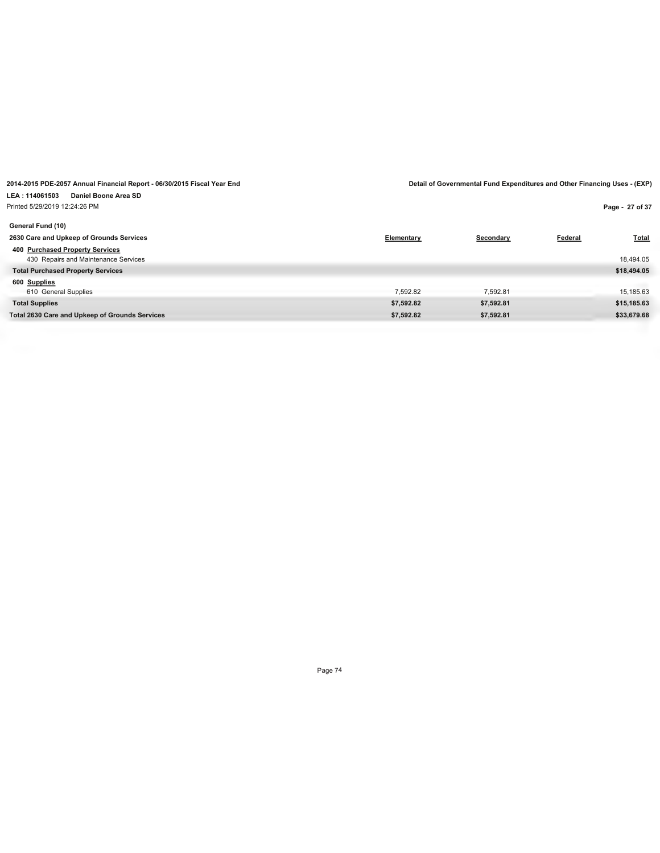**Page - 27 of 37**

| General Fund (10)                                                       |            |            |         |              |
|-------------------------------------------------------------------------|------------|------------|---------|--------------|
| 2630 Care and Upkeep of Grounds Services                                | Elementary | Secondary  | Federal | <b>Total</b> |
| 400 Purchased Property Services<br>430 Repairs and Maintenance Services |            |            |         | 18,494.05    |
| <b>Total Purchased Property Services</b>                                |            |            |         | \$18,494.05  |
| 600 Supplies                                                            |            |            |         |              |
| 610 General Supplies                                                    | 7.592.82   | 7.592.81   |         | 15,185.63    |
| <b>Total Supplies</b>                                                   | \$7,592.82 | \$7,592.81 |         | \$15,185.63  |
| Total 2630 Care and Upkeep of Grounds Services                          | \$7,592.82 | \$7,592.81 |         | \$33,679.68  |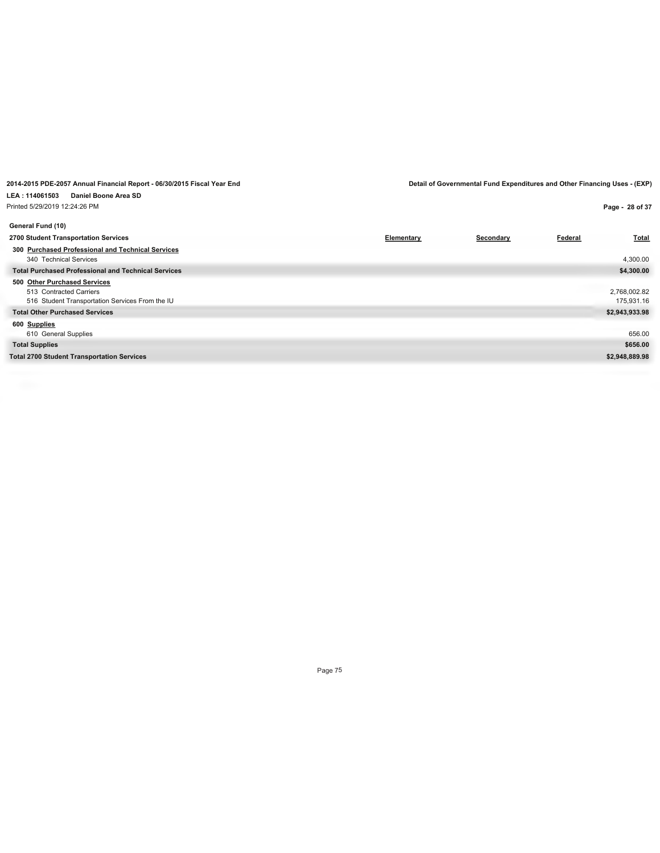| Printed 5/29/2019 12:24:26 PM                                                                              |            |           |         | Page - 28 of 37            |
|------------------------------------------------------------------------------------------------------------|------------|-----------|---------|----------------------------|
| General Fund (10)                                                                                          |            |           |         |                            |
| 2700 Student Transportation Services                                                                       | Elementary | Secondary | Federal | <b>Total</b>               |
| 300 Purchased Professional and Technical Services<br>340 Technical Services                                |            |           |         | 4,300.00                   |
| <b>Total Purchased Professional and Technical Services</b>                                                 |            |           |         | \$4,300.00                 |
| 500 Other Purchased Services<br>513 Contracted Carriers<br>516 Student Transportation Services From the IU |            |           |         | 2,768,002.82<br>175,931.16 |
| <b>Total Other Purchased Services</b>                                                                      |            |           |         | \$2,943,933.98             |
| 600 Supplies<br>610 General Supplies                                                                       |            |           |         | 656.00                     |
| <b>Total Supplies</b>                                                                                      |            |           |         | \$656.00                   |
| <b>Total 2700 Student Transportation Services</b>                                                          |            |           |         | \$2,948,889.98             |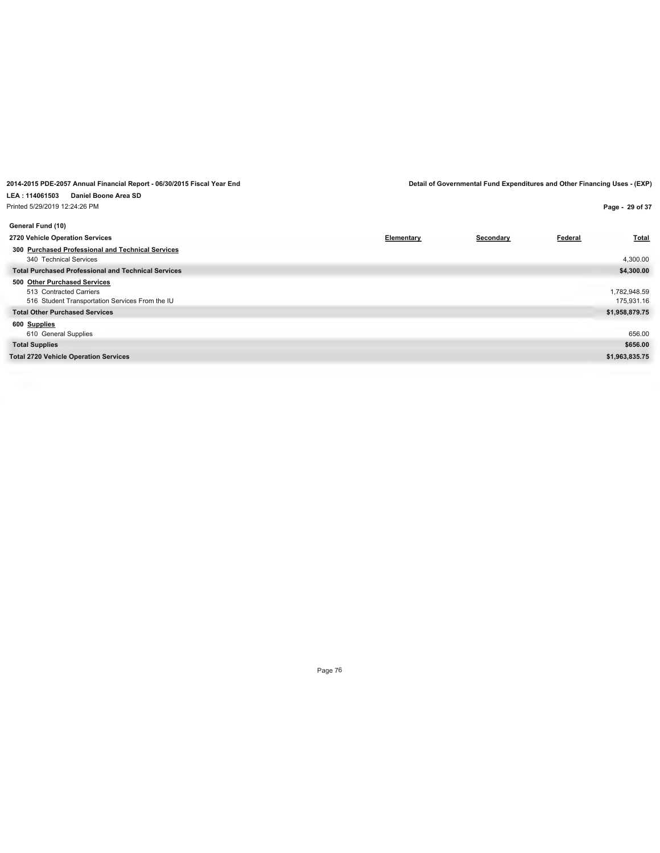| Printed 5/29/2019 12:24:26 PM                                                                              |            |           |                | Page - 29 of 37            |
|------------------------------------------------------------------------------------------------------------|------------|-----------|----------------|----------------------------|
| General Fund (10)                                                                                          |            |           |                |                            |
| 2720 Vehicle Operation Services                                                                            | Elementary | Secondary | <b>Federal</b> | <b>Total</b>               |
| 300 Purchased Professional and Technical Services<br>340 Technical Services                                |            |           |                | 4,300.00                   |
| <b>Total Purchased Professional and Technical Services</b>                                                 |            |           |                | \$4,300.00                 |
| 500 Other Purchased Services<br>513 Contracted Carriers<br>516 Student Transportation Services From the IU |            |           |                | 1,782,948.59<br>175,931.16 |
| <b>Total Other Purchased Services</b>                                                                      |            |           |                | \$1,958,879.75             |
| 600 Supplies<br>610 General Supplies                                                                       |            |           |                | 656.00                     |
| <b>Total Supplies</b>                                                                                      |            |           |                | \$656.00                   |
| <b>Total 2720 Vehicle Operation Services</b>                                                               |            |           |                | \$1,963,835.75             |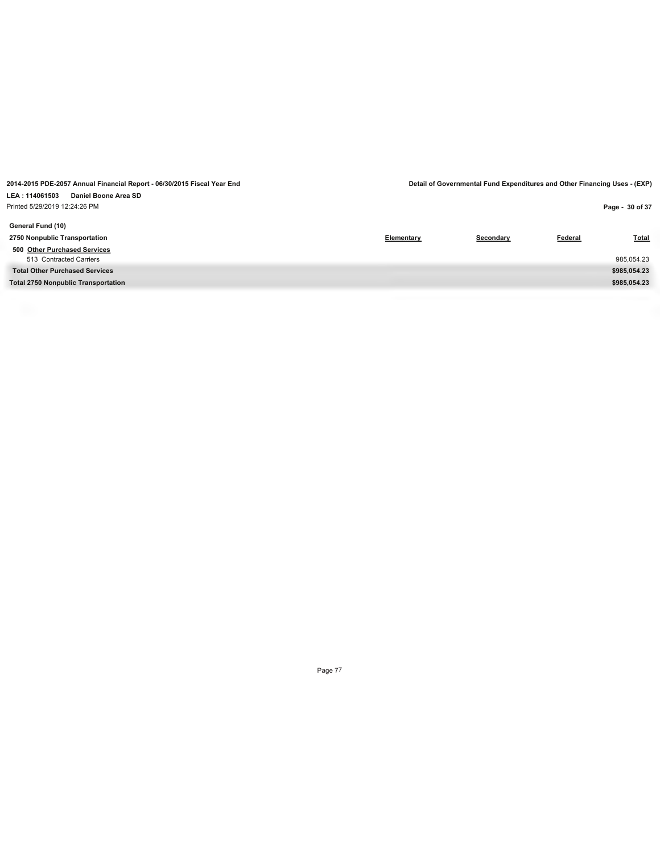Printed 5/29/2019 12:24:26 PM

| Printed 5/29/2019 12:24:26 PM              |            |           |         | Page - 30 of 37 |
|--------------------------------------------|------------|-----------|---------|-----------------|
| General Fund (10)                          |            |           |         |                 |
| 2750 Nonpublic Transportation              | Elementary | Secondary | Federal | <b>Total</b>    |
| 500 Other Purchased Services               |            |           |         |                 |
| 513 Contracted Carriers                    |            |           |         | 985,054.23      |
| <b>Total Other Purchased Services</b>      |            |           |         | \$985,054.23    |
| <b>Total 2750 Nonpublic Transportation</b> |            |           |         | \$985,054.23    |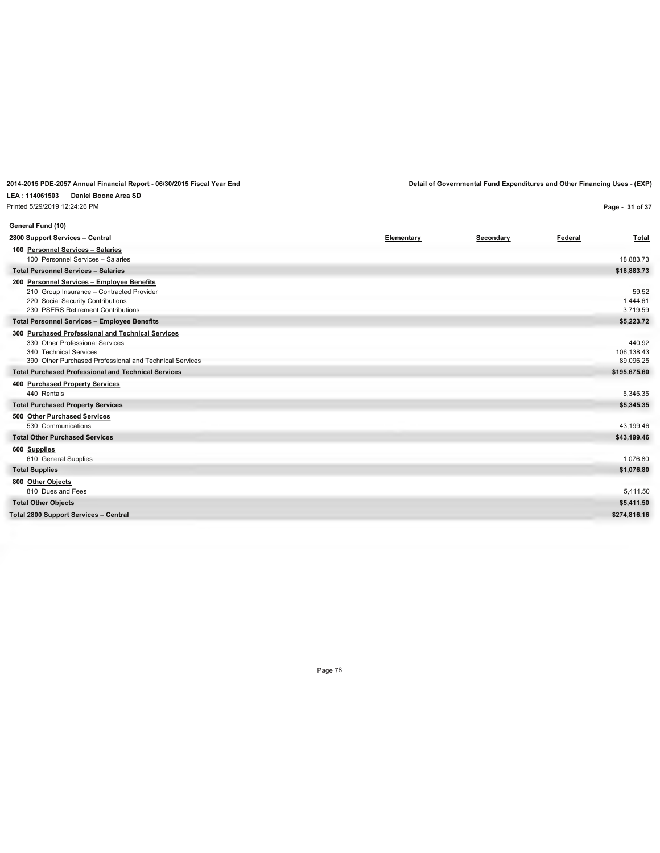**LEA : 114061503 Daniel Boone Area SD**

| Printed 5/29/2019 12:24:26 PM                                                                                                                                             |            |           |         | Page - 31 of 37                   |
|---------------------------------------------------------------------------------------------------------------------------------------------------------------------------|------------|-----------|---------|-----------------------------------|
| General Fund (10)                                                                                                                                                         |            |           |         |                                   |
| 2800 Support Services - Central                                                                                                                                           | Elementary | Secondary | Federal | <b>Total</b>                      |
| 100 Personnel Services - Salaries                                                                                                                                         |            |           |         |                                   |
| 100 Personnel Services - Salaries                                                                                                                                         |            |           |         | 18.883.73                         |
| <b>Total Personnel Services - Salaries</b>                                                                                                                                |            |           |         | \$18,883.73                       |
| 200 Personnel Services - Employee Benefits<br>210 Group Insurance - Contracted Provider<br>220 Social Security Contributions<br>230 PSERS Retirement Contributions        |            |           |         | 59.52<br>1,444.61<br>3.719.59     |
| <b>Total Personnel Services - Employee Benefits</b>                                                                                                                       |            |           |         | \$5,223.72                        |
| 300 Purchased Professional and Technical Services<br>330 Other Professional Services<br>340 Technical Services<br>390 Other Purchased Professional and Technical Services |            |           |         | 440.92<br>106,138.43<br>89,096.25 |
| <b>Total Purchased Professional and Technical Services</b>                                                                                                                |            |           |         | \$195,675.60                      |
| 400 Purchased Property Services                                                                                                                                           |            |           |         |                                   |
| 440 Rentals                                                                                                                                                               |            |           |         | 5,345.35                          |
| <b>Total Purchased Property Services</b>                                                                                                                                  |            |           |         | \$5,345.35                        |
| 500 Other Purchased Services                                                                                                                                              |            |           |         |                                   |
| 530 Communications                                                                                                                                                        |            |           |         | 43.199.46                         |
| <b>Total Other Purchased Services</b>                                                                                                                                     |            |           |         | \$43,199.46                       |
| 600 Supplies<br>610 General Supplies                                                                                                                                      |            |           |         | 1,076.80                          |
| <b>Total Supplies</b>                                                                                                                                                     |            |           |         | \$1,076.80                        |
| 800 Other Objects<br>810 Dues and Fees                                                                                                                                    |            |           |         | 5,411.50                          |
| <b>Total Other Objects</b>                                                                                                                                                |            |           |         | \$5,411.50                        |
| <b>Total 2800 Support Services - Central</b>                                                                                                                              |            |           |         | \$274,816.16                      |
|                                                                                                                                                                           |            |           |         |                                   |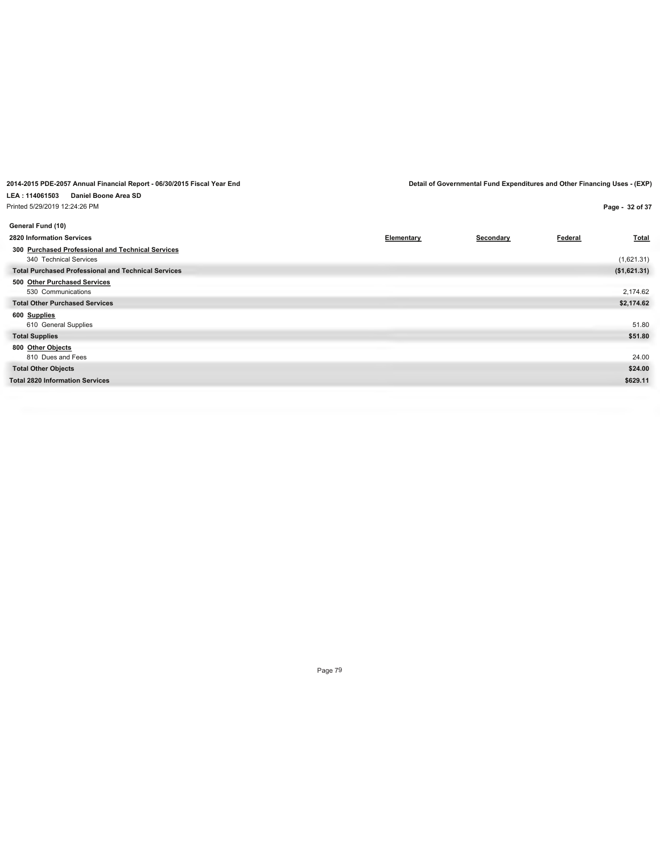| Printed 5/29/2019 12:24:26 PM                              |            |           | Page - 32 of 37                |
|------------------------------------------------------------|------------|-----------|--------------------------------|
| General Fund (10)                                          |            |           |                                |
| 2820 Information Services                                  | Elementary | Secondary | <b>Total</b><br><b>Federal</b> |
| 300 Purchased Professional and Technical Services          |            |           |                                |
| 340 Technical Services                                     |            |           | (1,621.31)                     |
| <b>Total Purchased Professional and Technical Services</b> |            |           | (\$1,621.31)                   |
| 500 Other Purchased Services                               |            |           |                                |
| 530 Communications                                         |            |           | 2,174.62                       |
| <b>Total Other Purchased Services</b>                      |            |           | \$2,174.62                     |
| 600 Supplies                                               |            |           |                                |
| 610 General Supplies                                       |            |           | 51.80                          |
| <b>Total Supplies</b>                                      |            |           | \$51.80                        |
| 800 Other Objects                                          |            |           |                                |
| 810 Dues and Fees                                          |            |           | 24.00                          |
| <b>Total Other Objects</b>                                 |            |           | \$24.00                        |
| <b>Total 2820 Information Services</b>                     |            |           | \$629.11                       |
|                                                            |            |           |                                |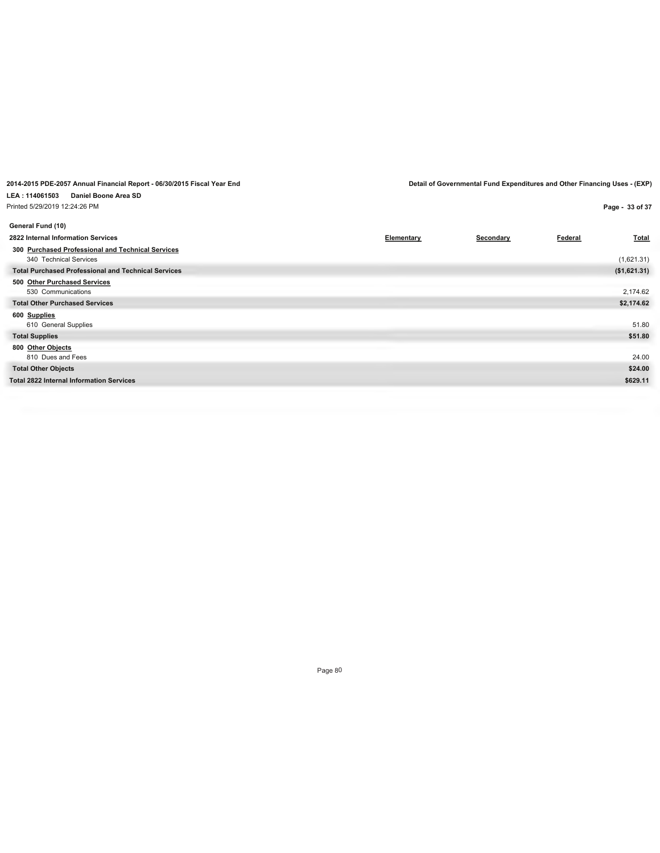| Printed 5/29/2019 12:24:26 PM                              |            |           |         | Page - 33 of 37 |
|------------------------------------------------------------|------------|-----------|---------|-----------------|
| General Fund (10)                                          |            |           |         |                 |
| 2822 Internal Information Services                         | Elementary | Secondary | Federal | <b>Total</b>    |
| 300 Purchased Professional and Technical Services          |            |           |         |                 |
| 340 Technical Services                                     |            |           |         | (1,621.31)      |
| <b>Total Purchased Professional and Technical Services</b> |            |           |         | (\$1,621.31)    |
| 500 Other Purchased Services                               |            |           |         |                 |
| 530 Communications                                         |            |           |         | 2,174.62        |
| <b>Total Other Purchased Services</b>                      |            |           |         | \$2,174.62      |
| 600 Supplies                                               |            |           |         |                 |
| 610 General Supplies                                       |            |           |         | 51.80           |
| <b>Total Supplies</b>                                      |            |           |         | \$51.80         |
| 800 Other Objects                                          |            |           |         |                 |
| 810 Dues and Fees                                          |            |           |         | 24.00           |
| <b>Total Other Objects</b>                                 |            |           |         | \$24.00         |
| <b>Total 2822 Internal Information Services</b>            |            |           |         | \$629.11        |
|                                                            |            |           |         |                 |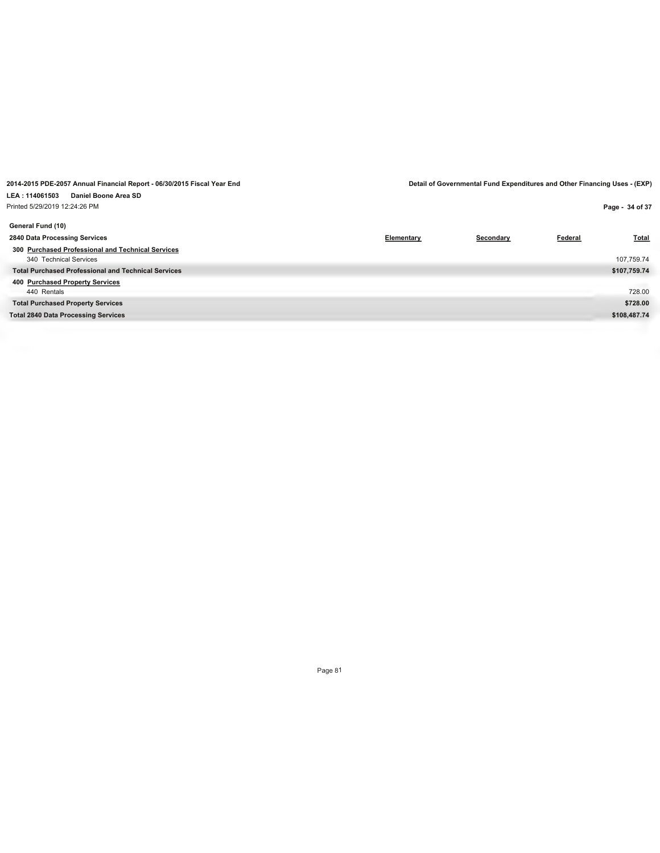| Printed 5/29/2019 12:24:26 PM                              |            |           |         | Page - 34 of 37 |
|------------------------------------------------------------|------------|-----------|---------|-----------------|
| General Fund (10)                                          |            |           |         |                 |
| 2840 Data Processing Services                              | Elementary | Secondary | Federal | <b>Total</b>    |
| 300 Purchased Professional and Technical Services          |            |           |         |                 |
| 340 Technical Services                                     |            |           |         | 107,759.74      |
| <b>Total Purchased Professional and Technical Services</b> |            |           |         | \$107,759.74    |
| 400 Purchased Property Services                            |            |           |         |                 |
| 440 Rentals                                                |            |           |         | 728.00          |
| <b>Total Purchased Property Services</b>                   |            |           |         | \$728.00        |
| <b>Total 2840 Data Processing Services</b>                 |            |           |         | \$108,487.74    |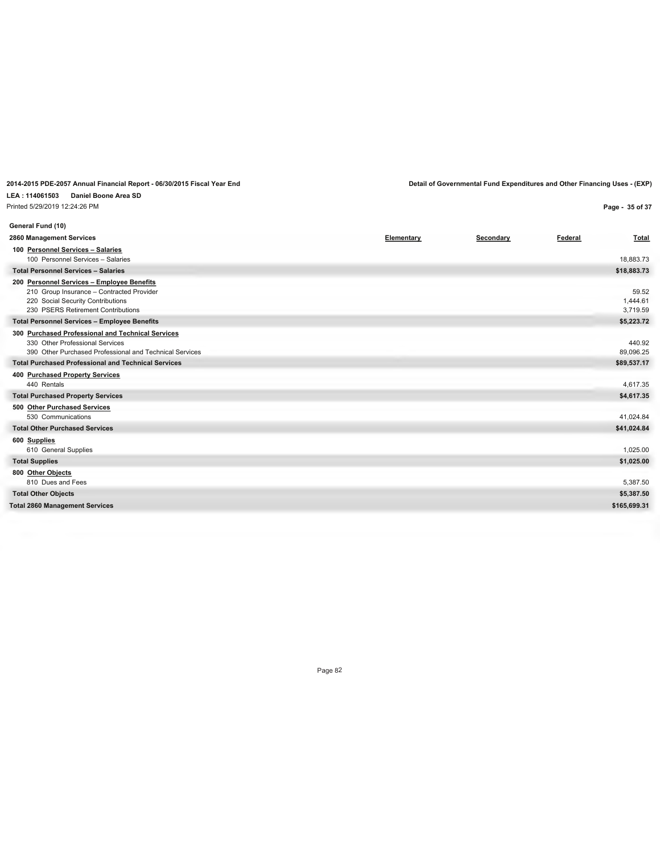#### **LEA : 114061503 Daniel Boone Area SD** Printed 5/29/2019 12:24:26 PM

**Page - 35 of 37**

| General Fund (10)                                                                    |            |           |         |                      |
|--------------------------------------------------------------------------------------|------------|-----------|---------|----------------------|
| 2860 Management Services                                                             | Elementary | Secondary | Federal | Total                |
| 100 Personnel Services - Salaries                                                    |            |           |         |                      |
| 100 Personnel Services - Salaries                                                    |            |           |         | 18,883.73            |
| <b>Total Personnel Services - Salaries</b>                                           |            |           |         | \$18,883.73          |
| 200 Personnel Services - Employee Benefits                                           |            |           |         |                      |
| 210 Group Insurance - Contracted Provider                                            |            |           |         | 59.52                |
| 220 Social Security Contributions<br>230 PSERS Retirement Contributions              |            |           |         | 1,444.61<br>3,719.59 |
|                                                                                      |            |           |         |                      |
| <b>Total Personnel Services - Employee Benefits</b>                                  |            |           |         | \$5,223.72           |
| 300 Purchased Professional and Technical Services<br>330 Other Professional Services |            |           |         | 440.92               |
| 390 Other Purchased Professional and Technical Services                              |            |           |         | 89,096.25            |
| <b>Total Purchased Professional and Technical Services</b>                           |            |           |         | \$89,537.17          |
| 400 Purchased Property Services                                                      |            |           |         |                      |
| 440 Rentals                                                                          |            |           |         | 4,617.35             |
| <b>Total Purchased Property Services</b>                                             |            |           |         | \$4,617.35           |
| 500 Other Purchased Services                                                         |            |           |         |                      |
| 530 Communications                                                                   |            |           |         | 41,024.84            |
| <b>Total Other Purchased Services</b>                                                |            |           |         | \$41,024.84          |
| 600 Supplies                                                                         |            |           |         |                      |
| 610 General Supplies                                                                 |            |           |         | 1,025.00             |
| <b>Total Supplies</b>                                                                |            |           |         | \$1,025.00           |
| 800 Other Objects                                                                    |            |           |         |                      |
| 810 Dues and Fees                                                                    |            |           |         | 5,387.50             |
| <b>Total Other Objects</b>                                                           |            |           |         | \$5,387.50           |
| <b>Total 2860 Management Services</b>                                                |            |           |         | \$165,699.31         |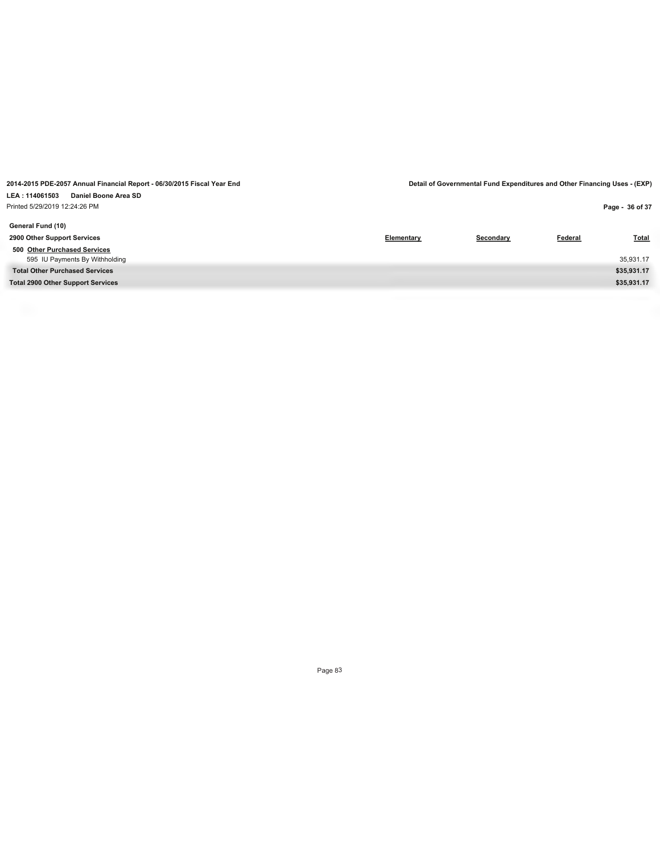Printed 5/29/2019 12:24:26 PM

| Printed 5/29/2019 12:24:26 PM            |            |           |                | Page - 36 of 37 |
|------------------------------------------|------------|-----------|----------------|-----------------|
| General Fund (10)                        |            |           |                |                 |
| 2900 Other Support Services              | Elementary | Secondary | <b>Federal</b> | <b>Total</b>    |
| 500 Other Purchased Services             |            |           |                |                 |
| 595 IU Payments By Withholding           |            |           |                | 35,931.17       |
| <b>Total Other Purchased Services</b>    |            |           |                | \$35,931.17     |
| <b>Total 2900 Other Support Services</b> |            |           |                | \$35,931.17     |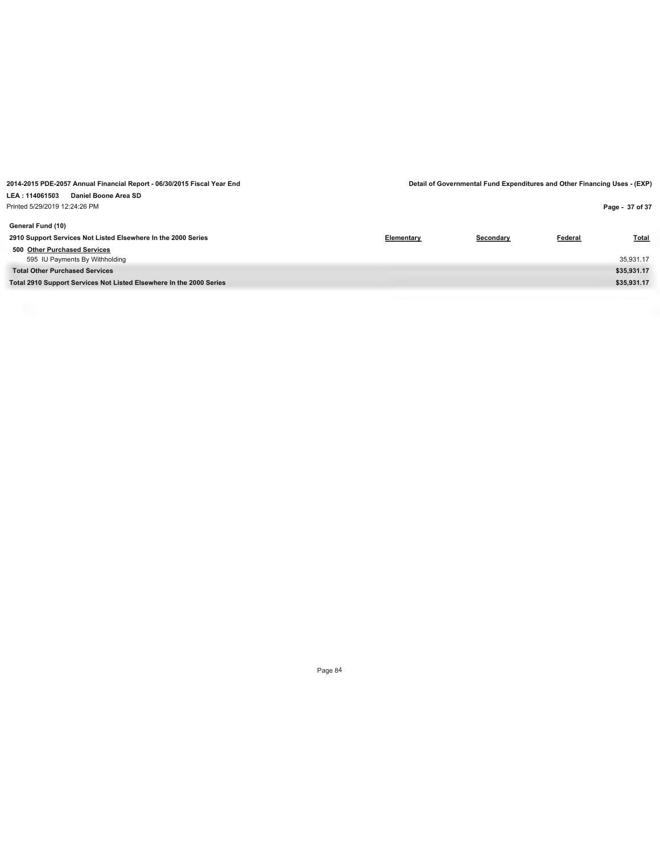**Page - 37 of 37**

**General Fund (10) 2910 Support Services Not Listed Elsewhere In the 2000 Series Elementary Secondary Federal Total 500 Other Purchased Services** 595 IU Payments By Withholding 35,931.17 **Total Other Purchased Services \$35,931.17 Total 2910 Support Services Not Listed Elsewhere In the 2000 Series \$35,931.17**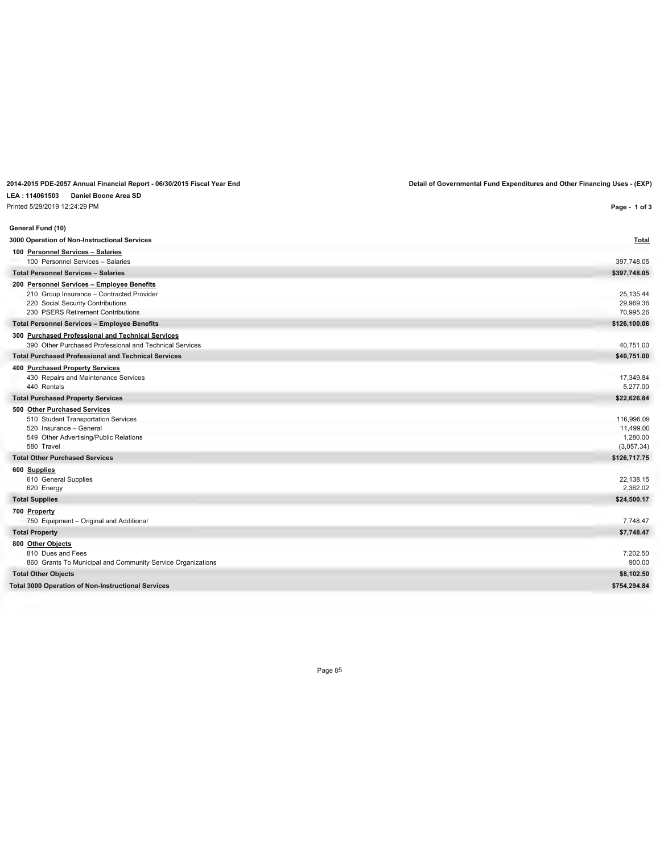# **LEA : 114061503 Daniel Boone Area SD**

| Printed 5/29/2019 12:24:29 PM                                                                                                                                      | Page - 1 of 3                                     |
|--------------------------------------------------------------------------------------------------------------------------------------------------------------------|---------------------------------------------------|
| General Fund (10)                                                                                                                                                  |                                                   |
| 3000 Operation of Non-Instructional Services                                                                                                                       | <b>Total</b>                                      |
| 100 Personnel Services - Salaries<br>100 Personnel Services - Salaries                                                                                             | 397,748.05                                        |
| <b>Total Personnel Services - Salaries</b>                                                                                                                         | \$397,748.05                                      |
| 200 Personnel Services - Employee Benefits<br>210 Group Insurance - Contracted Provider<br>220 Social Security Contributions<br>230 PSERS Retirement Contributions | 25,135.44<br>29,969.36<br>70,995.26               |
| <b>Total Personnel Services - Employee Benefits</b>                                                                                                                | \$126,100.06                                      |
| 300 Purchased Professional and Technical Services<br>390 Other Purchased Professional and Technical Services                                                       | 40,751.00                                         |
| <b>Total Purchased Professional and Technical Services</b>                                                                                                         | \$40,751.00                                       |
| 400 Purchased Property Services<br>430 Repairs and Maintenance Services<br>440 Rentals                                                                             | 17,349.84<br>5,277.00                             |
| <b>Total Purchased Property Services</b>                                                                                                                           | \$22,626.84                                       |
| 500 Other Purchased Services<br>510 Student Transportation Services<br>520 Insurance - General<br>549 Other Advertising/Public Relations<br>580 Travel             | 116,996.09<br>11,499.00<br>1,280.00<br>(3,057.34) |
| <b>Total Other Purchased Services</b>                                                                                                                              | \$126,717.75                                      |
| 600 Supplies<br>610 General Supplies<br>620 Energy                                                                                                                 | 22,138.15<br>2,362.02                             |
| <b>Total Supplies</b>                                                                                                                                              | \$24,500.17                                       |
| 700 Property<br>750 Equipment - Original and Additional                                                                                                            | 7,748.47                                          |
| <b>Total Property</b>                                                                                                                                              | \$7,748.47                                        |
| 800 Other Objects<br>810 Dues and Fees<br>860 Grants To Municipal and Community Service Organizations                                                              | 7,202.50<br>900.00                                |
| <b>Total Other Objects</b>                                                                                                                                         | \$8,102.50                                        |
| <b>Total 3000 Operation of Non-Instructional Services</b>                                                                                                          | \$754,294.84                                      |
|                                                                                                                                                                    |                                                   |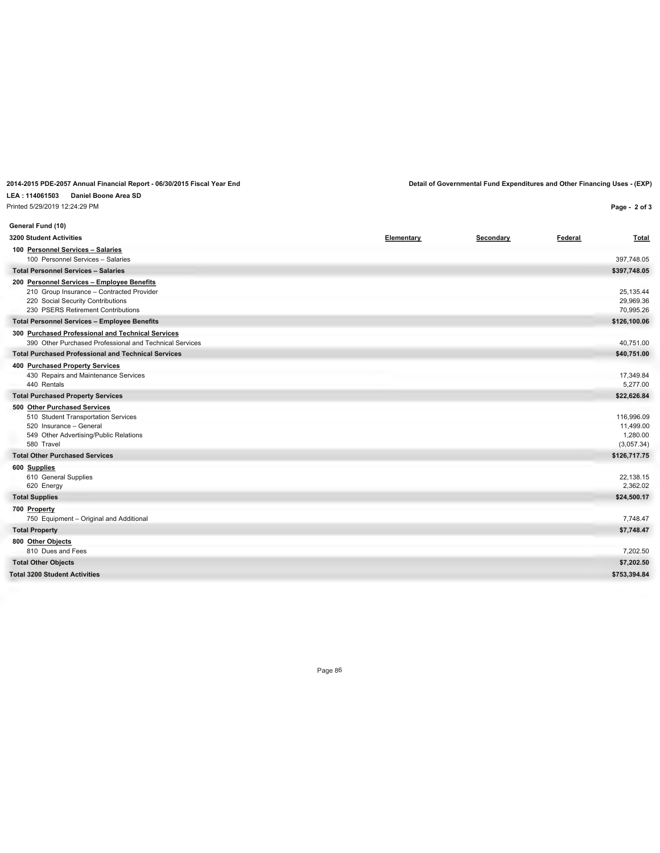# **LEA : 114061503 Daniel Boone Area SD**

Printed 5/29/2019 12:24:29 PM

**Page - 2 of 3**

| General Fund (10)                                                                                                                                                  |            |           |         |                                                   |
|--------------------------------------------------------------------------------------------------------------------------------------------------------------------|------------|-----------|---------|---------------------------------------------------|
| <b>3200 Student Activities</b>                                                                                                                                     | Elementary | Secondary | Federal | Total                                             |
| 100 Personnel Services - Salaries<br>100 Personnel Services - Salaries                                                                                             |            |           |         | 397,748.05                                        |
| <b>Total Personnel Services - Salaries</b>                                                                                                                         |            |           |         | \$397,748.05                                      |
| 200 Personnel Services - Employee Benefits<br>210 Group Insurance - Contracted Provider<br>220 Social Security Contributions<br>230 PSERS Retirement Contributions |            |           |         | 25,135.44<br>29,969.36<br>70,995.26               |
| <b>Total Personnel Services - Employee Benefits</b>                                                                                                                |            |           |         | \$126,100.06                                      |
| 300 Purchased Professional and Technical Services<br>390 Other Purchased Professional and Technical Services                                                       |            |           |         | 40,751.00                                         |
| <b>Total Purchased Professional and Technical Services</b>                                                                                                         |            |           |         | \$40,751.00                                       |
| 400 Purchased Property Services<br>430 Repairs and Maintenance Services<br>440 Rentals                                                                             |            |           |         | 17,349.84<br>5,277.00                             |
| <b>Total Purchased Property Services</b>                                                                                                                           |            |           |         | \$22,626.84                                       |
| 500 Other Purchased Services<br>510 Student Transportation Services<br>520 Insurance - General<br>549 Other Advertising/Public Relations<br>580 Travel             |            |           |         | 116,996.09<br>11,499.00<br>1,280.00<br>(3,057.34) |
| <b>Total Other Purchased Services</b>                                                                                                                              |            |           |         | \$126,717.75                                      |
| 600 Supplies<br>610 General Supplies<br>620 Energy                                                                                                                 |            |           |         | 22,138.15<br>2,362.02                             |
| <b>Total Supplies</b>                                                                                                                                              |            |           |         | \$24,500.17                                       |
| 700 Property<br>750 Equipment - Original and Additional                                                                                                            |            |           |         | 7,748.47                                          |
| <b>Total Property</b>                                                                                                                                              |            |           |         | \$7,748.47                                        |
| 800 Other Objects<br>810 Dues and Fees                                                                                                                             |            |           |         | 7,202.50                                          |
| <b>Total Other Objects</b>                                                                                                                                         |            |           |         | \$7,202.50                                        |
| <b>Total 3200 Student Activities</b>                                                                                                                               |            |           |         | \$753,394.84                                      |
|                                                                                                                                                                    |            |           |         |                                                   |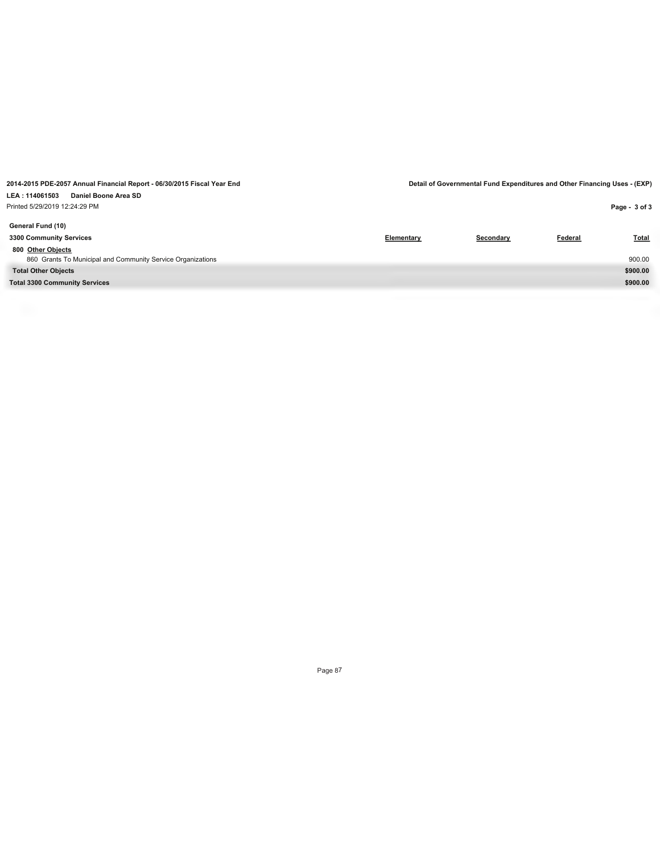| Printed 5/29/2019 12:24:29 PM                               |            |           |         | Page - 3 of 3 |
|-------------------------------------------------------------|------------|-----------|---------|---------------|
| General Fund (10)                                           |            |           |         |               |
| 3300 Community Services                                     | Elementary | Secondary | Federal | <b>Total</b>  |
| 800 Other Objects                                           |            |           |         |               |
| 860 Grants To Municipal and Community Service Organizations |            |           |         | 900.00        |
| <b>Total Other Objects</b>                                  |            |           |         | \$900.00      |
| <b>Total 3300 Community Services</b>                        |            |           |         | \$900.00      |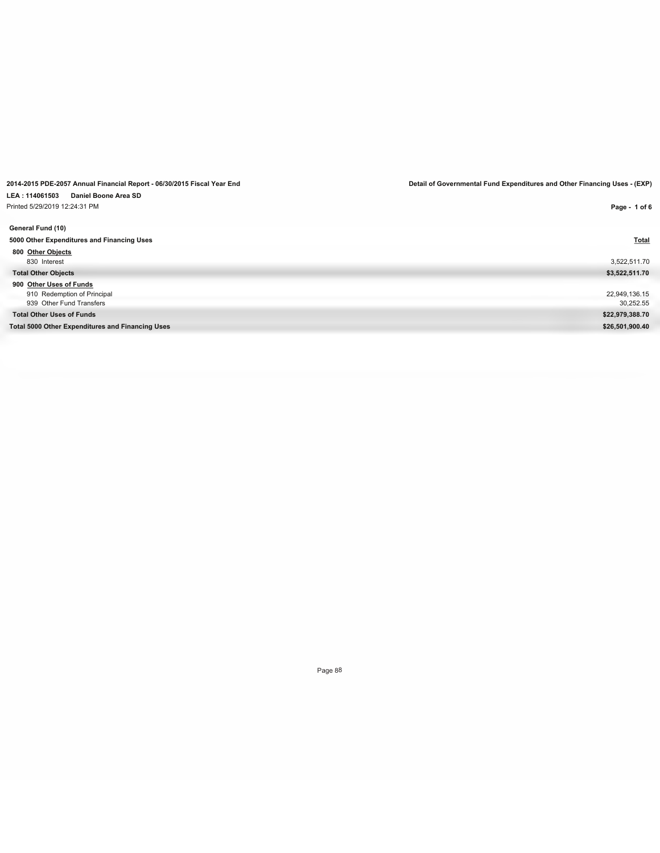**LEA : 114061503 Daniel Boone Area SD**

Printed 5/29/2019 12:24:31 PM

**2014-2015 PDE-2057 Annual Financial Report - 06/30/2015 Fiscal Year End Detail of Governmental Fund Expenditures and Other Financing Uses - (EXP)**

| Printed 5/29/2019 12:24:31 PM                    | Page - 1 of 6   |
|--------------------------------------------------|-----------------|
| General Fund (10)                                |                 |
| 5000 Other Expenditures and Financing Uses       | <b>Total</b>    |
| 800 Other Objects                                |                 |
| 830 Interest                                     | 3,522,511.70    |
| <b>Total Other Objects</b>                       | \$3,522,511.70  |
| 900 Other Uses of Funds                          |                 |
| 910 Redemption of Principal                      | 22,949,136.15   |
| 939 Other Fund Transfers                         | 30,252.55       |
| <b>Total Other Uses of Funds</b>                 | \$22,979,388.70 |
| Total 5000 Other Expenditures and Financing Uses | \$26,501,900.40 |
|                                                  |                 |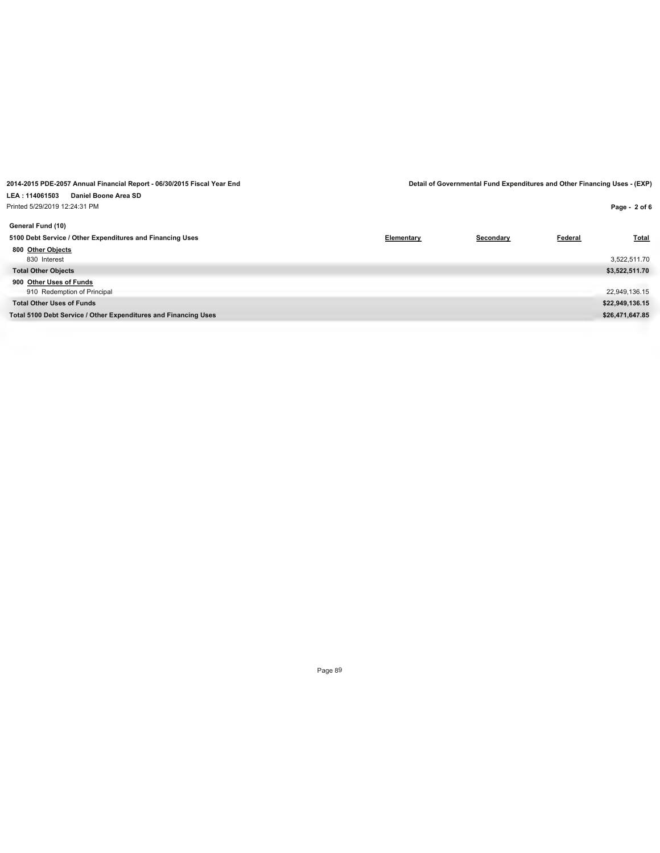| Printed 5/29/2019 12:24:31 PM                                   |            |           |         | Page - 2 of 6   |
|-----------------------------------------------------------------|------------|-----------|---------|-----------------|
| General Fund (10)                                               |            |           |         |                 |
| 5100 Debt Service / Other Expenditures and Financing Uses       | Elementary | Secondary | Federal | <b>Total</b>    |
| 800 Other Objects                                               |            |           |         |                 |
| 830 Interest                                                    |            |           |         | 3,522,511.70    |
| <b>Total Other Objects</b>                                      |            |           |         | \$3,522,511.70  |
| 900 Other Uses of Funds                                         |            |           |         |                 |
| 910 Redemption of Principal                                     |            |           |         | 22,949,136.15   |
| <b>Total Other Uses of Funds</b>                                |            |           |         | \$22,949,136.15 |
| Total 5100 Debt Service / Other Expenditures and Financing Uses |            |           |         | \$26,471,647.85 |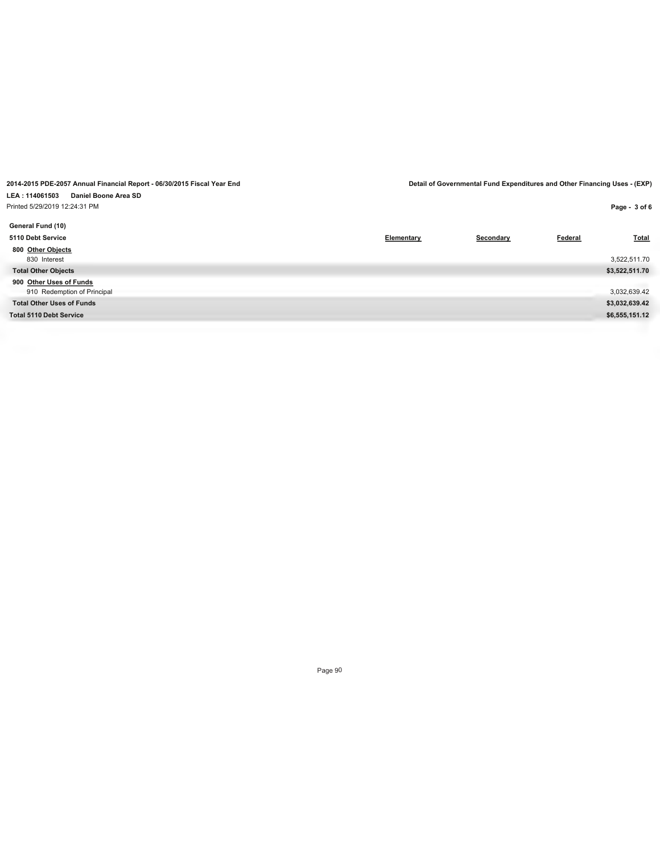#### **LEA : 114061503 Daniel Boone Area SD** Printed 5/29/2019 12:24:31 PM

| rinted 5/29/2019 12:24:31 PM     |            |           |         | Page - 3 of 6  |
|----------------------------------|------------|-----------|---------|----------------|
| General Fund (10)                |            |           |         |                |
| 5110 Debt Service                | Elementary | Secondary | Federal | <b>Total</b>   |
| 800 Other Objects                |            |           |         |                |
| 830 Interest                     |            |           |         | 3,522,511.70   |
| <b>Total Other Objects</b>       |            |           |         | \$3,522,511.70 |
| 900 Other Uses of Funds          |            |           |         |                |
| 910 Redemption of Principal      |            |           |         | 3,032,639.42   |
| <b>Total Other Uses of Funds</b> |            |           |         | \$3,032,639.42 |
| Total 5110 Debt Service          |            |           |         | \$6,555,151.12 |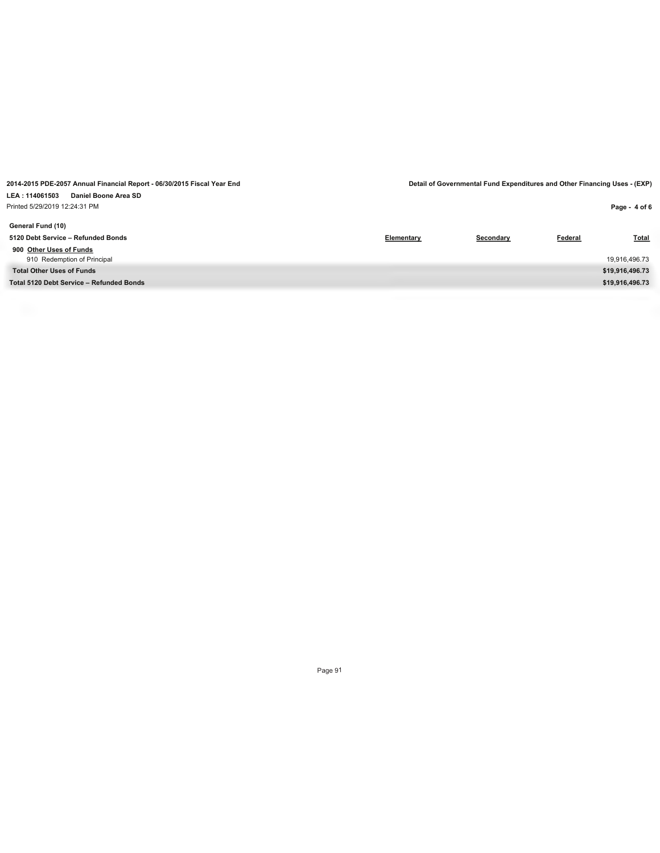| Printed 5/29/2019 12:24:31 PM            |                   |           |         | Page - 4 of 6   |
|------------------------------------------|-------------------|-----------|---------|-----------------|
| General Fund (10)                        |                   |           |         |                 |
| 5120 Debt Service - Refunded Bonds       | <b>Elementary</b> | Secondary | Federal | Total           |
| 900 Other Uses of Funds                  |                   |           |         |                 |
| 910 Redemption of Principal              |                   |           |         | 19,916,496.73   |
| <b>Total Other Uses of Funds</b>         |                   |           |         | \$19,916,496.73 |
| Total 5120 Debt Service - Refunded Bonds |                   |           |         | \$19,916,496.73 |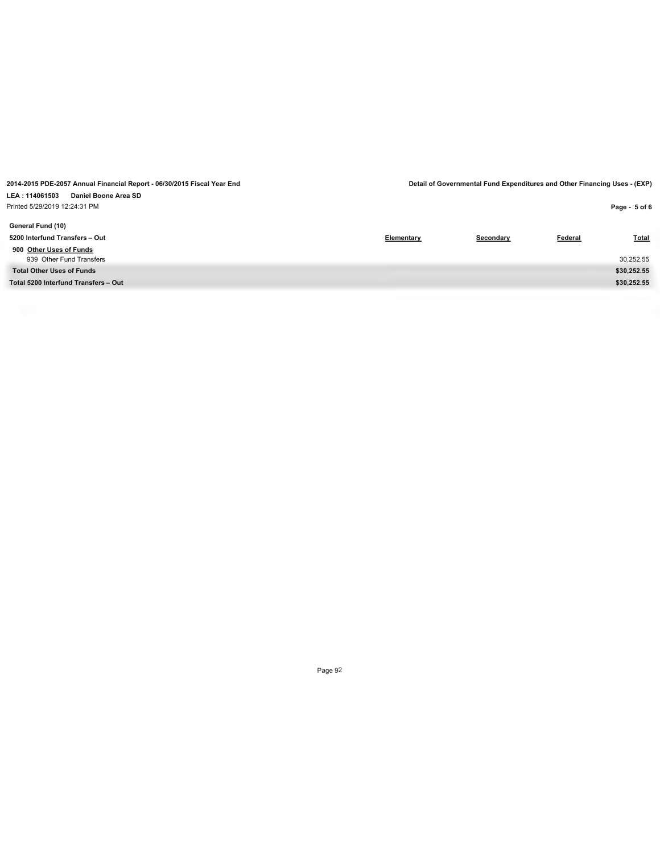| Printed 5/29/2019 12:24:31 PM        |            |           |         | Page - 5 of 6 |
|--------------------------------------|------------|-----------|---------|---------------|
| General Fund (10)                    |            |           |         |               |
| 5200 Interfund Transfers - Out       | Elementary | Secondary | Federal | <b>Total</b>  |
| 900 Other Uses of Funds              |            |           |         |               |
| 939 Other Fund Transfers             |            |           |         | 30,252.55     |
| <b>Total Other Uses of Funds</b>     |            |           |         | \$30,252.55   |
| Total 5200 Interfund Transfers - Out |            |           |         | \$30,252.55   |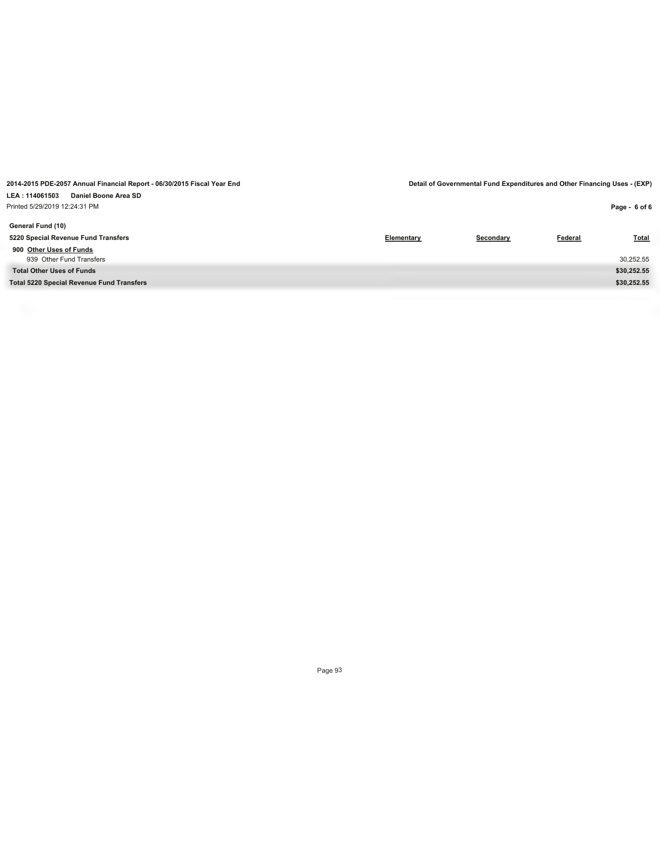| Printed 5/29/2019 12:24:31 PM                    |                   |           |         | Page - 6 of 6 |
|--------------------------------------------------|-------------------|-----------|---------|---------------|
| General Fund (10)                                |                   |           |         |               |
| 5220 Special Revenue Fund Transfers              | <b>Elementary</b> | Secondary | Federal | Total         |
| 900 Other Uses of Funds                          |                   |           |         |               |
| 939 Other Fund Transfers                         |                   |           |         | 30,252.55     |
| <b>Total Other Uses of Funds</b>                 |                   |           |         | \$30,252.55   |
| <b>Total 5220 Special Revenue Fund Transfers</b> |                   |           |         | \$30,252.55   |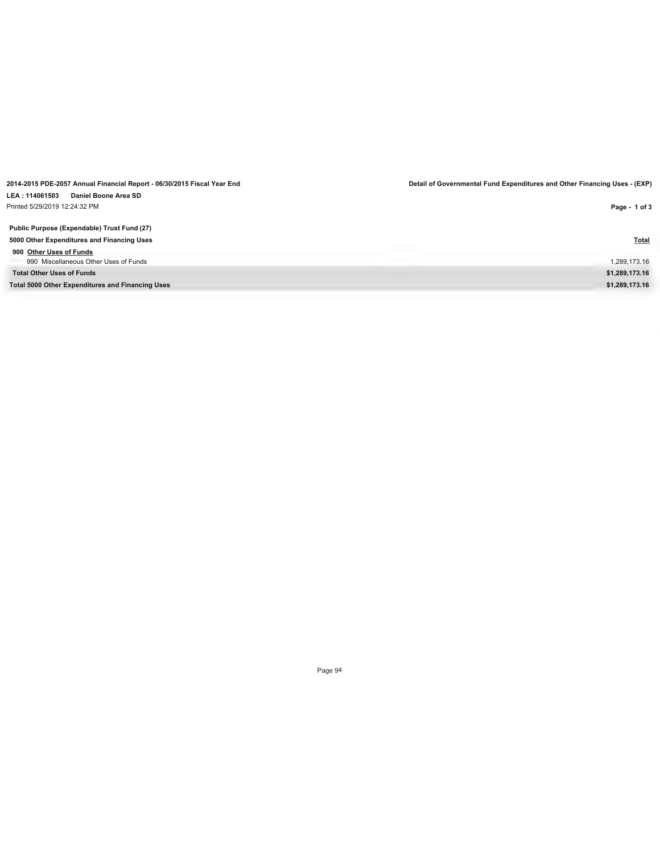| Printed 5/29/2019 12:24:32 PM                           | Page - 1 of 3  |
|---------------------------------------------------------|----------------|
| Public Purpose (Expendable) Trust Fund (27)             |                |
| 5000 Other Expenditures and Financing Uses              | <b>Total</b>   |
| 900 Other Uses of Funds                                 |                |
| 990 Miscellaneous Other Uses of Funds                   | 1,289,173.16   |
| <b>Total Other Uses of Funds</b>                        | \$1,289,173.16 |
| <b>Total 5000 Other Expenditures and Financing Uses</b> | \$1,289,173.16 |

**LEA : 114061503 Daniel Boone Area SD**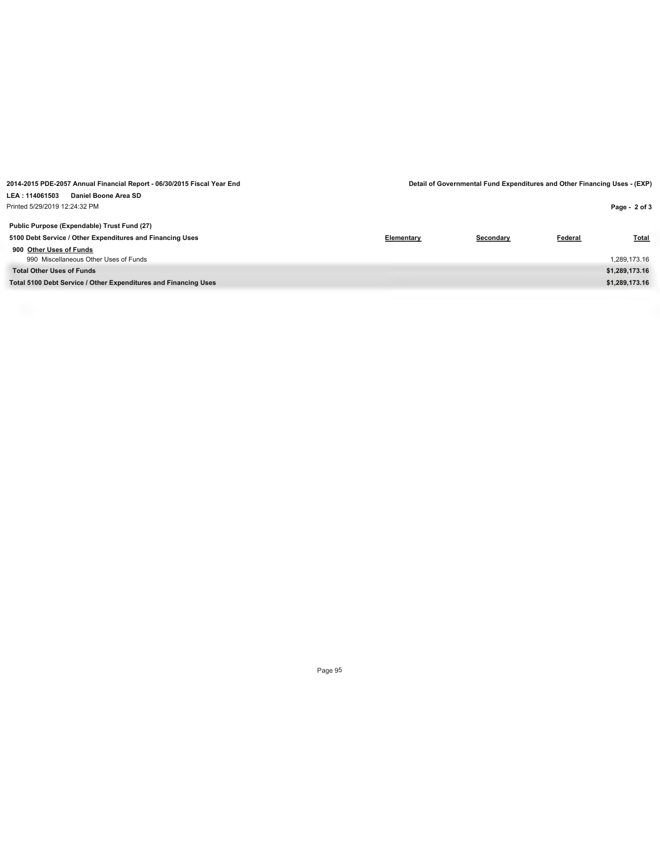**LEA : 114061503 Daniel Boone Area SD** Printed 5/29/2019 12:24:32 PM

**2014-2015 PDE-2057 Annual Financial Report - 06/30/2015 Fiscal Year End Detail of Governmental Fund Expenditures and Other Financing Uses - (EXP)**

| Printed 5/29/2019 12:24:32 PM                                   |                   |           |                | Page - 2 of 3  |
|-----------------------------------------------------------------|-------------------|-----------|----------------|----------------|
| Public Purpose (Expendable) Trust Fund (27)                     |                   |           |                |                |
| 5100 Debt Service / Other Expenditures and Financing Uses       | <b>Elementary</b> | Secondary | <b>Federal</b> | <b>Total</b>   |
| 900 Other Uses of Funds                                         |                   |           |                |                |
| 990 Miscellaneous Other Uses of Funds                           |                   |           |                | 1,289,173.16   |
| <b>Total Other Uses of Funds</b>                                |                   |           |                | \$1,289,173.16 |
| Total 5100 Debt Service / Other Expenditures and Financing Uses |                   |           |                | \$1,289,173.16 |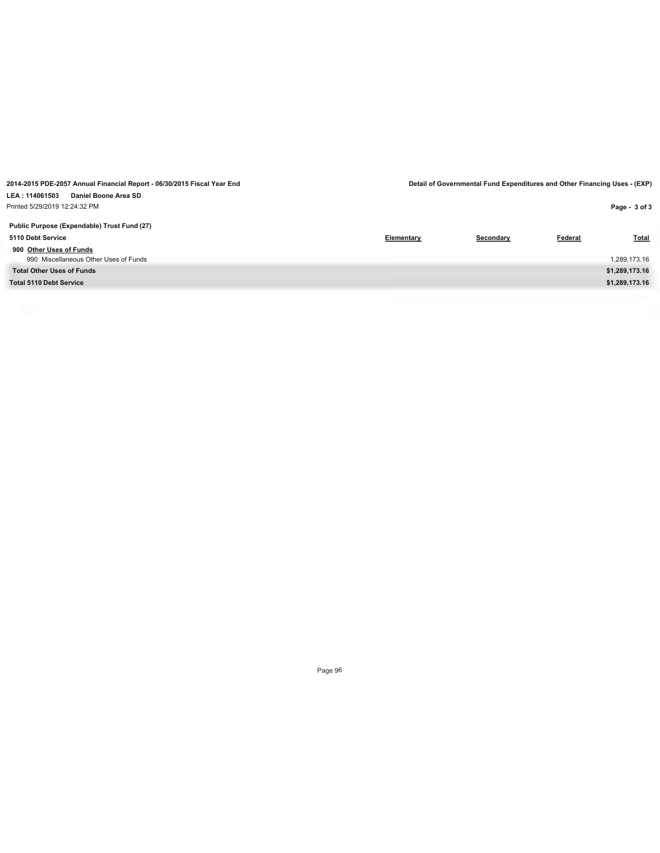**LEA : 114061503 Daniel Boone Area SD** Printed 5/29/2019 12:24:32 PM

**2014-2015 PDE-2057 Annual Financial Report - 06/30/2015 Fiscal Year End Detail of Governmental Fund Expenditures and Other Financing Uses - (EXP)**

| rinted 5/29/2019 12:24:32 PM                |            |           |         | Page - 3 of 3  |
|---------------------------------------------|------------|-----------|---------|----------------|
| Public Purpose (Expendable) Trust Fund (27) |            |           |         |                |
| 5110 Debt Service                           | Elementary | Secondary | Federal | Total          |
| 900 Other Uses of Funds                     |            |           |         |                |
| 990 Miscellaneous Other Uses of Funds       |            |           |         | 1,289,173.16   |
| <b>Total Other Uses of Funds</b>            |            |           |         | \$1,289,173.16 |
| Total 5110 Debt Service                     |            |           |         | \$1,289,173.16 |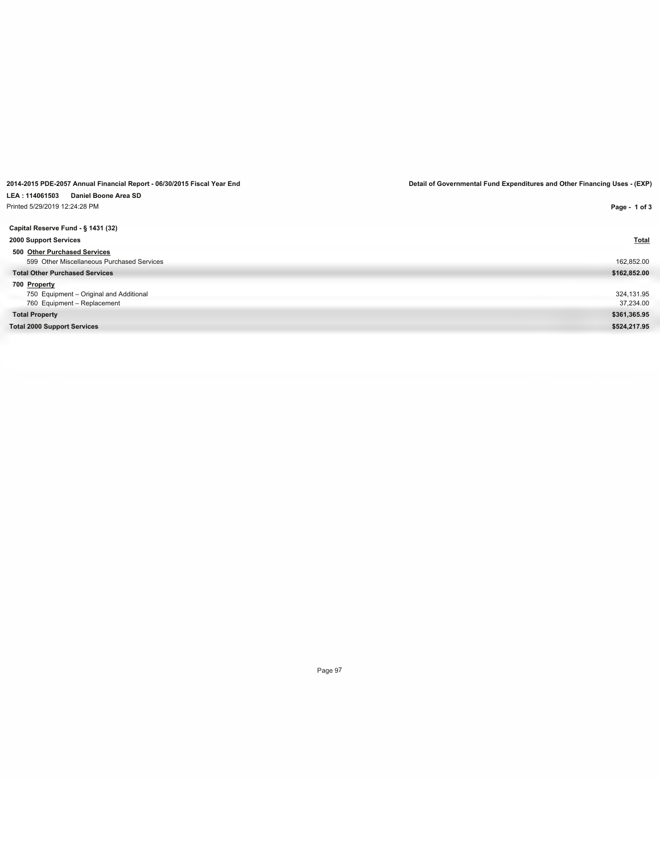| Daniel Boone Area SD<br>LEA: 114061503     |               |
|--------------------------------------------|---------------|
| Printed 5/29/2019 12:24:28 PM              | Page - 1 of 3 |
|                                            |               |
| Capital Reserve Fund - § 1431 (32)         |               |
| 2000 Support Services                      | <b>Total</b>  |
| 500 Other Purchased Services               |               |
| 599 Other Miscellaneous Purchased Services | 162,852.00    |
| <b>Total Other Purchased Services</b>      | \$162,852.00  |
| 700 Property                               |               |
| 750 Equipment - Original and Additional    | 324,131.95    |
| 760 Equipment - Replacement                | 37,234.00     |
| <b>Total Property</b>                      | \$361,365.95  |
| <b>Total 2000 Support Services</b>         | \$524,217.95  |
|                                            |               |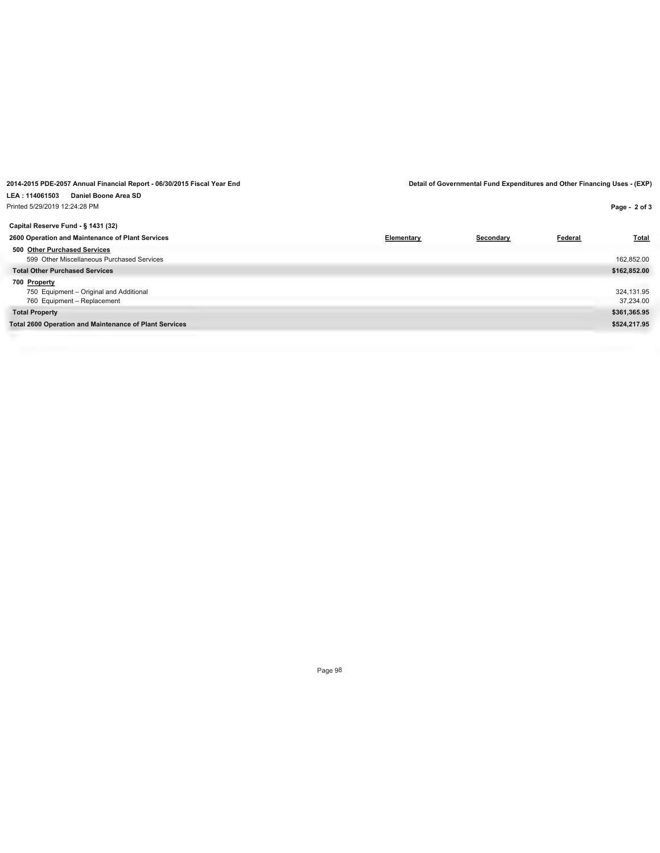| rinted 5/29/2019 12:24:28 PM                                  |            |           |         | Page - 2 of 3 |
|---------------------------------------------------------------|------------|-----------|---------|---------------|
| Capital Reserve Fund - § 1431 (32)                            |            |           |         |               |
| 2600 Operation and Maintenance of Plant Services              | Elementary | Secondary | Federal | <b>Total</b>  |
| 500 Other Purchased Services                                  |            |           |         |               |
| 599 Other Miscellaneous Purchased Services                    |            |           |         | 162,852.00    |
| <b>Total Other Purchased Services</b>                         |            |           |         | \$162,852.00  |
| 700 Property                                                  |            |           |         |               |
| 750 Equipment - Original and Additional                       |            |           |         | 324,131.95    |
| 760 Equipment - Replacement                                   |            |           |         | 37,234.00     |
| <b>Total Property</b>                                         |            |           |         | \$361,365.95  |
| <b>Total 2600 Operation and Maintenance of Plant Services</b> |            |           |         | \$524,217.95  |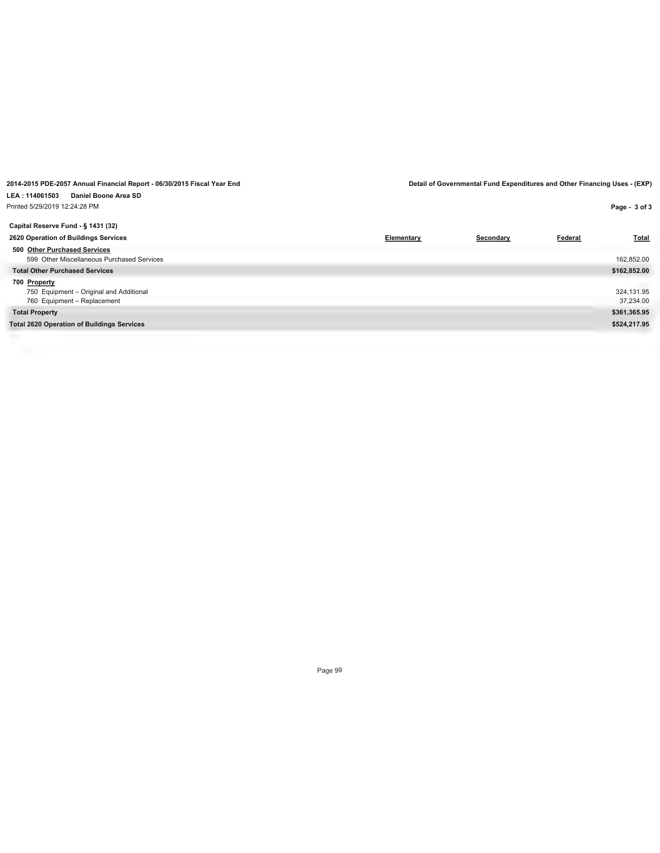| rinted 5/29/2019 12:24:28 PM                      |            |           |                | Page - 3 of 3 |
|---------------------------------------------------|------------|-----------|----------------|---------------|
| Capital Reserve Fund - § 1431 (32)                |            |           |                |               |
| 2620 Operation of Buildings Services              | Elementary | Secondary | <b>Federal</b> | <b>Total</b>  |
| 500 Other Purchased Services                      |            |           |                |               |
| 599 Other Miscellaneous Purchased Services        |            |           |                | 162,852.00    |
| <b>Total Other Purchased Services</b>             |            |           |                | \$162,852.00  |
| 700 Property                                      |            |           |                |               |
| 750 Equipment - Original and Additional           |            |           |                | 324,131.95    |
| 760 Equipment - Replacement                       |            |           |                | 37,234.00     |
| <b>Total Property</b>                             |            |           |                | \$361,365.95  |
| <b>Total 2620 Operation of Buildings Services</b> |            |           |                | \$524,217.95  |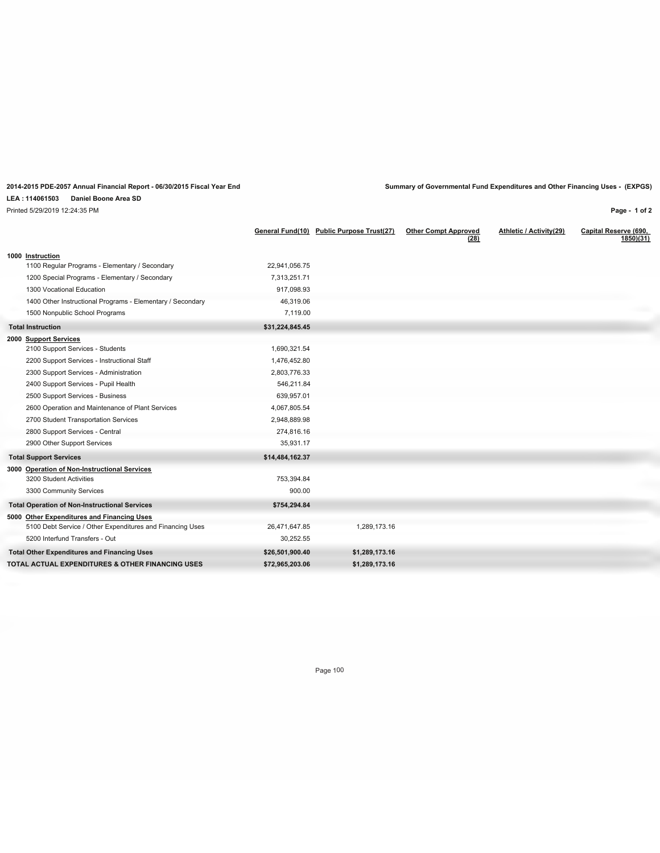## **LEA : 114061503 Daniel Boone Area SD**

Printed 5/29/2019 12:24:35 PM

**2014-2015 PDE-2057 Annual Financial Report - 06/30/2015 Fiscal Year End Summary of Governmental Fund Expenditures and Other Financing Uses - (EXPGS)**

**Page - 1 of 2**

|                                                            | General Fund(10) | <b>Public Purpose Trust(27)</b> | <b>Other Compt Approved</b><br>(28) | Athletic / Activity(29) | Capital Reserve (690,<br>1850(31) |
|------------------------------------------------------------|------------------|---------------------------------|-------------------------------------|-------------------------|-----------------------------------|
| 1000 Instruction                                           |                  |                                 |                                     |                         |                                   |
| 1100 Regular Programs - Elementary / Secondary             | 22,941,056.75    |                                 |                                     |                         |                                   |
| 1200 Special Programs - Elementary / Secondary             | 7,313,251.71     |                                 |                                     |                         |                                   |
| 1300 Vocational Education                                  | 917,098.93       |                                 |                                     |                         |                                   |
| 1400 Other Instructional Programs - Elementary / Secondary | 46,319.06        |                                 |                                     |                         |                                   |
| 1500 Nonpublic School Programs                             | 7,119.00         |                                 |                                     |                         |                                   |
| <b>Total Instruction</b>                                   | \$31,224,845.45  |                                 |                                     |                         |                                   |
| 2000 Support Services                                      |                  |                                 |                                     |                         |                                   |
| 2100 Support Services - Students                           | 1,690,321.54     |                                 |                                     |                         |                                   |
| 2200 Support Services - Instructional Staff                | 1,476,452.80     |                                 |                                     |                         |                                   |
| 2300 Support Services - Administration                     | 2,803,776.33     |                                 |                                     |                         |                                   |
| 2400 Support Services - Pupil Health                       | 546.211.84       |                                 |                                     |                         |                                   |
| 2500 Support Services - Business                           | 639.957.01       |                                 |                                     |                         |                                   |
| 2600 Operation and Maintenance of Plant Services           | 4,067,805.54     |                                 |                                     |                         |                                   |
| 2700 Student Transportation Services                       | 2,948,889.98     |                                 |                                     |                         |                                   |
| 2800 Support Services - Central                            | 274,816.16       |                                 |                                     |                         |                                   |
| 2900 Other Support Services                                | 35,931.17        |                                 |                                     |                         |                                   |
| <b>Total Support Services</b>                              | \$14,484,162.37  |                                 |                                     |                         |                                   |
| 3000 Operation of Non-Instructional Services               |                  |                                 |                                     |                         |                                   |
| 3200 Student Activities                                    | 753,394.84       |                                 |                                     |                         |                                   |
| 3300 Community Services                                    | 900.00           |                                 |                                     |                         |                                   |
| <b>Total Operation of Non-Instructional Services</b>       | \$754,294.84     |                                 |                                     |                         |                                   |
| 5000 Other Expenditures and Financing Uses                 |                  |                                 |                                     |                         |                                   |
| 5100 Debt Service / Other Expenditures and Financing Uses  | 26,471,647.85    | 1,289,173.16                    |                                     |                         |                                   |
| 5200 Interfund Transfers - Out                             | 30,252.55        |                                 |                                     |                         |                                   |
| <b>Total Other Expenditures and Financing Uses</b>         | \$26,501,900.40  | \$1,289,173.16                  |                                     |                         |                                   |
| TOTAL ACTUAL EXPENDITURES & OTHER FINANCING USES           | \$72,965,203.06  | \$1,289,173.16                  |                                     |                         |                                   |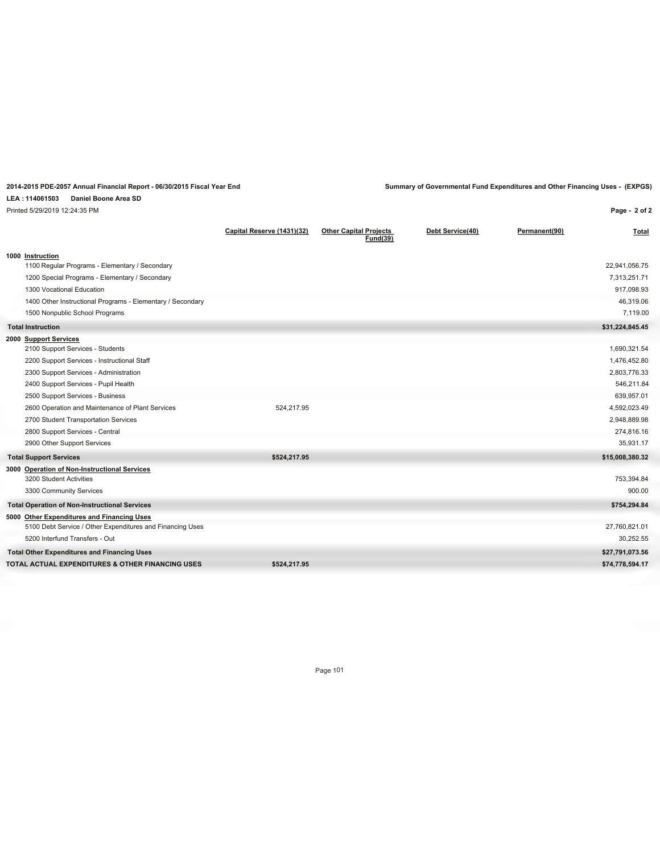**Page - 2 of 2**

## **LEA : 114061503 Daniel Boone Area SD**

Printed 5/29/2019 12:24:35 PM

|                                                            | Capital Reserve (1431)(32) | <b>Other Capital Projects</b><br><b>Fund(39)</b> | Debt Service(40) | Permanent(90) | Total           |
|------------------------------------------------------------|----------------------------|--------------------------------------------------|------------------|---------------|-----------------|
| 1000 Instruction                                           |                            |                                                  |                  |               |                 |
| 1100 Regular Programs - Elementary / Secondary             |                            |                                                  |                  |               | 22,941,056.75   |
| 1200 Special Programs - Elementary / Secondary             |                            |                                                  |                  |               | 7,313,251.71    |
| 1300 Vocational Education                                  |                            |                                                  |                  |               | 917,098.93      |
| 1400 Other Instructional Programs - Elementary / Secondary |                            |                                                  |                  |               | 46,319.06       |
| 1500 Nonpublic School Programs                             |                            |                                                  |                  |               | 7,119.00        |
| <b>Total Instruction</b>                                   |                            |                                                  |                  |               | \$31,224,845.45 |
| 2000 Support Services                                      |                            |                                                  |                  |               |                 |
| 2100 Support Services - Students                           |                            |                                                  |                  |               | 1,690,321.54    |
| 2200 Support Services - Instructional Staff                |                            |                                                  |                  |               | 1,476,452.80    |
| 2300 Support Services - Administration                     |                            |                                                  |                  |               | 2,803,776.33    |
| 2400 Support Services - Pupil Health                       |                            |                                                  |                  |               | 546,211.84      |
| 2500 Support Services - Business                           |                            |                                                  |                  |               | 639,957.01      |
| 2600 Operation and Maintenance of Plant Services           | 524,217.95                 |                                                  |                  |               | 4,592,023.49    |
| 2700 Student Transportation Services                       |                            |                                                  |                  |               | 2,948,889.98    |
| 2800 Support Services - Central                            |                            |                                                  |                  |               | 274,816.16      |
| 2900 Other Support Services                                |                            |                                                  |                  |               | 35,931.17       |
| <b>Total Support Services</b>                              | \$524,217.95               |                                                  |                  |               | \$15,008,380.32 |
| 3000 Operation of Non-Instructional Services               |                            |                                                  |                  |               |                 |
| 3200 Student Activities                                    |                            |                                                  |                  |               | 753,394.84      |
| 3300 Community Services                                    |                            |                                                  |                  |               | 900.00          |
| <b>Total Operation of Non-Instructional Services</b>       |                            |                                                  |                  |               | \$754,294.84    |
| 5000 Other Expenditures and Financing Uses                 |                            |                                                  |                  |               |                 |
| 5100 Debt Service / Other Expenditures and Financing Uses  |                            |                                                  |                  |               | 27,760,821.01   |
| 5200 Interfund Transfers - Out                             |                            |                                                  |                  |               | 30,252.55       |
| <b>Total Other Expenditures and Financing Uses</b>         |                            |                                                  |                  |               | \$27,791,073.56 |
| TOTAL ACTUAL EXPENDITURES & OTHER FINANCING USES           | \$524,217.95               |                                                  |                  |               | \$74,778,594.17 |
|                                                            |                            |                                                  |                  |               |                 |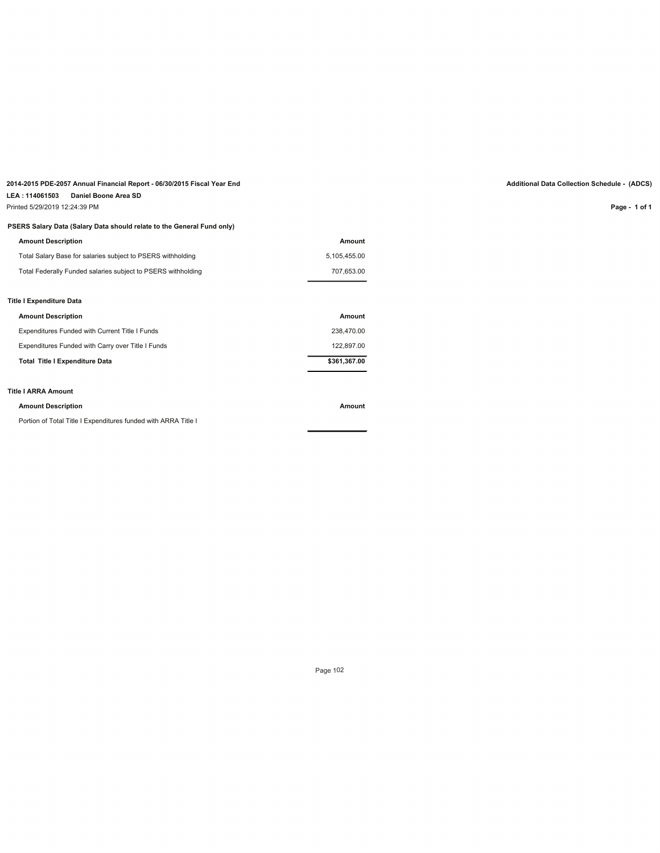# **2014-2015 PDE-2057 Annual Financial Report - 06/30/2015 Fiscal Year End Additional Data Collection Schedule - (ADCS)**

# **LEA : 114061503 Daniel Boone Area SD**

Printed 5/29/2019 12:24:39 PM

## **PSERS Salary Data (Salary Data should relate to the General Fund only)**

| <b>Amount Description</b>                                    | Amount       |
|--------------------------------------------------------------|--------------|
| Total Salary Base for salaries subject to PSERS withholding  | 5,105,455.00 |
| Total Federally Funded salaries subject to PSERS withholding | 707.653.00   |
|                                                              |              |
| Title I Expenditure Data                                     |              |
| <b>Amount Description</b>                                    | Amount       |
| Expenditures Funded with Current Title I Funds               | 238.470.00   |
| Expenditures Funded with Carry over Title I Funds            | 122,897.00   |
| <b>Total Title I Expenditure Data</b>                        | \$361,367.00 |
|                                                              |              |

# **Title I ARRA Amount**

#### **Amount Description Amount**

Portion of Total Title I Expenditures funded with ARRA Title I

**Page - 1 of 1**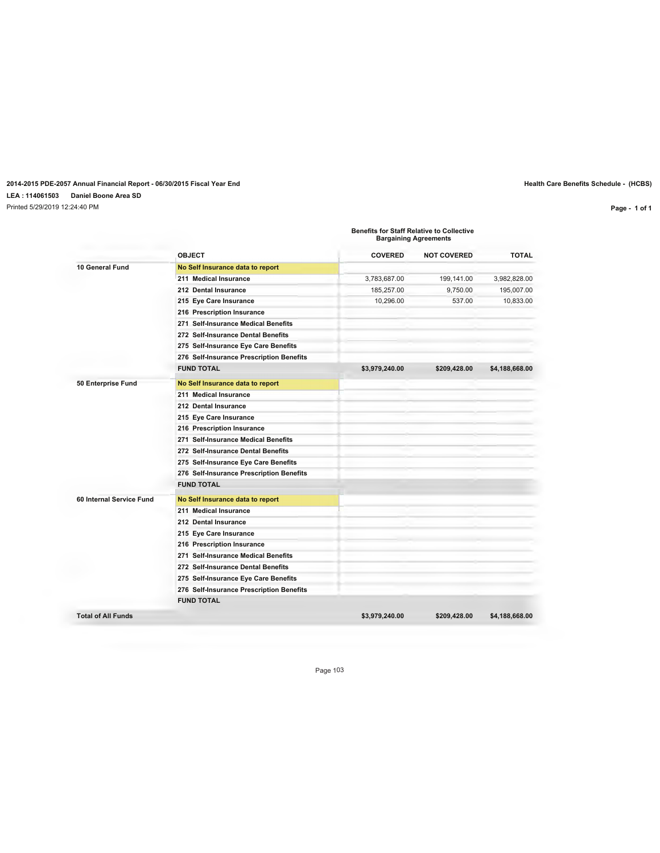# **2014-2015 PDE-2057 Annual Financial Report - 06/30/2015 Fiscal Year End Health Care Benefits Schedule - (HCBS) LEA : 114061503 Daniel Boone Area SD**

Printed 5/29/2019 12:24:40 PM

**Page - 1 of 1**

**Benefits for Staff Relative to Collective Bargaining Agreements**

|                          | <b>OBJECT</b>                            | <b>COVERED</b> | <b>NOT COVERED</b> | <b>TOTAL</b>   |
|--------------------------|------------------------------------------|----------------|--------------------|----------------|
| 10 General Fund          | No Self Insurance data to report         |                |                    |                |
|                          | 211 Medical Insurance                    | 3,783,687.00   | 199,141.00         | 3,982,828.00   |
|                          | 212 Dental Insurance                     | 185,257.00     | 9.750.00           | 195.007.00     |
|                          | 215 Eye Care Insurance                   | 10,296.00      | 537.00             | 10,833.00      |
|                          | 216 Prescription Insurance               |                |                    |                |
|                          | 271 Self-Insurance Medical Benefits      |                |                    |                |
|                          | 272 Self-Insurance Dental Benefits       |                |                    |                |
|                          | 275 Self-Insurance Eye Care Benefits     |                |                    |                |
|                          | 276 Self-Insurance Prescription Benefits |                |                    |                |
|                          | <b>FUND TOTAL</b>                        | \$3,979,240.00 | \$209,428.00       | \$4,188,668.00 |
| 50 Enterprise Fund       | No Self Insurance data to report         |                |                    |                |
|                          | 211 Medical Insurance                    |                |                    |                |
|                          | 212 Dental Insurance                     |                |                    |                |
|                          | 215 Eye Care Insurance                   |                |                    |                |
|                          | 216 Prescription Insurance               |                |                    |                |
|                          | 271 Self-Insurance Medical Benefits      |                |                    |                |
|                          | 272 Self-Insurance Dental Benefits       |                |                    |                |
|                          | 275 Self-Insurance Eye Care Benefits     |                |                    |                |
|                          | 276 Self-Insurance Prescription Benefits |                |                    |                |
|                          | <b>FUND TOTAL</b>                        |                |                    |                |
| 60 Internal Service Fund | No Self Insurance data to report         |                |                    |                |
|                          | 211 Medical Insurance                    |                |                    |                |
|                          | 212 Dental Insurance                     |                |                    |                |
|                          | 215 Eye Care Insurance                   |                |                    |                |
|                          | 216 Prescription Insurance               |                |                    |                |
|                          | 271 Self-Insurance Medical Benefits      |                |                    |                |
|                          | 272 Self-Insurance Dental Benefits       |                |                    |                |
|                          | 275 Self-Insurance Eye Care Benefits     |                |                    |                |
|                          | 276 Self-Insurance Prescription Benefits |                |                    |                |
|                          | <b>FUND TOTAL</b>                        |                |                    |                |
|                          |                                          |                |                    |                |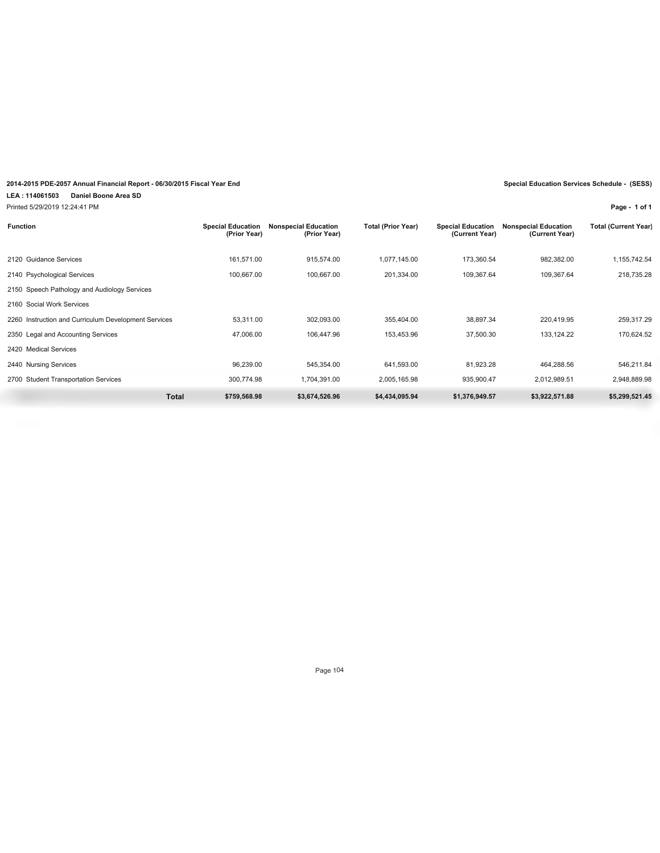# **2014-2015 PDE-2057 Annual Financial Report - 06/30/2015 Fiscal Year End Special Education Services Schedule - (SESS)**

**LEA : 114061503 Daniel Boone Area SD**

Printed 5/29/2019 12:24:41 PM

**Page - 1 of 1**

| <b>Function</b>             | <b>Special Education</b><br>(Prior Year) | <b>Nonspecial Education</b><br>(Prior Year) | <b>Total (Prior Year)</b> | <b>Special Education</b><br>(Current Year) | <b>Nonspecial Education</b><br>(Current Year) | <b>Total (Current Year)</b> |
|-----------------------------|------------------------------------------|---------------------------------------------|---------------------------|--------------------------------------------|-----------------------------------------------|-----------------------------|
| 2120 Guidance Services      | 161.571.00                               | 915.574.00                                  | 1.077.145.00              | 173.360.54                                 | 982.382.00                                    | ,155,742.54                 |
| 2140 Psychological Services | 100,667.00                               | 100.667.00                                  | 201,334.00                | 109.367.64                                 | 109.367.64                                    | 218,735.28                  |

|                                                      | <b>Total</b><br>\$759.568.98 | \$3,674,526.96 | \$4,434,095.94 | \$1,376,949.57 | \$3,922,571.88 | \$5.299.521.45 |
|------------------------------------------------------|------------------------------|----------------|----------------|----------------|----------------|----------------|
| 2700 Student Transportation Services                 | 300.774.98                   | 1.704.391.00   | 2.005.165.98   | 935.900.47     | 2.012.989.51   | 2.948.889.98   |
| 2440 Nursing Services                                | 96.239.00                    | 545.354.00     | 641.593.00     | 81.923.28      | 464.288.56     | 546.211.84     |
| 2420 Medical Services                                |                              |                |                |                |                |                |
| 2350 Legal and Accounting Services                   | 47.006.00                    | 106.447.96     | 153.453.96     | 37.500.30      | 133.124.22     | 170.624.52     |
| 2260 Instruction and Curriculum Development Services | 53.311.00                    | 302.093.00     | 355.404.00     | 38.897.34      | 220.419.95     | 259.317.29     |
| 2160 Social Work Services                            |                              |                |                |                |                |                |
| 2150 Speech Pathology and Audiology Services         |                              |                |                |                |                |                |
| 2140 Psychological Services                          | 100.667.00                   | 100.667.00     | 201.334.00     | 109.367.64     | 109.367.64     | 218.735.28     |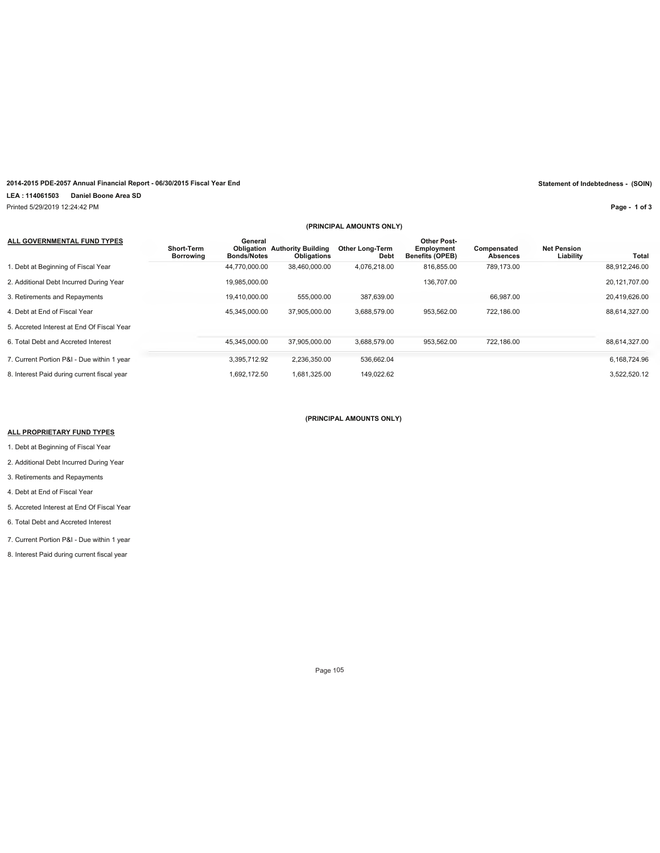## **2014-2015 PDE-2057 Annual Financial Report - 06/30/2015 Fiscal Year End Statement of Indebtedness - (SOIN)**

**LEA : 114061503 Daniel Boone Area SD**

Printed 5/29/2019 12:24:42 PM

**Page - 1 of 3**

|                                             | (PRINCIPAL AMOUNTS ONLY) |                               |                                                     |                                |                                                            |                         |                                 |               |
|---------------------------------------------|--------------------------|-------------------------------|-----------------------------------------------------|--------------------------------|------------------------------------------------------------|-------------------------|---------------------------------|---------------|
| ALL GOVERNMENTAL FUND TYPES                 | Short-Term<br>Borrowing  | General<br><b>Bonds/Notes</b> | <b>Obligation Authority Building</b><br>Obligations | <b>Other Long-Term</b><br>Debt | <b>Other Post-</b><br>Employment<br><b>Benefits (OPEB)</b> | Compensated<br>Absences | <b>Net Pension</b><br>Liability | Total         |
| 1. Debt at Beginning of Fiscal Year         |                          | 44,770,000.00                 | 38,460,000.00                                       | 4.076.218.00                   | 816.855.00                                                 | 789.173.00              |                                 | 88,912,246.00 |
| 2. Additional Debt Incurred During Year     |                          | 19.985.000.00                 |                                                     |                                | 136.707.00                                                 |                         |                                 | 20.121.707.00 |
| 3. Retirements and Repayments               |                          | 19,410,000.00                 | 555,000.00                                          | 387,639.00                     |                                                            | 66,987.00               |                                 | 20,419,626.00 |
| 4. Debt at End of Fiscal Year               |                          | 45.345.000.00                 | 37.905.000.00                                       | 3,688,579.00                   | 953.562.00                                                 | 722.186.00              |                                 | 88,614,327.00 |
| 5. Accreted Interest at End Of Fiscal Year  |                          |                               |                                                     |                                |                                                            |                         |                                 |               |
| 6. Total Debt and Accreted Interest         |                          | 45.345.000.00                 | 37.905.000.00                                       | 3.688.579.00                   | 953.562.00                                                 | 722.186.00              |                                 | 88.614.327.00 |
| 7. Current Portion P&I - Due within 1 year  |                          | 3,395,712.92                  | 2,236,350.00                                        | 536,662.04                     |                                                            |                         |                                 | 6,168,724.96  |
| 8. Interest Paid during current fiscal year |                          | 1.692.172.50                  | 1,681,325.00                                        | 149,022.62                     |                                                            |                         |                                 | 3,522,520.12  |

## **(PRINCIPAL AMOUNTS ONLY)**

#### **ALL PROPRIETARY FUND TYPES**

1. Debt at Beginning of Fiscal Year

2. Additional Debt Incurred During Year

3. Retirements and Repayments

4. Debt at End of Fiscal Year

5. Accreted Interest at End Of Fiscal Year

6. Total Debt and Accreted Interest

7. Current Portion P&I - Due within 1 year

8. Interest Paid during current fiscal year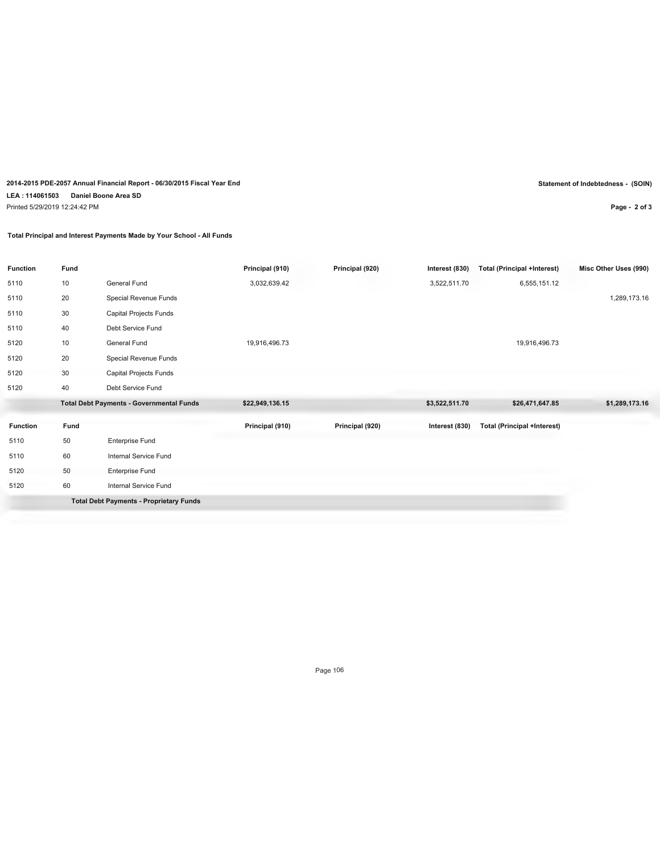# **2014-2015 PDE-2057 Annual Financial Report - 06/30/2015 Fiscal Year End Statement of Indebtedness - (SOIN) LEA : 114061503 Daniel Boone Area SD** Printed 5/29/2019 12:24:42 PM

**Total Principal and Interest Payments Made by Your School - All Funds**

| <b>Function</b> | Fund |                                                 | Principal (910) | Principal (920) | Interest (830) | Total (Principal +Interest)        | Misc Other Uses (990) |
|-----------------|------|-------------------------------------------------|-----------------|-----------------|----------------|------------------------------------|-----------------------|
| 5110            | 10   | General Fund                                    | 3,032,639.42    |                 | 3,522,511.70   | 6,555,151.12                       |                       |
| 5110            | 20   | Special Revenue Funds                           |                 |                 |                |                                    | 1,289,173.16          |
| 5110            | 30   | Capital Projects Funds                          |                 |                 |                |                                    |                       |
| 5110            | 40   | Debt Service Fund                               |                 |                 |                |                                    |                       |
| 5120            | 10   | General Fund                                    | 19,916,496.73   |                 |                | 19,916,496.73                      |                       |
| 5120            | 20   | Special Revenue Funds                           |                 |                 |                |                                    |                       |
| 5120            | 30   | Capital Projects Funds                          |                 |                 |                |                                    |                       |
| 5120            | 40   | Debt Service Fund                               |                 |                 |                |                                    |                       |
|                 |      | <b>Total Debt Payments - Governmental Funds</b> | \$22,949,136.15 |                 | \$3,522,511.70 | \$26,471,647.85                    | \$1,289,173.16        |
| <b>Function</b> | Fund |                                                 | Principal (910) | Principal (920) | Interest (830) | <b>Total (Principal +Interest)</b> |                       |
| 5110            | 50   | <b>Enterprise Fund</b>                          |                 |                 |                |                                    |                       |
| 5110            | 60   | Internal Service Fund                           |                 |                 |                |                                    |                       |
| 5120            | 50   | <b>Enterprise Fund</b>                          |                 |                 |                |                                    |                       |
| 5120            | 60   | Internal Service Fund                           |                 |                 |                |                                    |                       |
|                 |      | <b>Total Debt Payments - Proprietary Funds</b>  |                 |                 |                |                                    |                       |

Page 106

**Page - 2 of 3**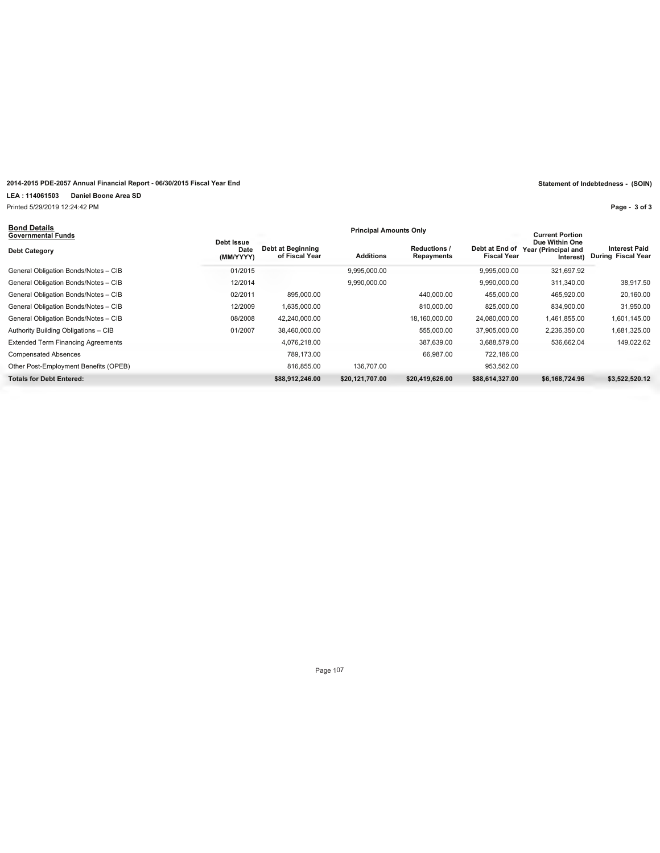# **2014-2015 PDE-2057 Annual Financial Report - 06/30/2015 Fiscal Year End Statement of Indebtedness - (SOIN)**

**LEA : 114061503 Daniel Boone Area SD**

Printed 5/29/2019 12:24:42 PM

# **Bond Details**

**Page - 3 of 3**

| <b>Bong Details</b><br>Governmental Funds        | <b>Principal Amounts Only</b>       |                 |                                   |                                      |                                                    |                                                   |  |
|--------------------------------------------------|-------------------------------------|-----------------|-----------------------------------|--------------------------------------|----------------------------------------------------|---------------------------------------------------|--|
| Debt Issue<br>Date<br>Debt Category<br>(MM/YYYY) | Debt at Beginning<br>of Fiscal Year | Additions       | <b>Reductions /</b><br>Repayments | Debt at End of<br><b>Fiscal Year</b> | Due Within One<br>Year (Principal and<br>Interest) | <b>Interest Paid</b><br><b>During Fiscal Year</b> |  |
| 01/2015<br>General Obligation Bonds/Notes - CIB  |                                     | 9,995,000.00    |                                   | 9.995.000.00                         | 321,697.92                                         |                                                   |  |
| 12/2014<br>General Obligation Bonds/Notes - CIB  |                                     | 9,990,000.00    |                                   | 9,990,000.00                         | 311,340.00                                         | 38,917.50                                         |  |
| 02/2011<br>General Obligation Bonds/Notes - CIB  | 895,000.00                          |                 | 440.000.00                        | 455.000.00                           | 465,920.00                                         | 20,160.00                                         |  |
| 12/2009<br>General Obligation Bonds/Notes - CIB  | 1,635,000.00                        |                 | 810,000.00                        | 825.000.00                           | 834,900.00                                         | 31,950.00                                         |  |
| 08/2008<br>General Obligation Bonds/Notes - CIB  | 42,240,000.00                       |                 | 18,160,000.00                     | 24,080,000.00                        | 1,461,855.00                                       | 1,601,145.00                                      |  |
| 01/2007<br>Authority Building Obligations - CIB  | 38,460,000.00                       |                 | 555.000.00                        | 37,905,000.00                        | 2,236,350.00                                       | 1,681,325.00                                      |  |
| <b>Extended Term Financing Agreements</b>        | 4,076,218.00                        |                 | 387,639.00                        | 3,688,579.00                         | 536,662.04                                         | 149,022.62                                        |  |
| <b>Compensated Absences</b>                      | 789,173.00                          |                 | 66,987.00                         | 722,186.00                           |                                                    |                                                   |  |
| Other Post-Employment Benefits (OPEB)            | 816.855.00                          | 136,707.00      |                                   | 953.562.00                           |                                                    |                                                   |  |
| <b>Totals for Debt Entered:</b>                  | \$88,912,246.00                     | \$20,121,707.00 | \$20,419,626.00                   | \$88,614,327.00                      | \$6,168,724.96                                     | \$3,522,520.12                                    |  |